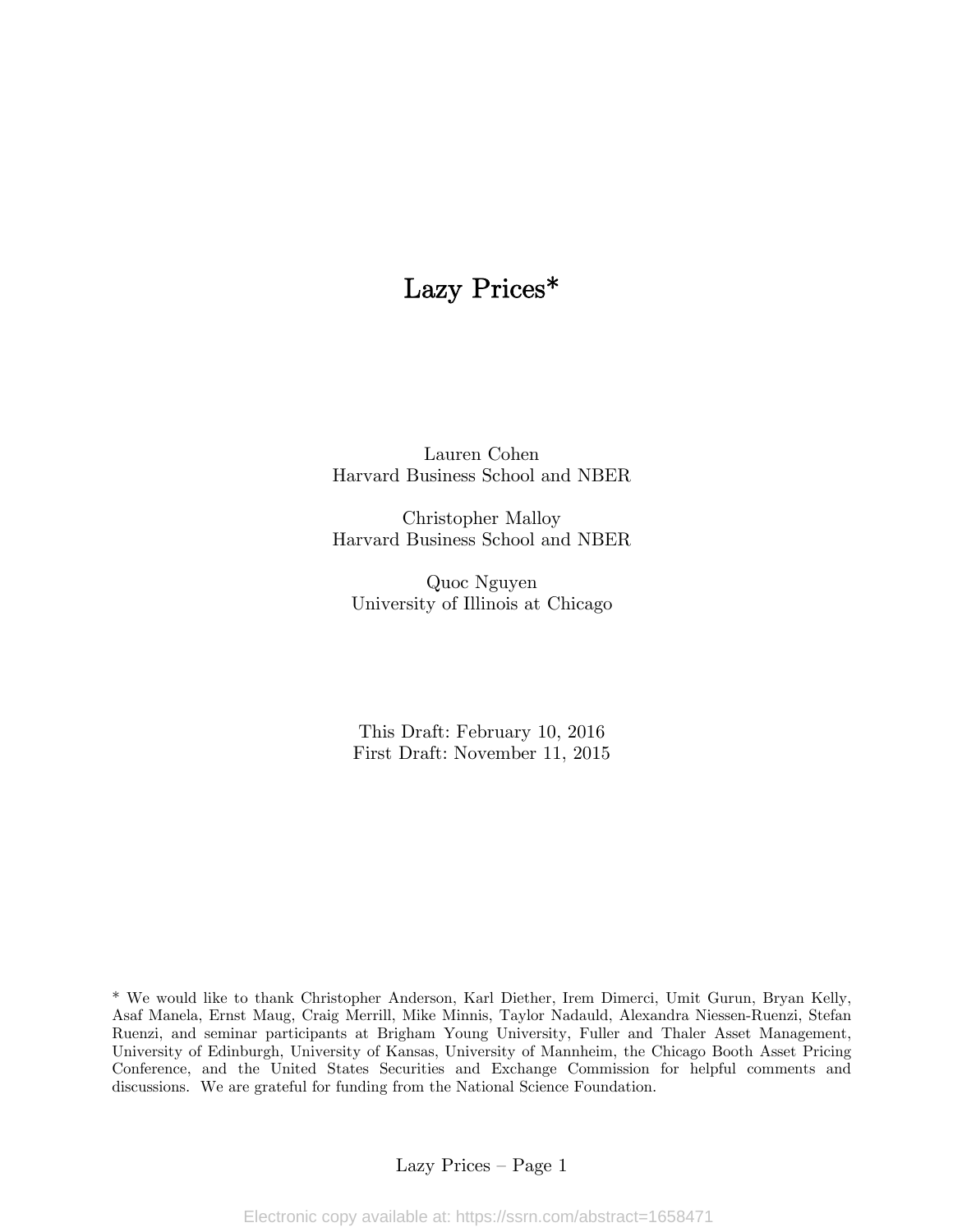# Lazy Prices\*

Lauren Cohen Harvard Business School and NBER

Christopher Malloy Harvard Business School and NBER

Quoc Nguyen University of Illinois at Chicago

This Draft: February 10, 2016 First Draft: November 11, 2015

\* We would like to thank Christopher Anderson, Karl Diether, Irem Dimerci, Umit Gurun, Bryan Kelly, Asaf Manela, Ernst Maug, Craig Merrill, Mike Minnis, Taylor Nadauld, Alexandra Niessen-Ruenzi, Stefan Ruenzi, and seminar participants at Brigham Young University, Fuller and Thaler Asset Management, University of Edinburgh, University of Kansas, University of Mannheim, the Chicago Booth Asset Pricing Conference, and the United States Securities and Exchange Commission for helpful comments and discussions. We are grateful for funding from the National Science Foundation.

Lazy Prices — Page 1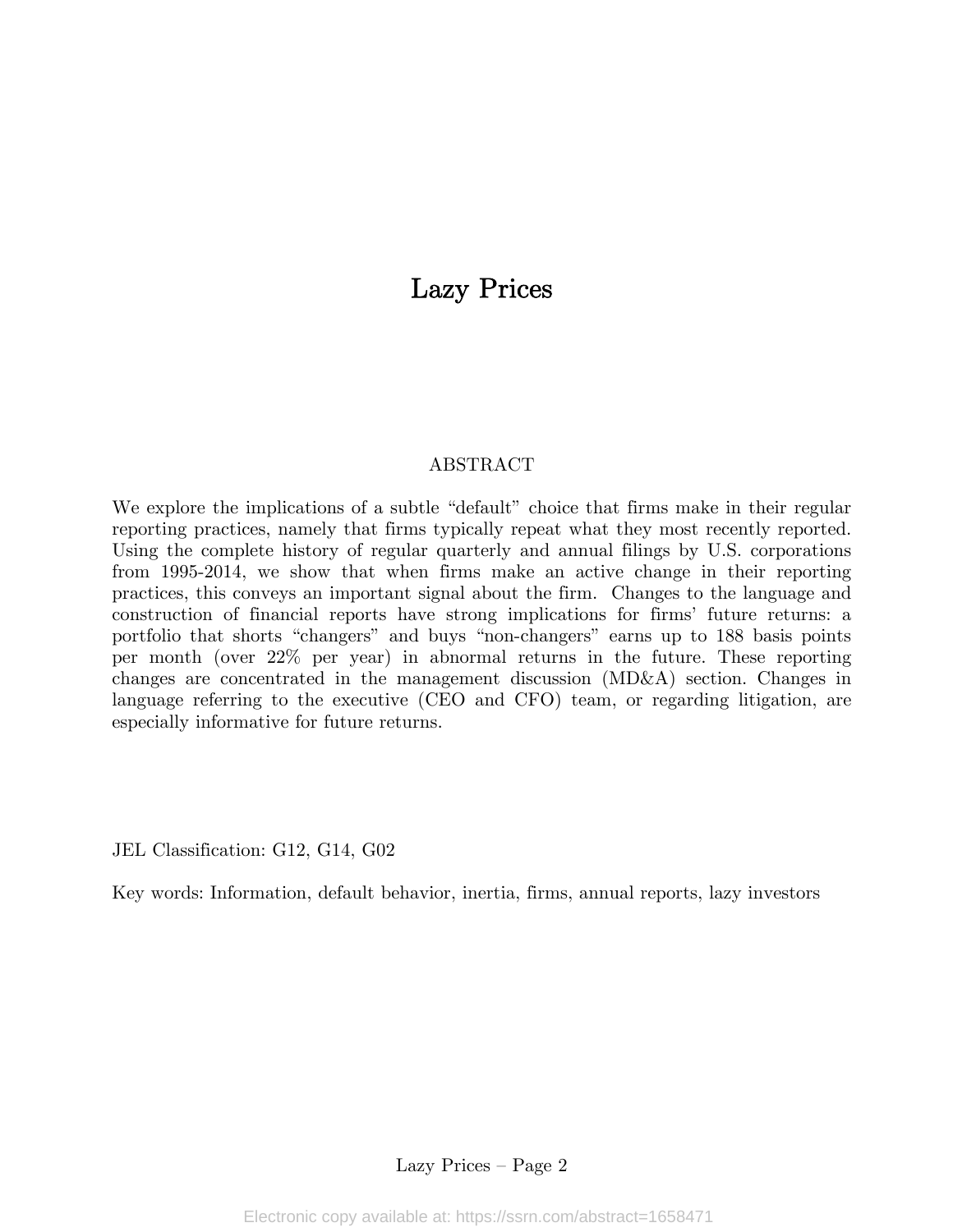# Lazy Prices

# ABSTRACT

We explore the implications of a subtle "default" choice that firms make in their regular reporting practices, namely that firms typically repeat what they most recently reported. Using the complete history of regular quarterly and annual filings by U.S. corporations from 1995-2014, we show that when firms make an active change in their reporting practices, this conveys an important signal about the firm. Changes to the language and construction of financial reports have strong implications for firms' future returns: a portfolio that shorts "changers" and buys "non-changers" earns up to 188 basis points per month (over 22% per year) in abnormal returns in the future. These reporting changes are concentrated in the management discussion (MD&A) section. Changes in language referring to the executive (CEO and CFO) team, or regarding litigation, are especially informative for future returns.

JEL Classification: G12, G14, G02

Key words: Information, default behavior, inertia, firms, annual reports, lazy investors

Lazy Prices — Page 2

Electronic copy available at: https://ssrn.com/abstract=1658471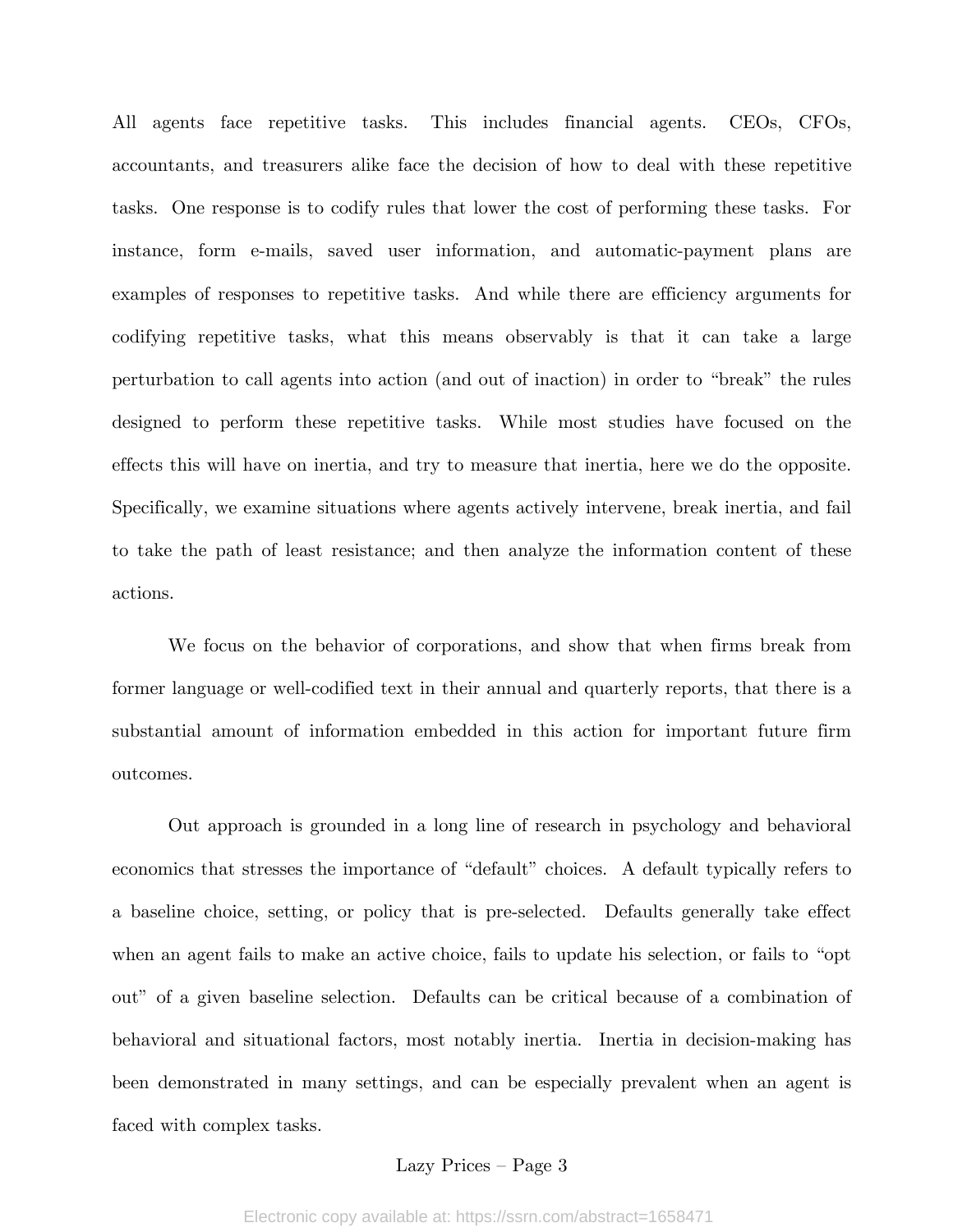All agents face repetitive tasks. This includes financial agents. CEOs, CFOs, accountants, and treasurers alike face the decision of how to deal with these repetitive tasks. One response is to codify rules that lower the cost of performing these tasks. For instance, form e-mails, saved user information, and automatic-payment plans are examples of responses to repetitive tasks. And while there are efficiency arguments for codifying repetitive tasks, what this means observably is that it can take a large perturbation to call agents into action (and out of inaction) in order to "break" the rules designed to perform these repetitive tasks. While most studies have focused on the effects this will have on inertia, and try to measure that inertia, here we do the opposite. Specifically, we examine situations where agents actively intervene, break inertia, and fail to take the path of least resistance; and then analyze the information content of these actions.

 We focus on the behavior of corporations, and show that when firms break from former language or well-codified text in their annual and quarterly reports, that there is a substantial amount of information embedded in this action for important future firm outcomes.

Out approach is grounded in a long line of research in psychology and behavioral economics that stresses the importance of "default" choices. A default typically refers to a baseline choice, setting, or policy that is pre-selected. Defaults generally take effect when an agent fails to make an active choice, fails to update his selection, or fails to "opt out" of a given baseline selection. Defaults can be critical because of a combination of behavioral and situational factors, most notably inertia. Inertia in decision-making has been demonstrated in many settings, and can be especially prevalent when an agent is faced with complex tasks.

#### Lazy Prices — Page 3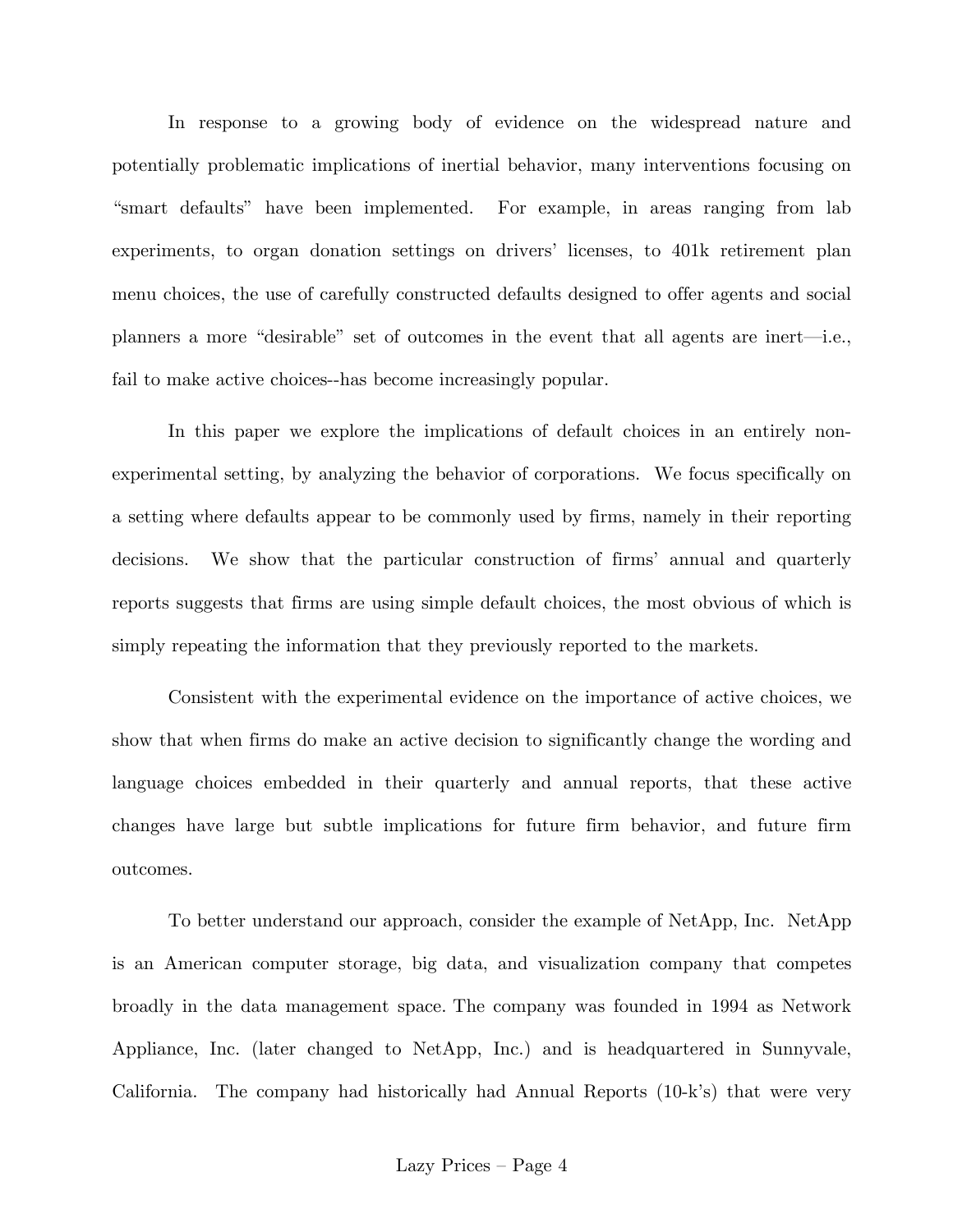In response to a growing body of evidence on the widespread nature and potentially problematic implications of inertial behavior, many interventions focusing on "smart defaults" have been implemented. For example, in areas ranging from lab experiments, to organ donation settings on drivers' licenses, to 401k retirement plan menu choices, the use of carefully constructed defaults designed to offer agents and social planners a more "desirable" set of outcomes in the event that all agents are inert–i.e., fail to make active choices--has become increasingly popular.

In this paper we explore the implications of default choices in an entirely nonexperimental setting, by analyzing the behavior of corporations. We focus specifically on a setting where defaults appear to be commonly used by firms, namely in their reporting decisions. We show that the particular construction of firms' annual and quarterly reports suggests that firms are using simple default choices, the most obvious of which is simply repeating the information that they previously reported to the markets.

Consistent with the experimental evidence on the importance of active choices, we show that when firms do make an active decision to significantly change the wording and language choices embedded in their quarterly and annual reports, that these active changes have large but subtle implications for future firm behavior, and future firm outcomes.

To better understand our approach, consider the example of NetApp, Inc. NetApp is an American computer storage, big data, and visualization company that competes broadly in the data management space. The company was founded in 1994 as Network Appliance, Inc. (later changed to NetApp, Inc.) and is headquartered in Sunnyvale, California. The company had historically had Annual Reports (10-k's) that were very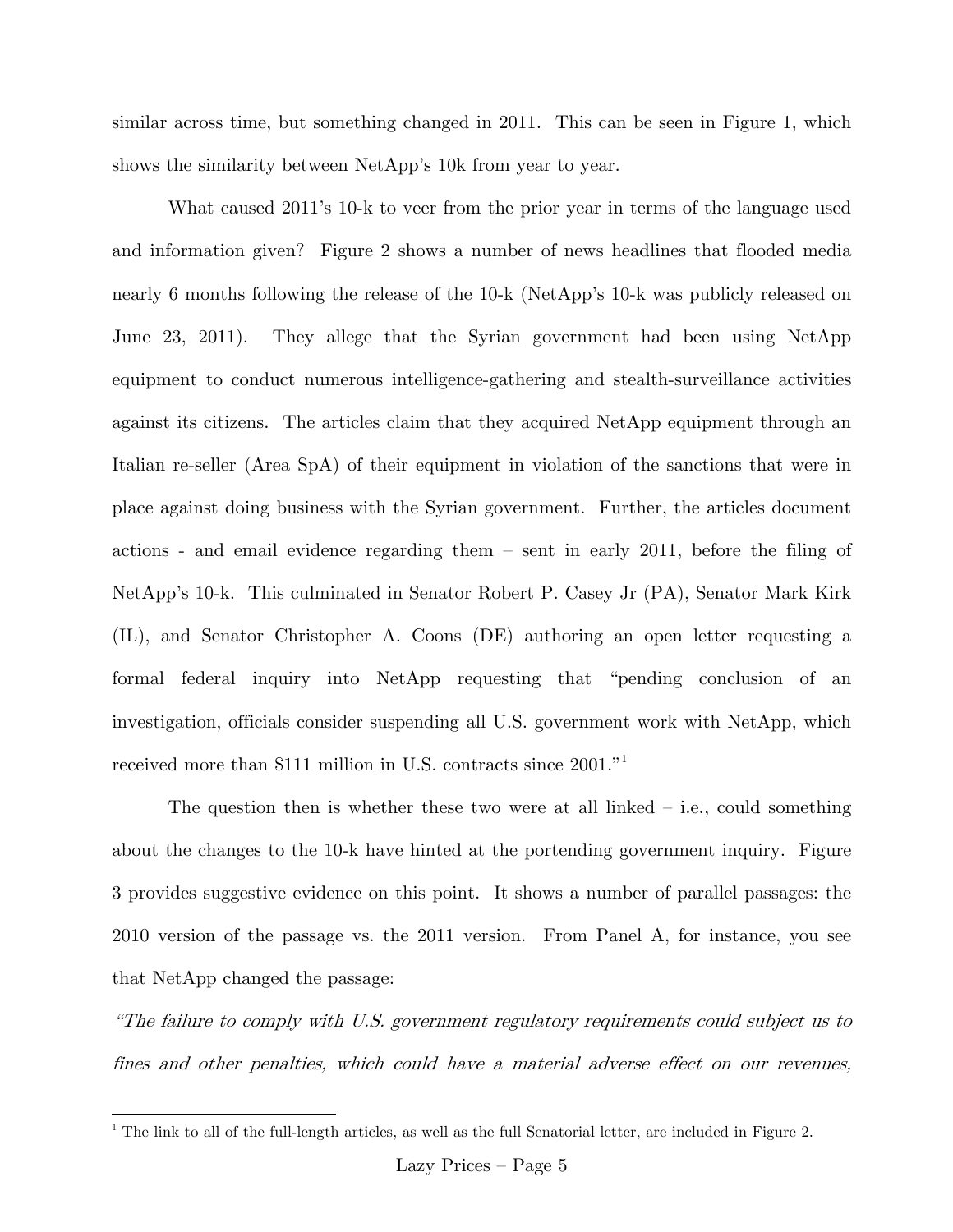similar across time, but something changed in 2011. This can be seen in Figure 1, which shows the similarity between NetApp's 10k from year to year.

What caused 2011's 10-k to veer from the prior year in terms of the language used and information given? Figure 2 shows a number of news headlines that flooded media nearly 6 months following the release of the 10-k (NetApp's 10-k was publicly released on June 23, 2011). They allege that the Syrian government had been using NetApp equipment to conduct numerous intelligence-gathering and stealth-surveillance activities against its citizens. The articles claim that they acquired NetApp equipment through an Italian re-seller (Area SpA) of their equipment in violation of the sanctions that were in place against doing business with the Syrian government. Further, the articles document actions - and email evidence regarding them — sent in early 2011, before the filing of NetApp's 10-k. This culminated in Senator Robert P. Casey Jr (PA), Senator Mark Kirk (IL), and Senator Christopher A. Coons (DE) authoring an open letter requesting a formal federal inquiry into NetApp requesting that "pending conclusion of an investigation, officials consider suspending all U.S. government work with NetApp, which received more than \$111 million in U.S. contracts since 2001."1

The question then is whether these two were at all linked  $-$  i.e., could something about the changes to the 10-k have hinted at the portending government inquiry. Figure 3 provides suggestive evidence on this point. It shows a number of parallel passages: the 2010 version of the passage vs. the 2011 version. From Panel A, for instance, you see that NetApp changed the passage:

"The failure to comply with U.S. government regulatory requirements could subject us to fines and other penalties, which could have a material adverse effect on our revenues,

 $\overline{a}$ 

<sup>&</sup>lt;sup>1</sup> The link to all of the full-length articles, as well as the full Senatorial letter, are included in Figure 2.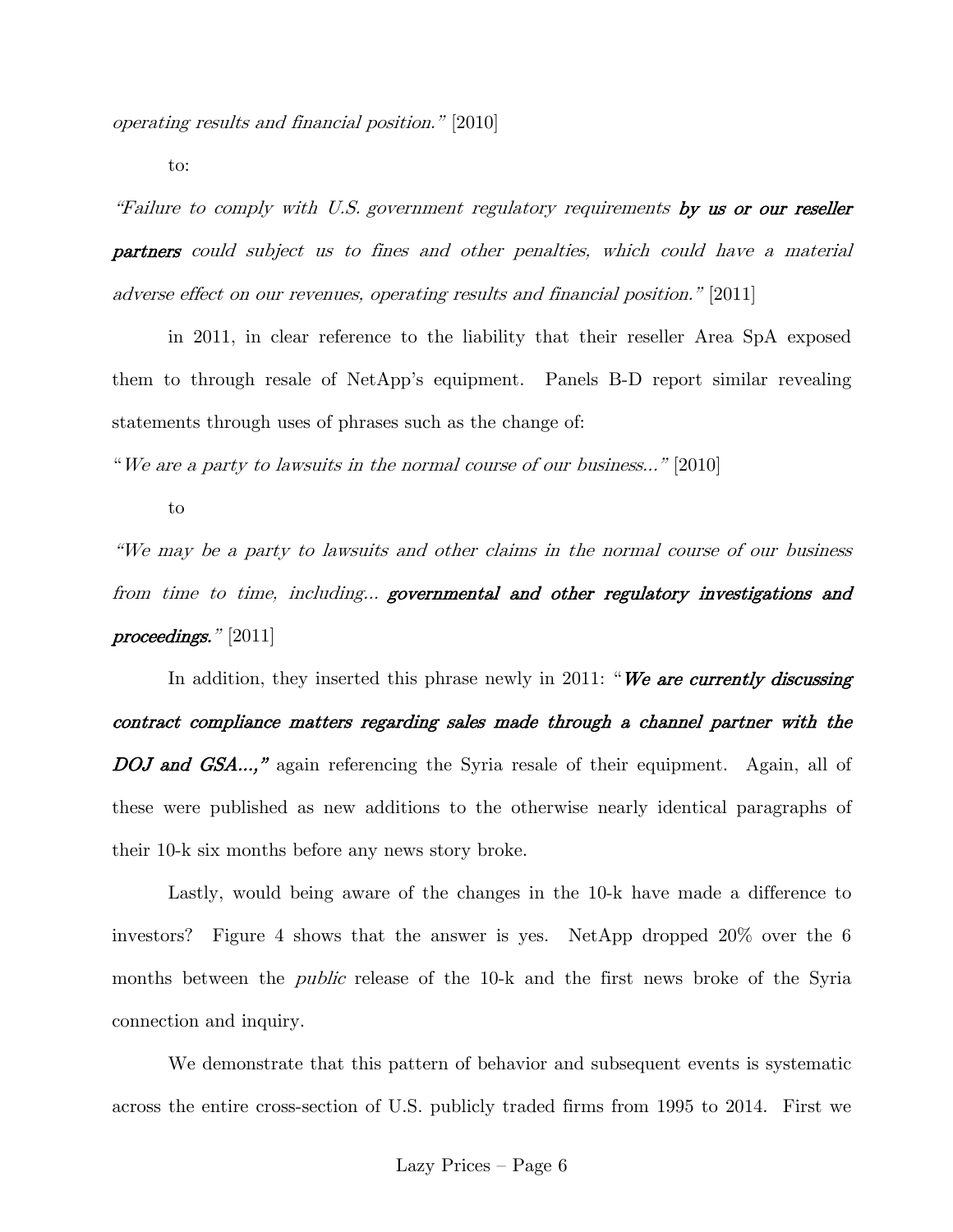operating results and financial position." [2010]

to:

"Failure to comply with U.S. government regulatory requirements by us or our reseller partners could subject us to fines and other penalties, which could have a material adverse effect on our revenues, operating results and financial position." [2011]

in 2011, in clear reference to the liability that their reseller Area SpA exposed them to through resale of NetApp's equipment. Panels B-D report similar revealing statements through uses of phrases such as the change of:

"We are a party to lawsuits in the normal course of our business..." [2010]

to

"We may be a party to lawsuits and other claims in the normal course of our business from time to time, including... governmental and other regulatory investigations and proceedings." [2011]

In addition, they inserted this phrase newly in 2011: "We are currently discussing contract compliance matters regarding sales made through a channel partner with the DOJ and GSA...," again referencing the Syria resale of their equipment. Again, all of these were published as new additions to the otherwise nearly identical paragraphs of their 10-k six months before any news story broke.

Lastly, would being aware of the changes in the 10-k have made a difference to investors? Figure 4 shows that the answer is yes. NetApp dropped 20% over the 6 months between the *public* release of the 10-k and the first news broke of the Syria connection and inquiry.

We demonstrate that this pattern of behavior and subsequent events is systematic across the entire cross-section of U.S. publicly traded firms from 1995 to 2014. First we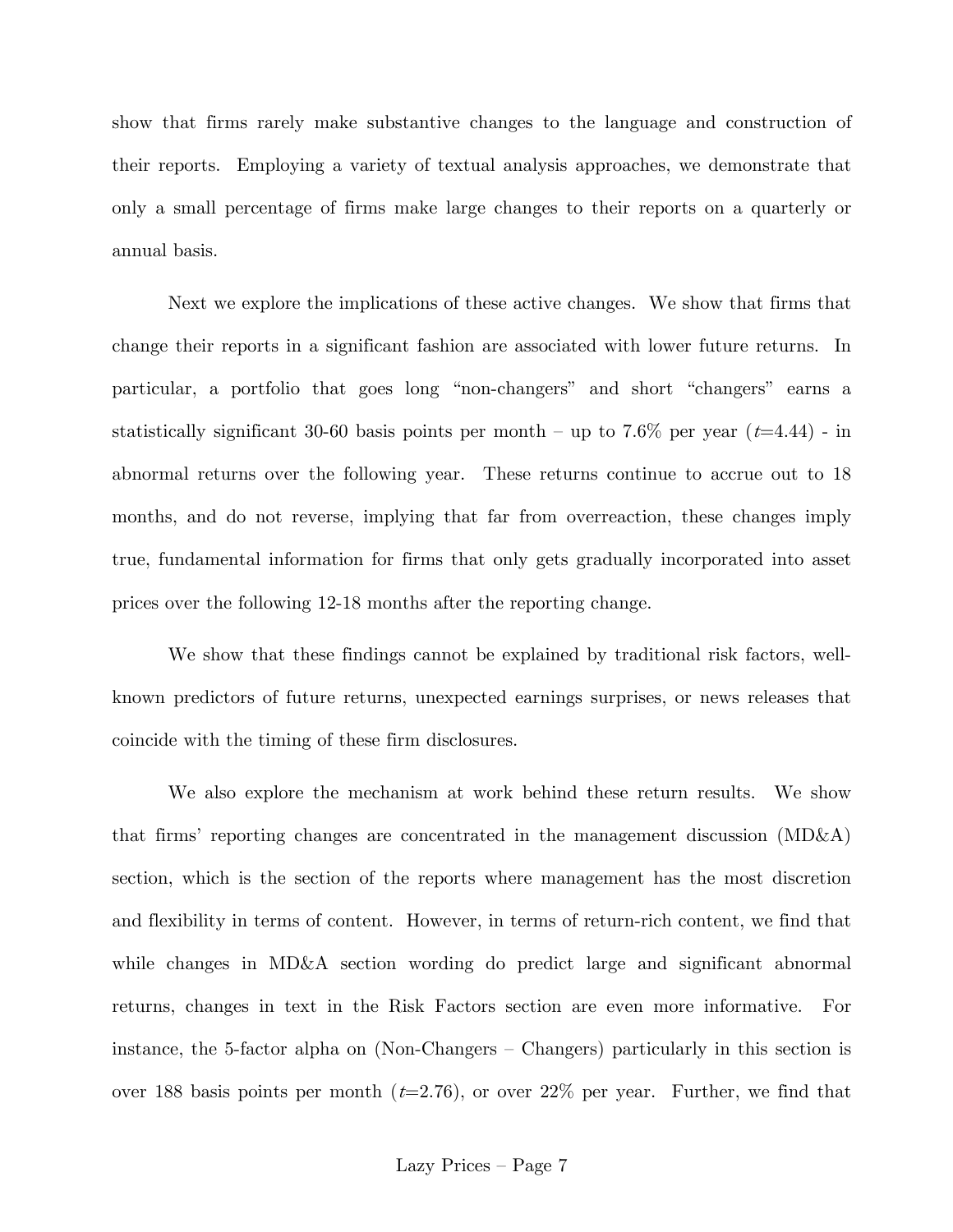show that firms rarely make substantive changes to the language and construction of their reports. Employing a variety of textual analysis approaches, we demonstrate that only a small percentage of firms make large changes to their reports on a quarterly or annual basis.

Next we explore the implications of these active changes. We show that firms that change their reports in a significant fashion are associated with lower future returns. In particular, a portfolio that goes long "non-changers" and short "changers" earns a statistically significant 30-60 basis points per month – up to 7.6% per year  $(t=4.44)$  - in abnormal returns over the following year. These returns continue to accrue out to 18 months, and do not reverse, implying that far from overreaction, these changes imply true, fundamental information for firms that only gets gradually incorporated into asset prices over the following 12-18 months after the reporting change.

We show that these findings cannot be explained by traditional risk factors, wellknown predictors of future returns, unexpected earnings surprises, or news releases that coincide with the timing of these firm disclosures.

We also explore the mechanism at work behind these return results. We show that firms' reporting changes are concentrated in the management discussion (MD&A) section, which is the section of the reports where management has the most discretion and flexibility in terms of content. However, in terms of return-rich content, we find that while changes in MD&A section wording do predict large and significant abnormal returns, changes in text in the Risk Factors section are even more informative. For instance, the 5-factor alpha on (Non-Changers — Changers) particularly in this section is over 188 basis points per month  $(t=2.76)$ , or over 22% per year. Further, we find that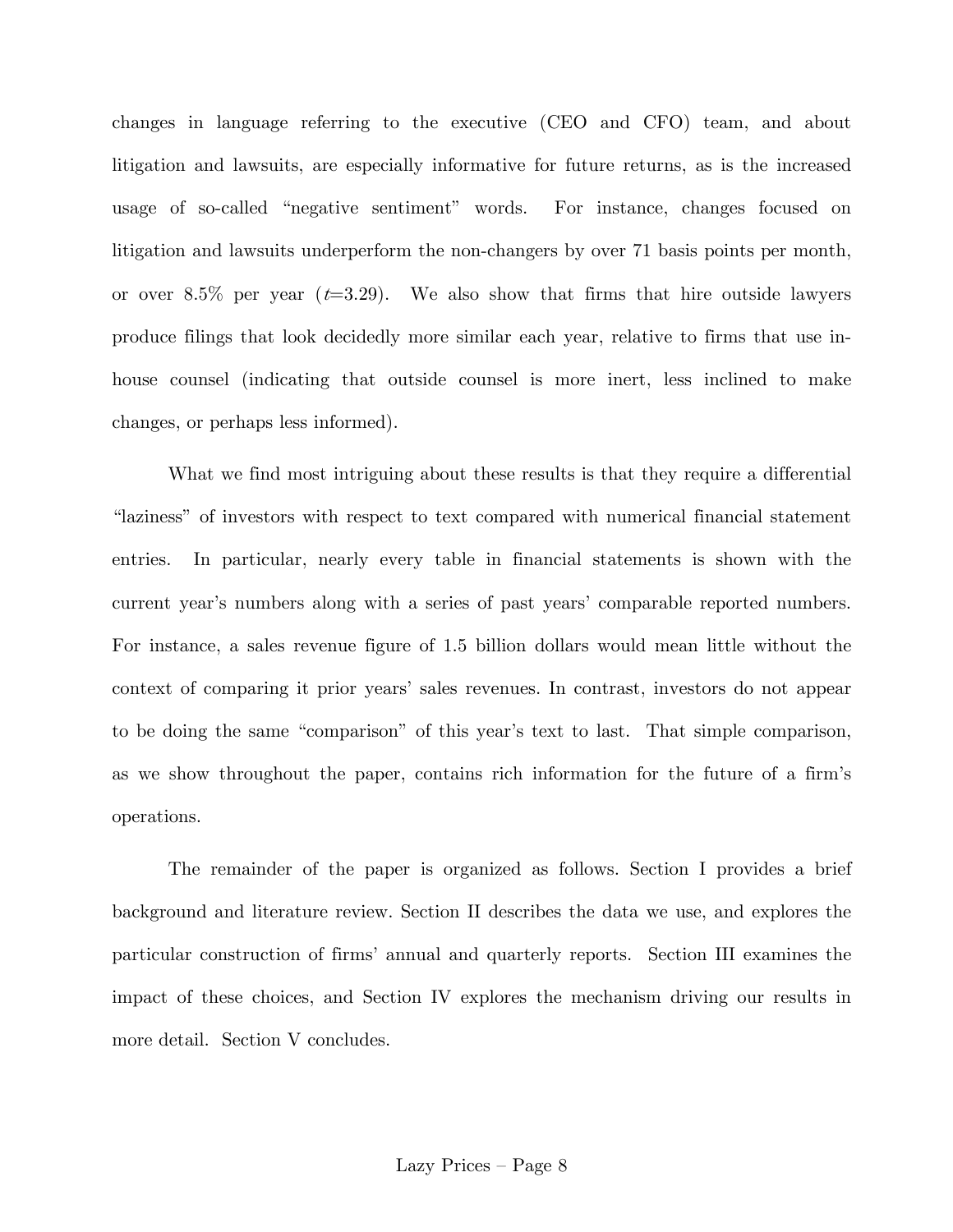changes in language referring to the executive (CEO and CFO) team, and about litigation and lawsuits, are especially informative for future returns, as is the increased usage of so-called "negative sentiment" words. For instance, changes focused on litigation and lawsuits underperform the non-changers by over 71 basis points per month, or over 8.5% per year  $(t=3.29)$ . We also show that firms that hire outside lawyers produce filings that look decidedly more similar each year, relative to firms that use inhouse counsel (indicating that outside counsel is more inert, less inclined to make changes, or perhaps less informed).

What we find most intriguing about these results is that they require a differential "laziness" of investors with respect to text compared with numerical financial statement entries. In particular, nearly every table in financial statements is shown with the current year's numbers along with a series of past years' comparable reported numbers. For instance, a sales revenue figure of 1.5 billion dollars would mean little without the context of comparing it prior years' sales revenues. In contrast, investors do not appear to be doing the same "comparison" of this year's text to last. That simple comparison, as we show throughout the paper, contains rich information for the future of a firm's operations.

The remainder of the paper is organized as follows. Section I provides a brief background and literature review. Section II describes the data we use, and explores the particular construction of firms' annual and quarterly reports. Section III examines the impact of these choices, and Section IV explores the mechanism driving our results in more detail. Section V concludes.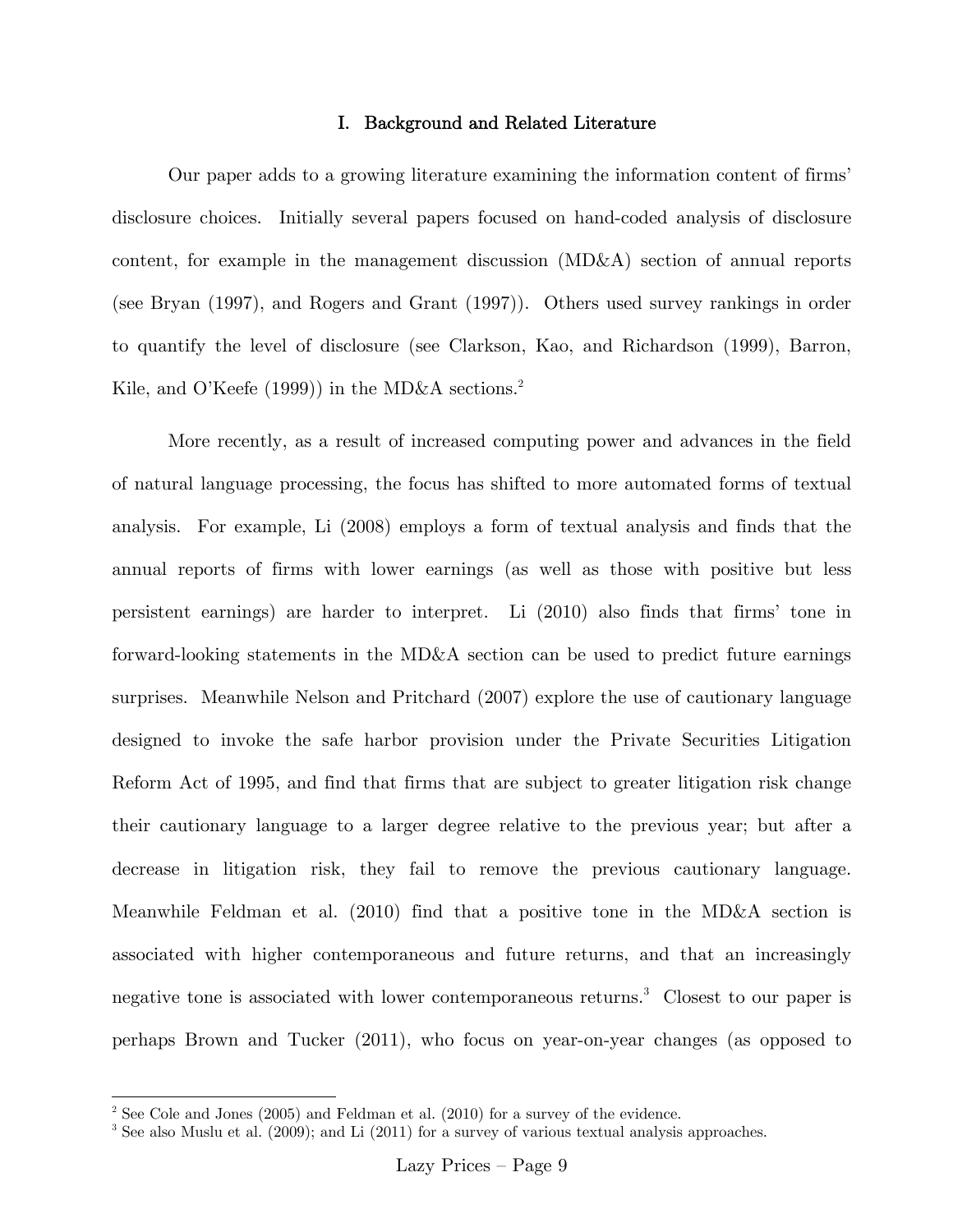### I. Background and Related Literature

Our paper adds to a growing literature examining the information content of firms' disclosure choices. Initially several papers focused on hand-coded analysis of disclosure content, for example in the management discussion (MD&A) section of annual reports (see Bryan (1997), and Rogers and Grant (1997)). Others used survey rankings in order to quantify the level of disclosure (see Clarkson, Kao, and Richardson (1999), Barron, Kile, and O'Keefe (1999)) in the MD&A sections.<sup>2</sup>

More recently, as a result of increased computing power and advances in the field of natural language processing, the focus has shifted to more automated forms of textual analysis. For example, Li (2008) employs a form of textual analysis and finds that the annual reports of firms with lower earnings (as well as those with positive but less persistent earnings) are harder to interpret. Li (2010) also finds that firms' tone in forward-looking statements in the MD&A section can be used to predict future earnings surprises. Meanwhile Nelson and Pritchard (2007) explore the use of cautionary language designed to invoke the safe harbor provision under the Private Securities Litigation Reform Act of 1995, and find that firms that are subject to greater litigation risk change their cautionary language to a larger degree relative to the previous year; but after a decrease in litigation risk, they fail to remove the previous cautionary language. Meanwhile Feldman et al. (2010) find that a positive tone in the MD&A section is associated with higher contemporaneous and future returns, and that an increasingly negative tone is associated with lower contemporaneous returns.<sup>3</sup> Closest to our paper is perhaps Brown and Tucker (2011), who focus on year-on-year changes (as opposed to

<sup>&</sup>lt;sup>2</sup> See Cole and Jones (2005) and Feldman et al. (2010) for a survey of the evidence.

<sup>&</sup>lt;sup>3</sup> See also Muslu et al. (2009); and Li (2011) for a survey of various textual analysis approaches.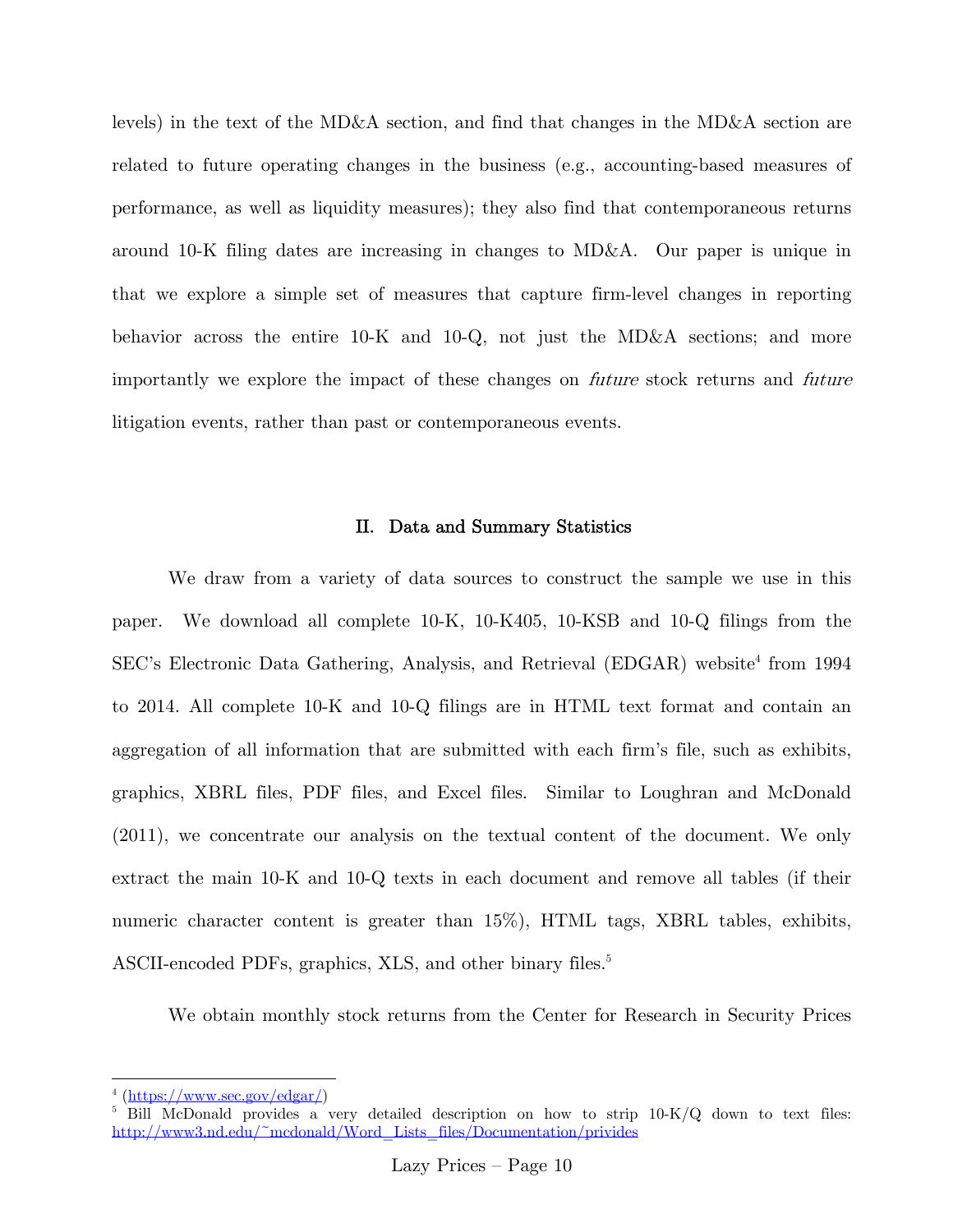levels) in the text of the MD&A section, and find that changes in the MD&A section are related to future operating changes in the business (e.g., accounting-based measures of performance, as well as liquidity measures); they also find that contemporaneous returns around 10-K filing dates are increasing in changes to MD&A. Our paper is unique in that we explore a simple set of measures that capture firm-level changes in reporting behavior across the entire 10-K and 10-Q, not just the MD&A sections; and more importantly we explore the impact of these changes on future stock returns and future litigation events, rather than past or contemporaneous events.

### II. Data and Summary Statistics

We draw from a variety of data sources to construct the sample we use in this paper. We download all complete 10-K, 10-K405, 10-KSB and 10-Q filings from the SEC's Electronic Data Gathering, Analysis, and Retrieval (EDGAR) website<sup>4</sup> from 1994 to 2014. All complete 10-K and 10-Q filings are in HTML text format and contain an aggregation of all information that are submitted with each firm's file, such as exhibits, graphics, XBRL files, PDF files, and Excel files. Similar to Loughran and McDonald (2011), we concentrate our analysis on the textual content of the document. We only extract the main 10-K and 10-Q texts in each document and remove all tables (if their numeric character content is greater than  $15\%$ ), HTML tags, XBRL tables, exhibits, ASCII-encoded PDFs, graphics, XLS, and other binary files.<sup>5</sup>

We obtain monthly stock returns from the Center for Research in Security Prices

 $\overline{a}$ 

 $^4$  (https://www.sec.gov/edgar/)

 $5$  Bill McDonald provides a very detailed description on how to strip  $10-K/Q$  down to text files: http://www3.nd.edu/~mcdonald/Word\_Lists\_files/Documentation/privides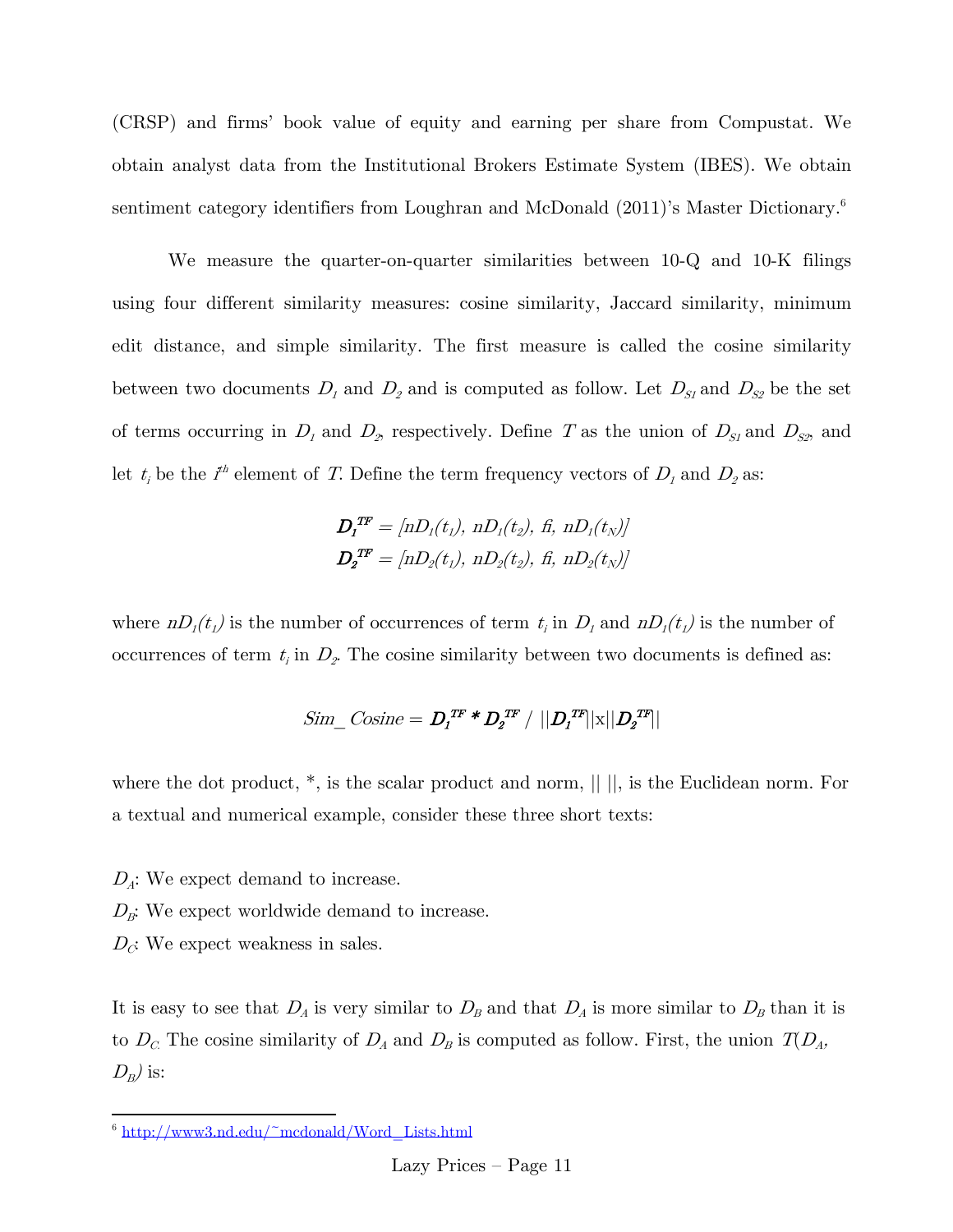(CRSP) and firms' book value of equity and earning per share from Compustat. We obtain analyst data from the Institutional Brokers Estimate System (IBES). We obtain sentiment category identifiers from Loughran and McDonald (2011)'s Master Dictionary.<sup>6</sup>

We measure the quarter-on-quarter similarities between 10-Q and 10-K filings using four different similarity measures: cosine similarity, Jaccard similarity, minimum edit distance, and simple similarity. The first measure is called the cosine similarity between two documents  $D_1$  and  $D_2$  and is computed as follow. Let  $D_{S1}$  and  $D_{S2}$  be the set of terms occurring in  $D_1$  and  $D_2$ , respectively. Define T as the union of  $D_{S1}$  and  $D_{S2}$ , and let  $t_i$  be the  $i^{\text{th}}$  element of T. Define the term frequency vectors of  $D_1$  and  $D_2$  as:

$$
D_I^{TF} = [nD_1(t_1), nD_1(t_2), \text{ fi}, nD_1(t_N)]
$$
  

$$
D_2^{TF} = [nD_2(t_1), nD_2(t_2), \text{fi}, nD_2(t_N)]
$$

where  $nD_1(t_1)$  is the number of occurrences of term  $t_i$  in  $D_1$  and  $nD_1(t_1)$  is the number of occurrences of term  $t_i$  in  $D_2$ . The cosine similarity between two documents is defined as:

$$
Sim\_Cosine = D_1^{TF} * D_2^{TF} / ||D_1^{TF}||x||D_2^{TF}||
$$

where the dot product,  $*$ , is the scalar product and norm,  $|| \cdot ||$ , is the Euclidean norm. For a textual and numerical example, consider these three short texts:

 $D_A$ : We expect demand to increase.

 $D_{\mathcal{B}}$ : We expect worldwide demand to increase.

 $D_{\mathcal{C}}$ : We expect weakness in sales.

 $\overline{a}$ 

It is easy to see that  $D_A$  is very similar to  $D_B$  and that  $D_A$  is more similar to  $D_B$  than it is to  $D_c$ . The cosine similarity of  $D_A$  and  $D_B$  is computed as follow. First, the union  $T(D_A)$ ,  $D_B$ ) is:

<sup>6</sup> http://www3.nd.edu/~mcdonald/Word\_Lists.html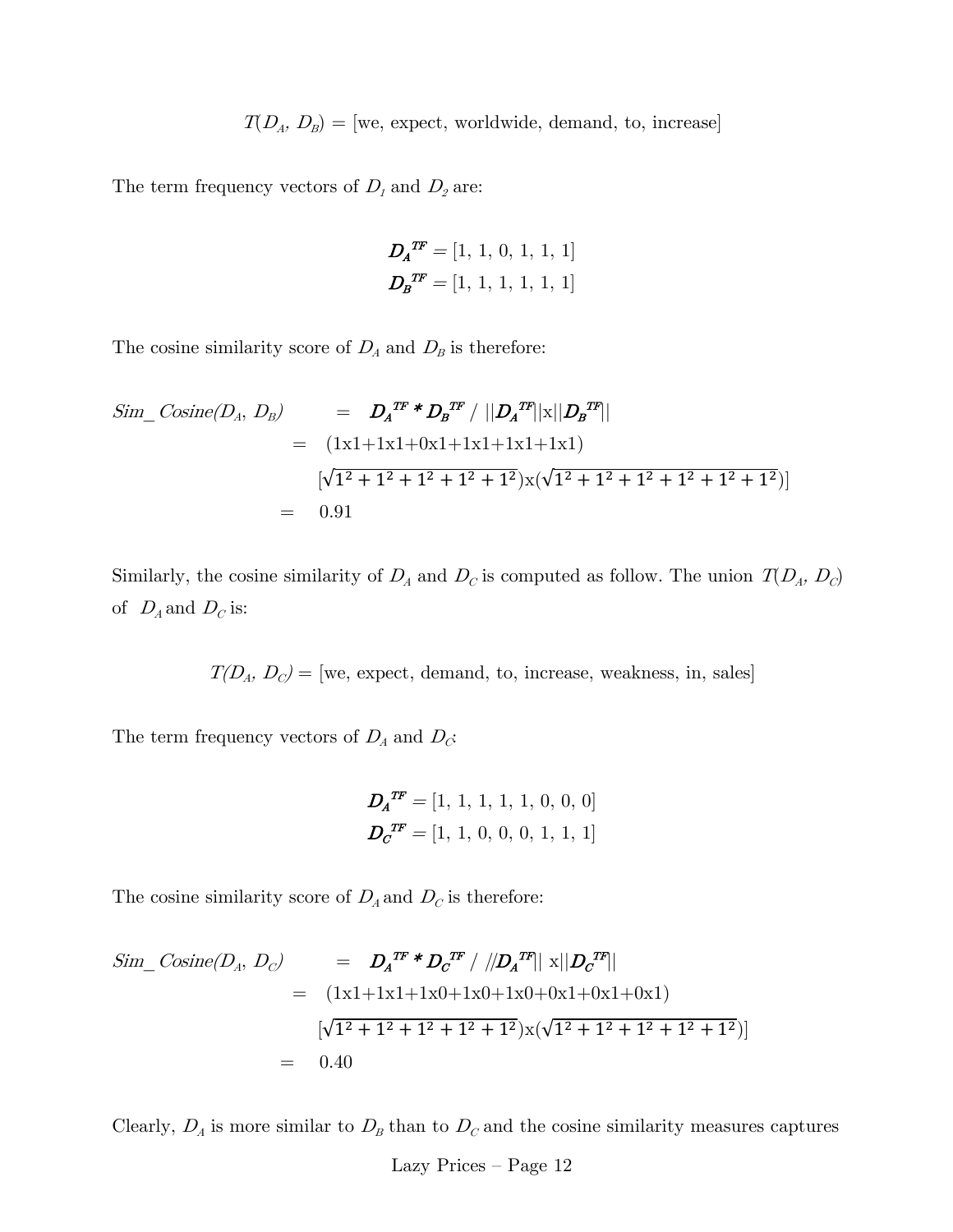$T(D_A, D_B) = \text{[we, expect, worldwide, demand, to, increase]}$ 

The term frequency vectors of  $D_1$  and  $D_2$  are:

$$
D_A^{T\!F} = [1, 1, 0, 1, 1, 1]
$$

$$
D_B^{T\!F} = [1, 1, 1, 1, 1, 1]
$$

The cosine similarity score of  $D_A$  and  $D_B$  is therefore:

$$
Sim\_Cosine(D_A, D_B) = D_A^{T\!F} * D_B^{T\!F} / ||D_A^{T\!F}||x||D_B^{T\!F}||
$$
  
= (1x1+1x1+0x1+1x1+1x1+1x1)  

$$
[\sqrt{1^2 + 1^2 + 1^2 + 1^2 + 1^2}]x(\sqrt{1^2 + 1^2 + 1^2 + 1^2 + 1^2 + 1^2})]
$$
  
= 0.91

Similarly, the cosine similarity of  $D_A$  and  $D_C$  is computed as follow. The union  $T(D_A, D_C)$ of  $D_A$  and  $D_C$  is:

 $T(D_A, D_C) =$  [we, expect, demand, to, increase, weakness, in, sales]

The term frequency vectors of  $D_{\!A}$  and  $D_{\!C}$ 

$$
D_A^{T\!F} = [1, 1, 1, 1, 1, 0, 0, 0]
$$

$$
D_C^{T\!F} = [1, 1, 0, 0, 0, 1, 1, 1]
$$

The cosine similarity score of  $D_A$  and  $D_C$  is therefore:

$$
Sim\_Cosine(D_A, D_C) = D_A^{TF} * D_C^{TF} / ||D_A^{TF}|| \times ||D_C^{TF}||
$$
  
=  $(1x1+1x1+1x0+1x0+1x0+0x1+0x1+0x1)$   
 $[\sqrt{1^2 + 1^2 + 1^2 + 1^2 + 1^2}) \times (\sqrt{1^2 + 1^2 + 1^2 + 1^2 + 1^2})]$   
= 0.40

Clearly,  $D_A$  is more similar to  $D_B$  than to  $D_C$  and the cosine similarity measures captures

Lazy Prices — Page 12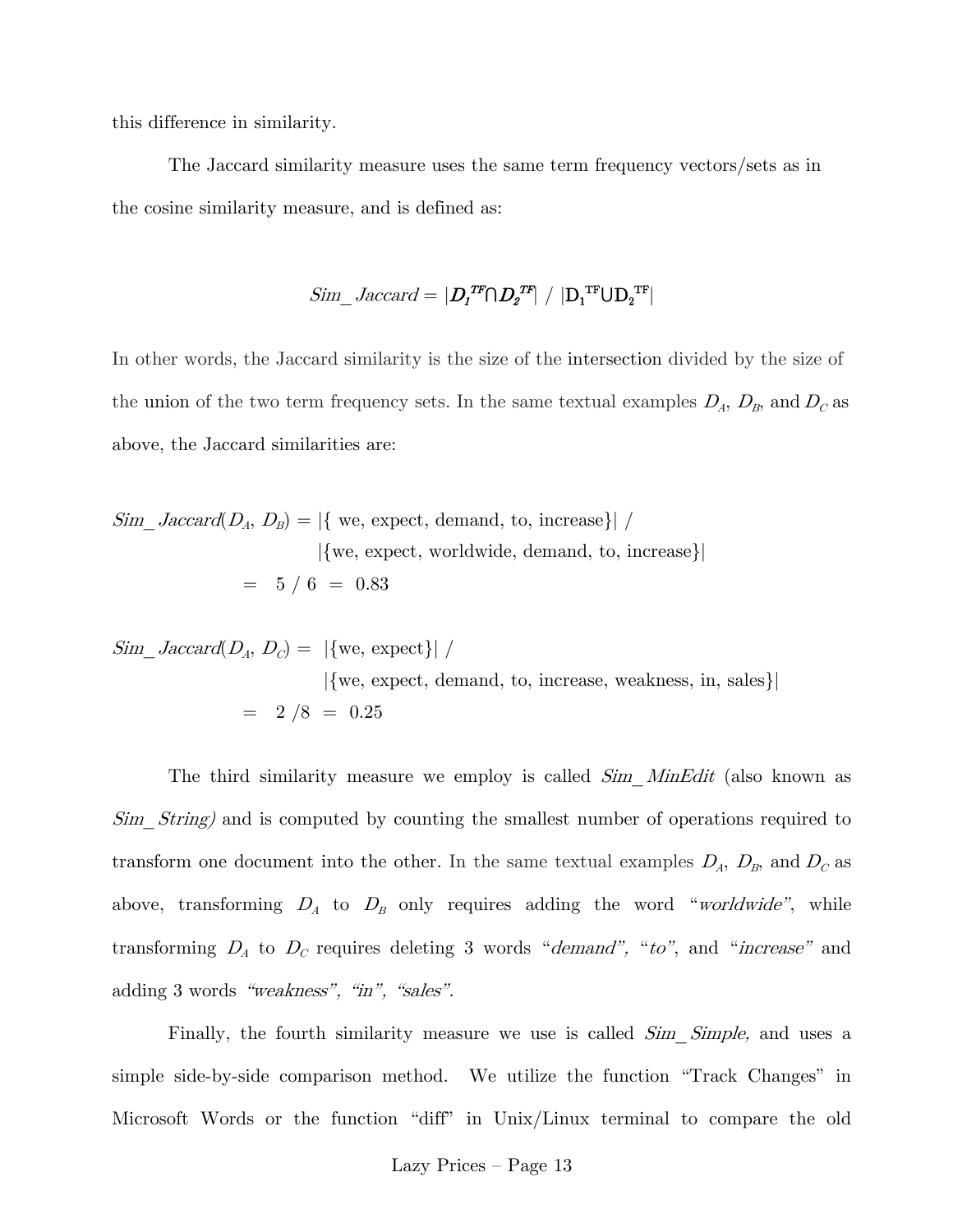this difference in similarity.

The Jaccard similarity measure uses the same term frequency vectors/sets as in the cosine similarity measure, and is defined as:

$$
Sim\_Jaccard = |D_1^{TF} \cap D_2^{TF}| / |D_1^{TF} \cup D_2^{TF}|
$$

In other words, the Jaccard similarity is the size of the intersection divided by the size of the union of the two term frequency sets. In the same textual examples  $D_A$ ,  $D_B$ , and  $D_C$  as above, the Jaccard similarities are:

$$
Sim\_Jaccard(D_A, D_B) = |\{ we, expect, demand, to, increase\}| / |{we, expect, worldwide, demand, to, increase}|
$$
  
= 5 / 6 = 0.83

$$
Sim\_Jaccard(D_A, D_C) = |\{ we, expect\}| / \qquad | \{ we, expect, demand, to, increase, weakness, in, sales\} |
$$
  
= 2 /8 = 0.25

The third similarity measure we employ is called  $Sim\_MinEdit$  (also known as Sim String) and is computed by counting the smallest number of operations required to transform one document into the other. In the same textual examples  $D_A$ ,  $D_B$ , and  $D_C$  as above, transforming  $D_A$  to  $D_B$  only requires adding the word "worldwide", while transforming  $D_A$  to  $D_C$  requires deleting 3 words "demand", "to", and "increase" and adding 3 words "weakness", "in", "sales".

Finally, the fourth similarity measure we use is called  $Sim\_Simple$ , and uses a simple side-by-side comparison method. We utilize the function "Track Changes" in Microsoft Words or the function "diff" in Unix/Linux terminal to compare the old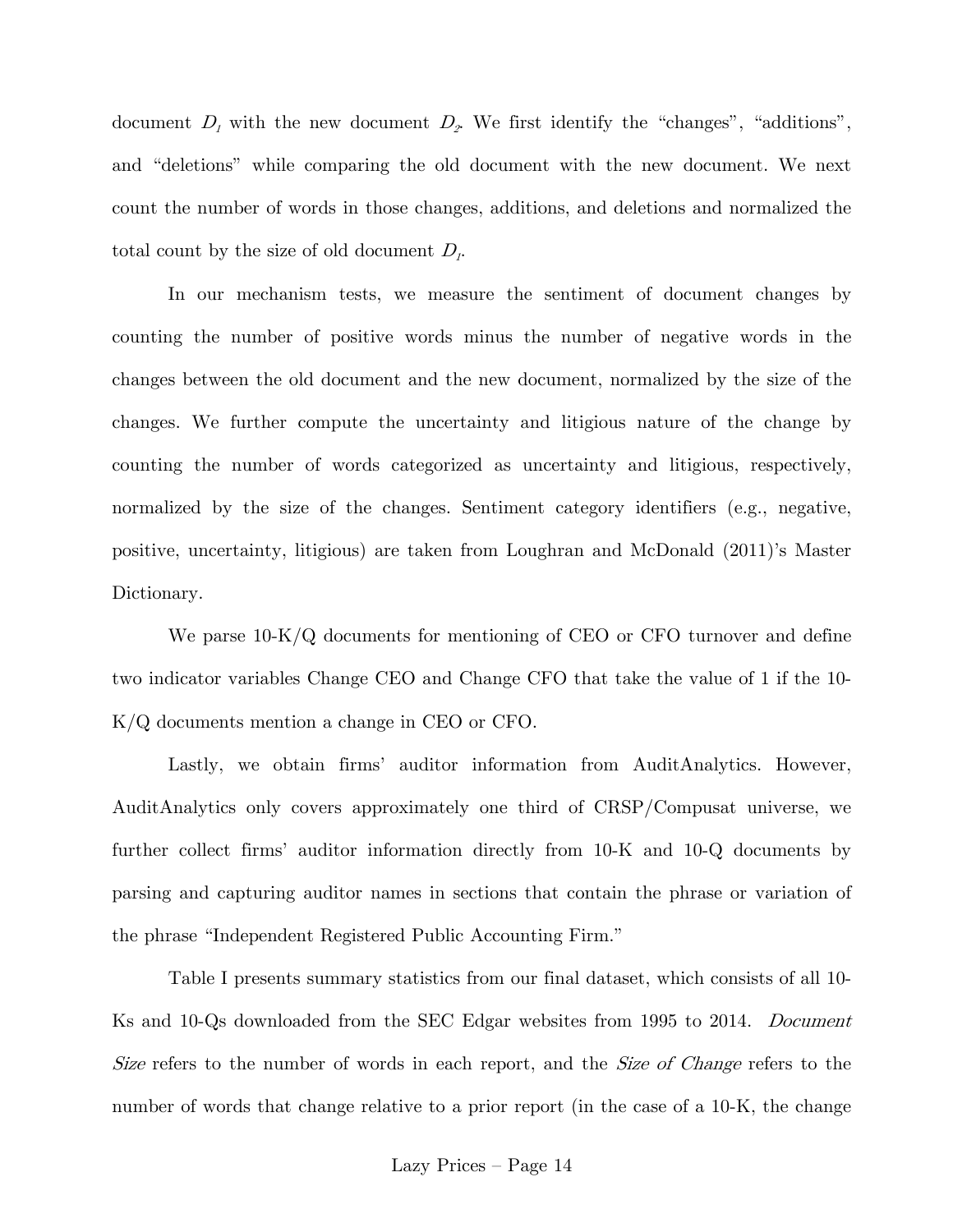document  $D_1$  with the new document  $D_2$ . We first identify the "changes", "additions", and "deletions" while comparing the old document with the new document. We next count the number of words in those changes, additions, and deletions and normalized the total count by the size of old document  $D<sub>1</sub>$ .

In our mechanism tests, we measure the sentiment of document changes by counting the number of positive words minus the number of negative words in the changes between the old document and the new document, normalized by the size of the changes. We further compute the uncertainty and litigious nature of the change by counting the number of words categorized as uncertainty and litigious, respectively, normalized by the size of the changes. Sentiment category identifiers (e.g., negative, positive, uncertainty, litigious) are taken from Loughran and McDonald (2011)'s Master Dictionary.

We parse  $10-K/Q$  documents for mentioning of CEO or CFO turnover and define two indicator variables Change CEO and Change CFO that take the value of 1 if the 10- K/Q documents mention a change in CEO or CFO.

Lastly, we obtain firms' auditor information from AuditAnalytics. However, AuditAnalytics only covers approximately one third of CRSP/Compusat universe, we further collect firms' auditor information directly from 10-K and 10-Q documents by parsing and capturing auditor names in sections that contain the phrase or variation of the phrase "Independent Registered Public Accounting Firm."

Table I presents summary statistics from our final dataset, which consists of all 10- Ks and 10-Qs downloaded from the SEC Edgar websites from 1995 to 2014. *Document* Size refers to the number of words in each report, and the Size of Change refers to the number of words that change relative to a prior report (in the case of a 10-K, the change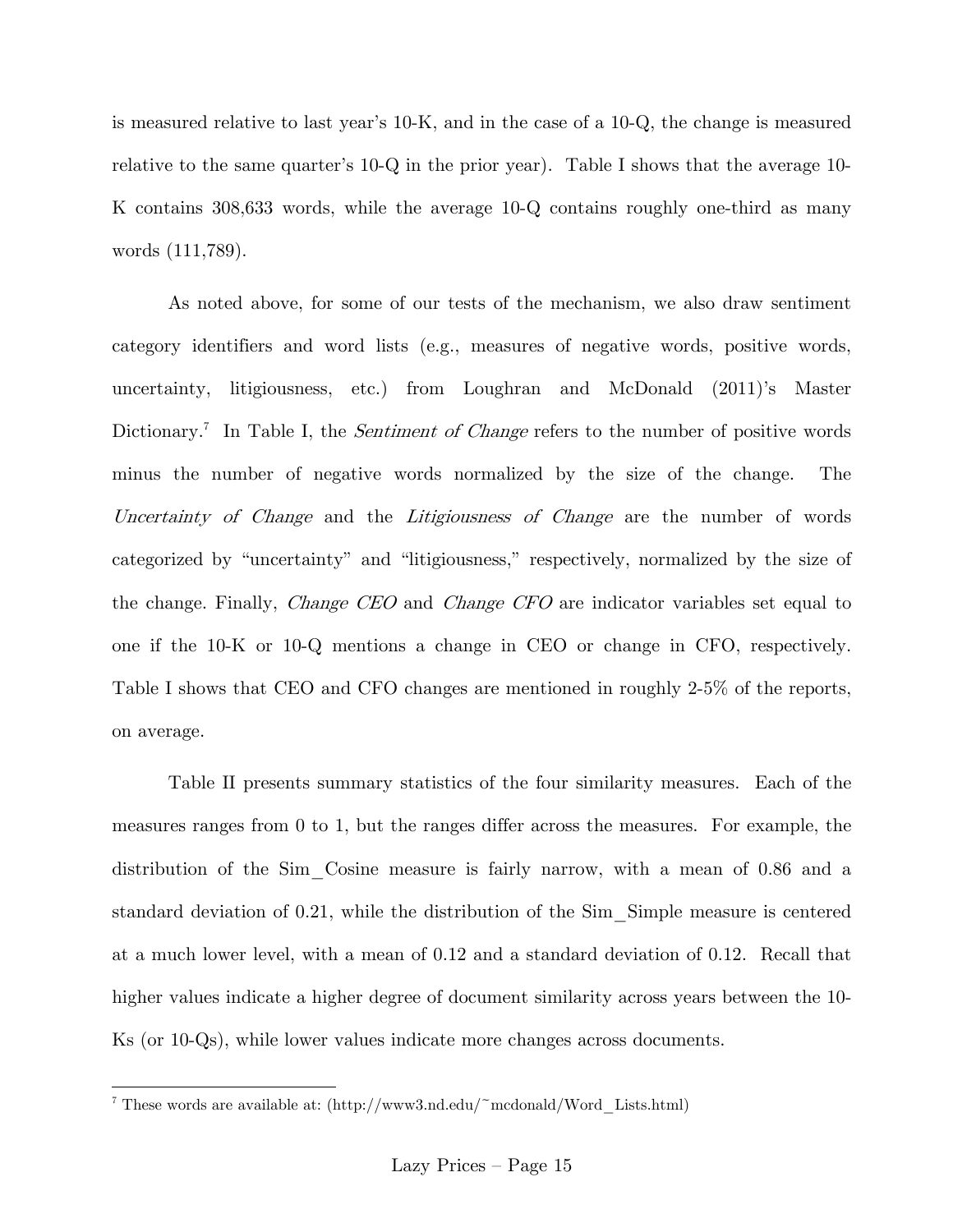is measured relative to last year's 10-K, and in the case of a 10-Q, the change is measured relative to the same quarter's 10-Q in the prior year). Table I shows that the average 10- K contains 308,633 words, while the average 10-Q contains roughly one-third as many words (111,789).

As noted above, for some of our tests of the mechanism, we also draw sentiment category identifiers and word lists (e.g., measures of negative words, positive words, uncertainty, litigiousness, etc.) from Loughran and McDonald (2011)'s Master Dictionary.<sup>7</sup> In Table I, the *Sentiment of Change* refers to the number of positive words minus the number of negative words normalized by the size of the change. The Uncertainty of Change and the Litigiousness of Change are the number of words categorized by "uncertainty" and "litigiousness," respectively, normalized by the size of the change. Finally, Change CEO and Change CFO are indicator variables set equal to one if the 10-K or 10-Q mentions a change in CEO or change in CFO, respectively. Table I shows that CEO and CFO changes are mentioned in roughly 2-5% of the reports, on average.

Table II presents summary statistics of the four similarity measures. Each of the measures ranges from 0 to 1, but the ranges differ across the measures. For example, the distribution of the Sim\_Cosine measure is fairly narrow, with a mean of 0.86 and a standard deviation of 0.21, while the distribution of the Sim\_Simple measure is centered at a much lower level, with a mean of 0.12 and a standard deviation of 0.12. Recall that higher values indicate a higher degree of document similarity across years between the 10- Ks (or 10-Qs), while lower values indicate more changes across documents.

 $\overline{a}$ 

<sup>&</sup>lt;sup>7</sup> These words are available at:  $\frac{http://www3.nd.edu/~mcdonald/Word-Lists.html)}{}$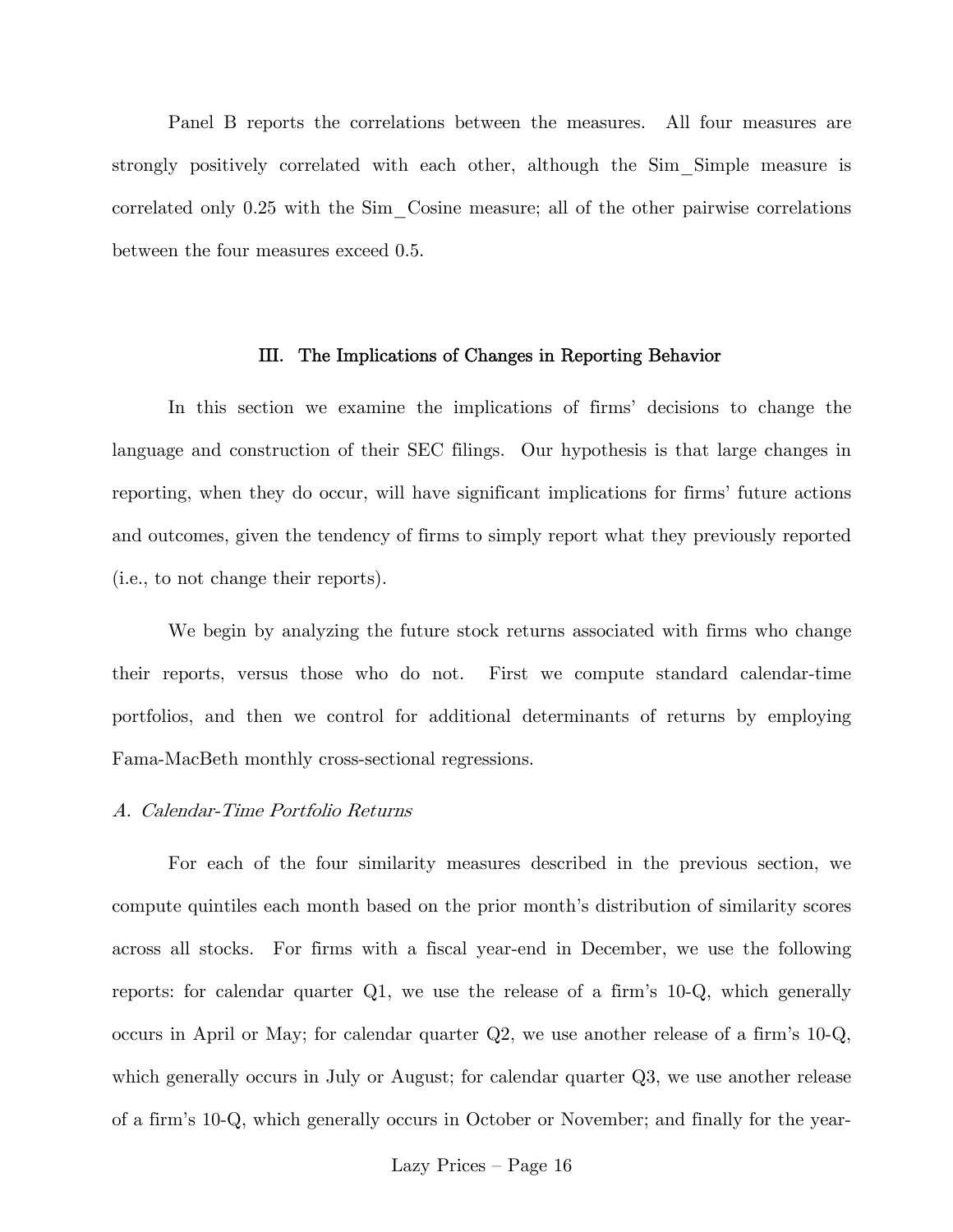Panel B reports the correlations between the measures. All four measures are strongly positively correlated with each other, although the Sim\_Simple measure is correlated only 0.25 with the Sim\_Cosine measure; all of the other pairwise correlations between the four measures exceed 0.5.

#### III. The Implications of Changes in Reporting Behavior

In this section we examine the implications of firms' decisions to change the language and construction of their SEC filings. Our hypothesis is that large changes in reporting, when they do occur, will have significant implications for firms' future actions and outcomes, given the tendency of firms to simply report what they previously reported (i.e., to not change their reports).

We begin by analyzing the future stock returns associated with firms who change their reports, versus those who do not. First we compute standard calendar-time portfolios, and then we control for additional determinants of returns by employing Fama-MacBeth monthly cross-sectional regressions.

#### A. Calendar-Time Portfolio Returns

For each of the four similarity measures described in the previous section, we compute quintiles each month based on the prior month's distribution of similarity scores across all stocks. For firms with a fiscal year-end in December, we use the following reports: for calendar quarter Q1, we use the release of a firm's 10-Q, which generally occurs in April or May; for calendar quarter Q2, we use another release of a firm's 10-Q, which generally occurs in July or August; for calendar quarter  $Q3$ , we use another release of a firm's 10-Q, which generally occurs in October or November; and finally for the year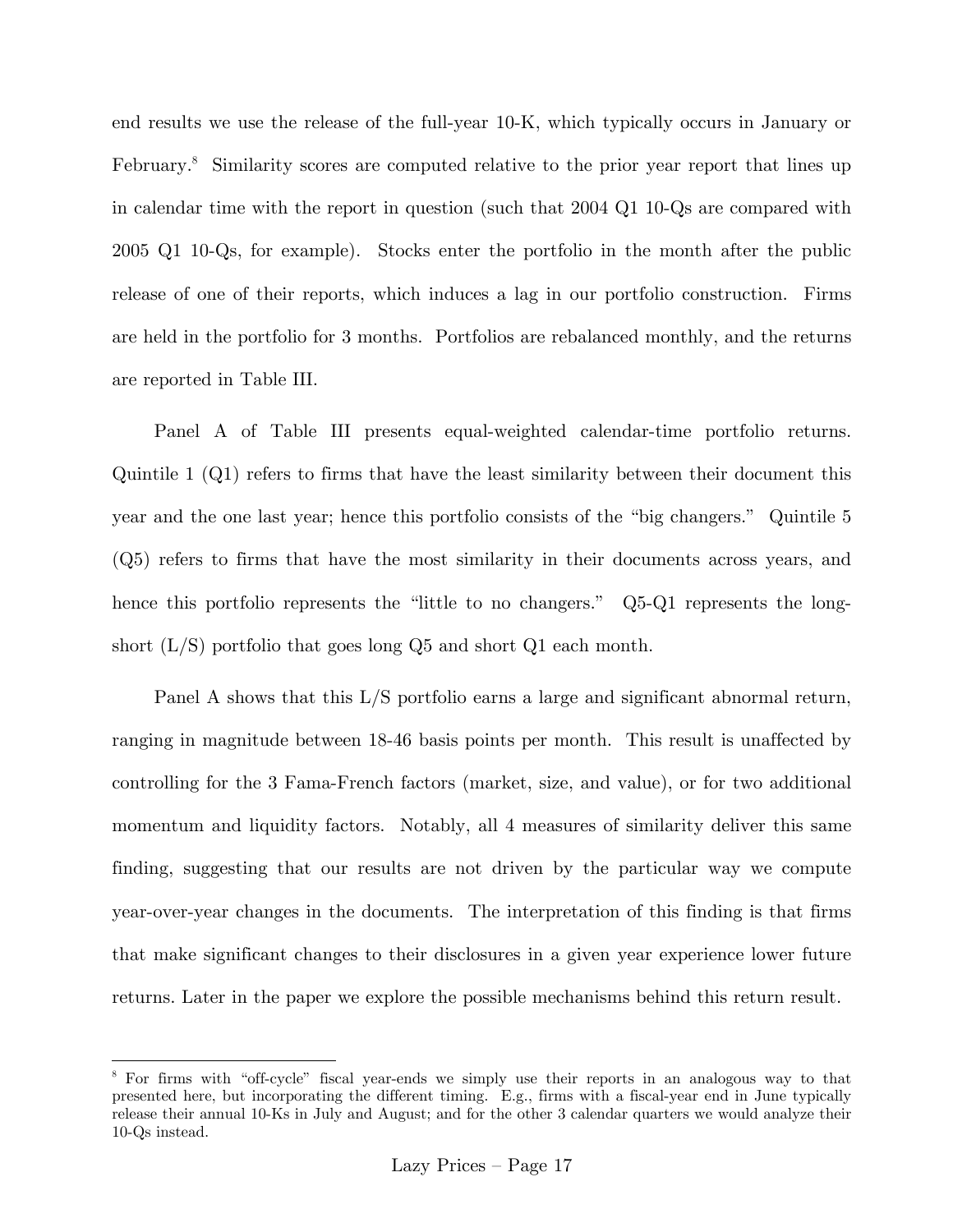end results we use the release of the full-year 10-K, which typically occurs in January or February.<sup>8</sup> Similarity scores are computed relative to the prior year report that lines up in calendar time with the report in question (such that 2004 Q1 10-Qs are compared with 2005 Q1 10-Qs, for example). Stocks enter the portfolio in the month after the public release of one of their reports, which induces a lag in our portfolio construction. Firms are held in the portfolio for 3 months. Portfolios are rebalanced monthly, and the returns are reported in Table III.

Panel A of Table III presents equal-weighted calendar-time portfolio returns. Quintile 1 (Q1) refers to firms that have the least similarity between their document this year and the one last year; hence this portfolio consists of the "big changers." Quintile 5 (Q5) refers to firms that have the most similarity in their documents across years, and hence this portfolio represents the "little to no changers." Q5-Q1 represents the longshort (L/S) portfolio that goes long Q5 and short Q1 each month.

Panel A shows that this L/S portfolio earns a large and significant abnormal return, ranging in magnitude between 18-46 basis points per month. This result is unaffected by controlling for the 3 Fama-French factors (market, size, and value), or for two additional momentum and liquidity factors. Notably, all 4 measures of similarity deliver this same finding, suggesting that our results are not driven by the particular way we compute year-over-year changes in the documents. The interpretation of this finding is that firms that make significant changes to their disclosures in a given year experience lower future returns. Later in the paper we explore the possible mechanisms behind this return result.

1

<sup>&</sup>lt;sup>8</sup> For firms with "off-cycle" fiscal year-ends we simply use their reports in an analogous way to that presented here, but incorporating the different timing. E.g., firms with a fiscal-year end in June typically release their annual 10-Ks in July and August; and for the other 3 calendar quarters we would analyze their 10-Qs instead.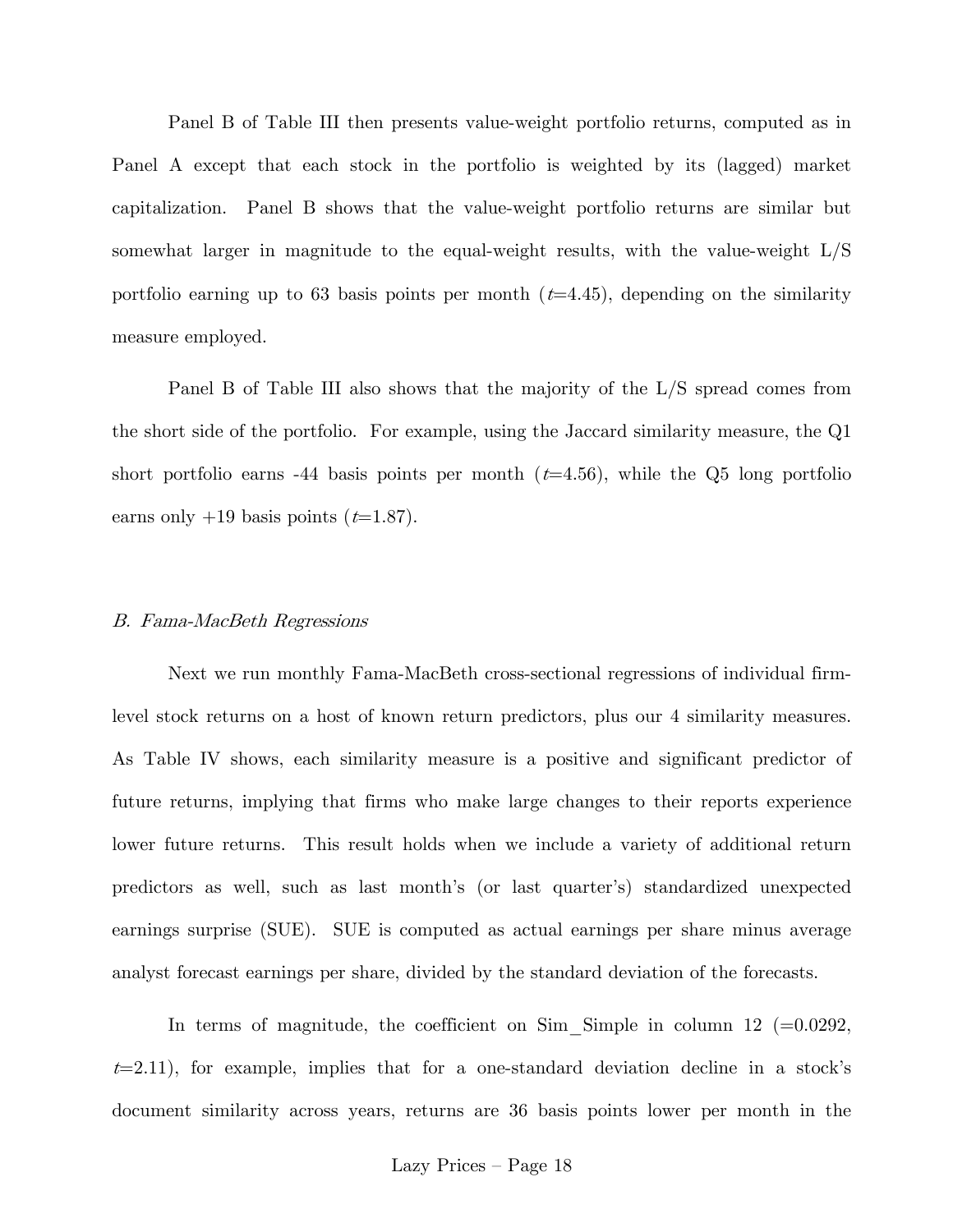Panel B of Table III then presents value-weight portfolio returns, computed as in Panel A except that each stock in the portfolio is weighted by its (lagged) market capitalization. Panel B shows that the value-weight portfolio returns are similar but somewhat larger in magnitude to the equal-weight results, with the value-weight L/S portfolio earning up to 63 basis points per month  $(t=4.45)$ , depending on the similarity measure employed.

Panel B of Table III also shows that the majority of the L/S spread comes from the short side of the portfolio. For example, using the Jaccard similarity measure, the Q1 short portfolio earns -44 basis points per month  $(t=4.56)$ , while the Q5 long portfolio earns only  $+19$  basis points ( $t=1.87$ ).

#### B. Fama-MacBeth Regressions

Next we run monthly Fama-MacBeth cross-sectional regressions of individual firmlevel stock returns on a host of known return predictors, plus our 4 similarity measures. As Table IV shows, each similarity measure is a positive and significant predictor of future returns, implying that firms who make large changes to their reports experience lower future returns. This result holds when we include a variety of additional return predictors as well, such as last month's (or last quarter's) standardized unexpected earnings surprise (SUE). SUE is computed as actual earnings per share minus average analyst forecast earnings per share, divided by the standard deviation of the forecasts.

In terms of magnitude, the coefficient on Sim Simple in column 12 ( $=0.0292$ ,  $t=2.11$ , for example, implies that for a one-standard deviation decline in a stock's document similarity across years, returns are 36 basis points lower per month in the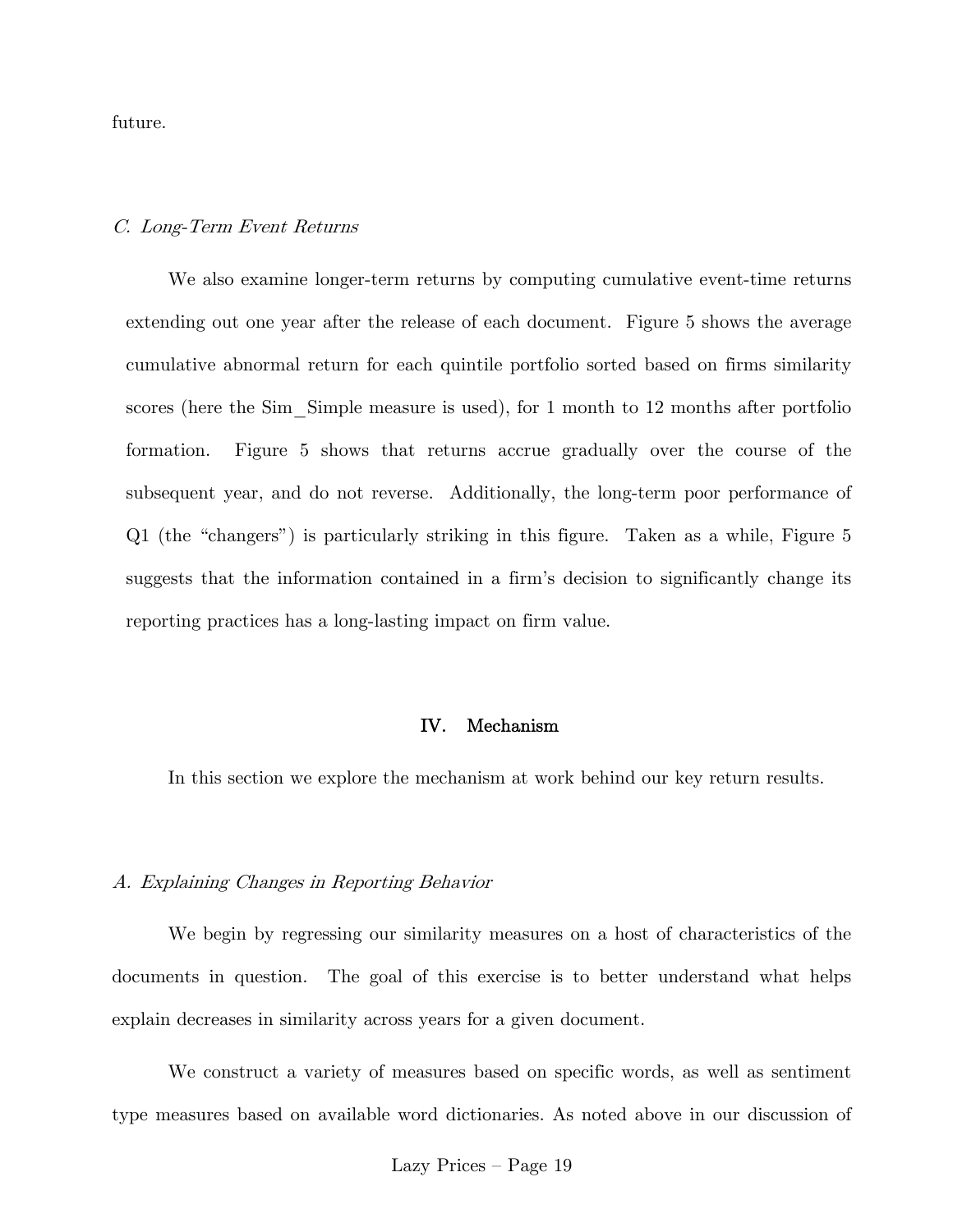future.

#### C. Long-Term Event Returns

We also examine longer-term returns by computing cumulative event-time returns extending out one year after the release of each document. Figure 5 shows the average cumulative abnormal return for each quintile portfolio sorted based on firms similarity scores (here the Sim Simple measure is used), for 1 month to 12 months after portfolio formation. Figure 5 shows that returns accrue gradually over the course of the subsequent year, and do not reverse. Additionally, the long-term poor performance of Q1 (the "changers") is particularly striking in this figure. Taken as a while, Figure 5 suggests that the information contained in a firm's decision to significantly change its reporting practices has a long-lasting impact on firm value.

### IV. Mechanism

In this section we explore the mechanism at work behind our key return results.

#### A. Explaining Changes in Reporting Behavior

We begin by regressing our similarity measures on a host of characteristics of the documents in question. The goal of this exercise is to better understand what helps explain decreases in similarity across years for a given document.

We construct a variety of measures based on specific words, as well as sentiment type measures based on available word dictionaries. As noted above in our discussion of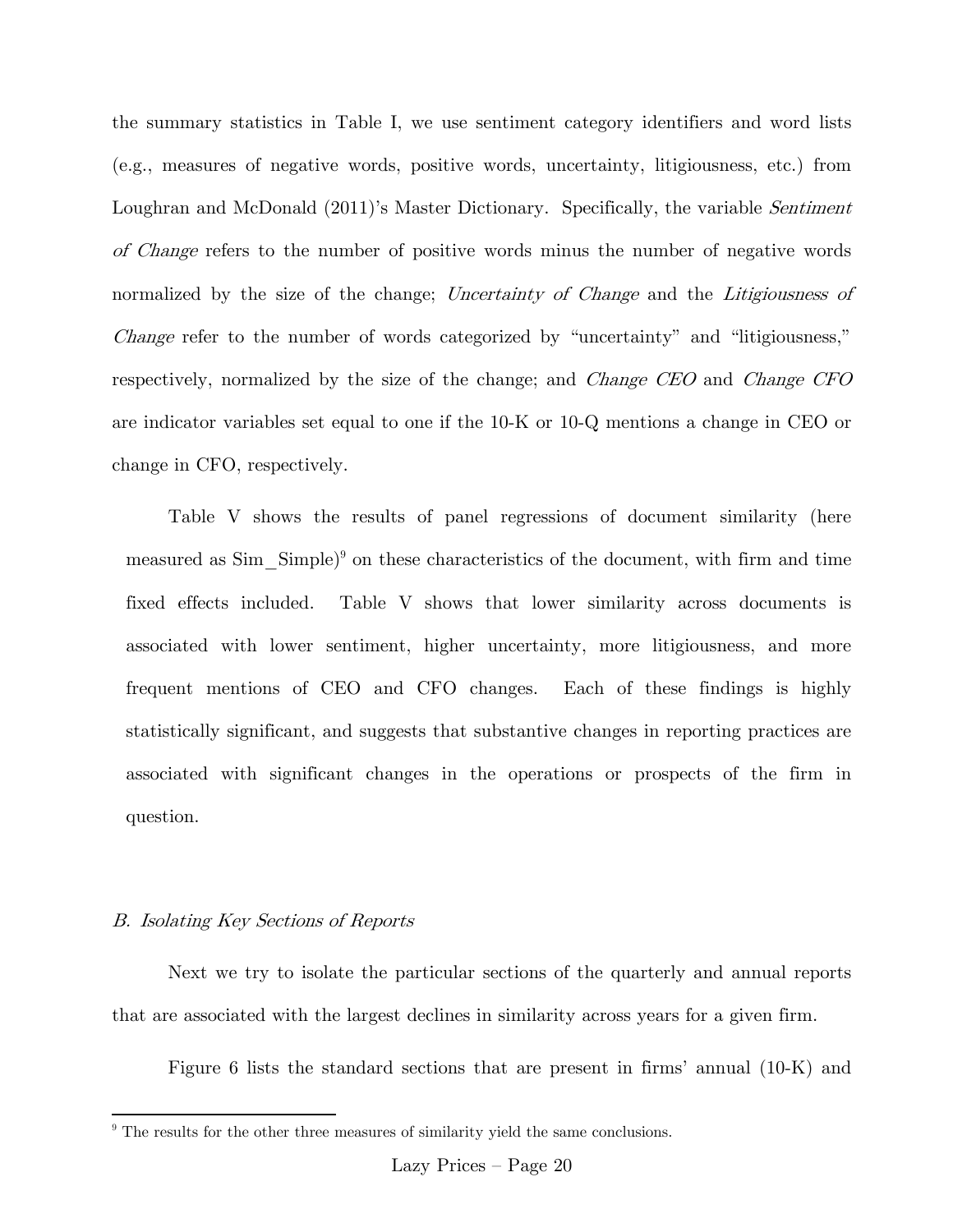the summary statistics in Table I, we use sentiment category identifiers and word lists (e.g., measures of negative words, positive words, uncertainty, litigiousness, etc.) from Loughran and McDonald (2011)'s Master Dictionary. Specifically, the variable *Sentiment* of Change refers to the number of positive words minus the number of negative words normalized by the size of the change; Uncertainty of Change and the Litigiousness of Change refer to the number of words categorized by "uncertainty" and "litigiousness," respectively, normalized by the size of the change; and Change CEO and Change CFO are indicator variables set equal to one if the 10-K or 10-Q mentions a change in CEO or change in CFO, respectively.

Table V shows the results of panel regressions of document similarity (here measured as  $Sim\_Simple)^9$  on these characteristics of the document, with firm and time fixed effects included. Table V shows that lower similarity across documents is associated with lower sentiment, higher uncertainty, more litigiousness, and more frequent mentions of CEO and CFO changes. Each of these findings is highly statistically significant, and suggests that substantive changes in reporting practices are associated with significant changes in the operations or prospects of the firm in question.

### B. Isolating Key Sections of Reports

1

 Next we try to isolate the particular sections of the quarterly and annual reports that are associated with the largest declines in similarity across years for a given firm.

Figure 6 lists the standard sections that are present in firms' annual (10-K) and

<sup>&</sup>lt;sup>9</sup> The results for the other three measures of similarity yield the same conclusions.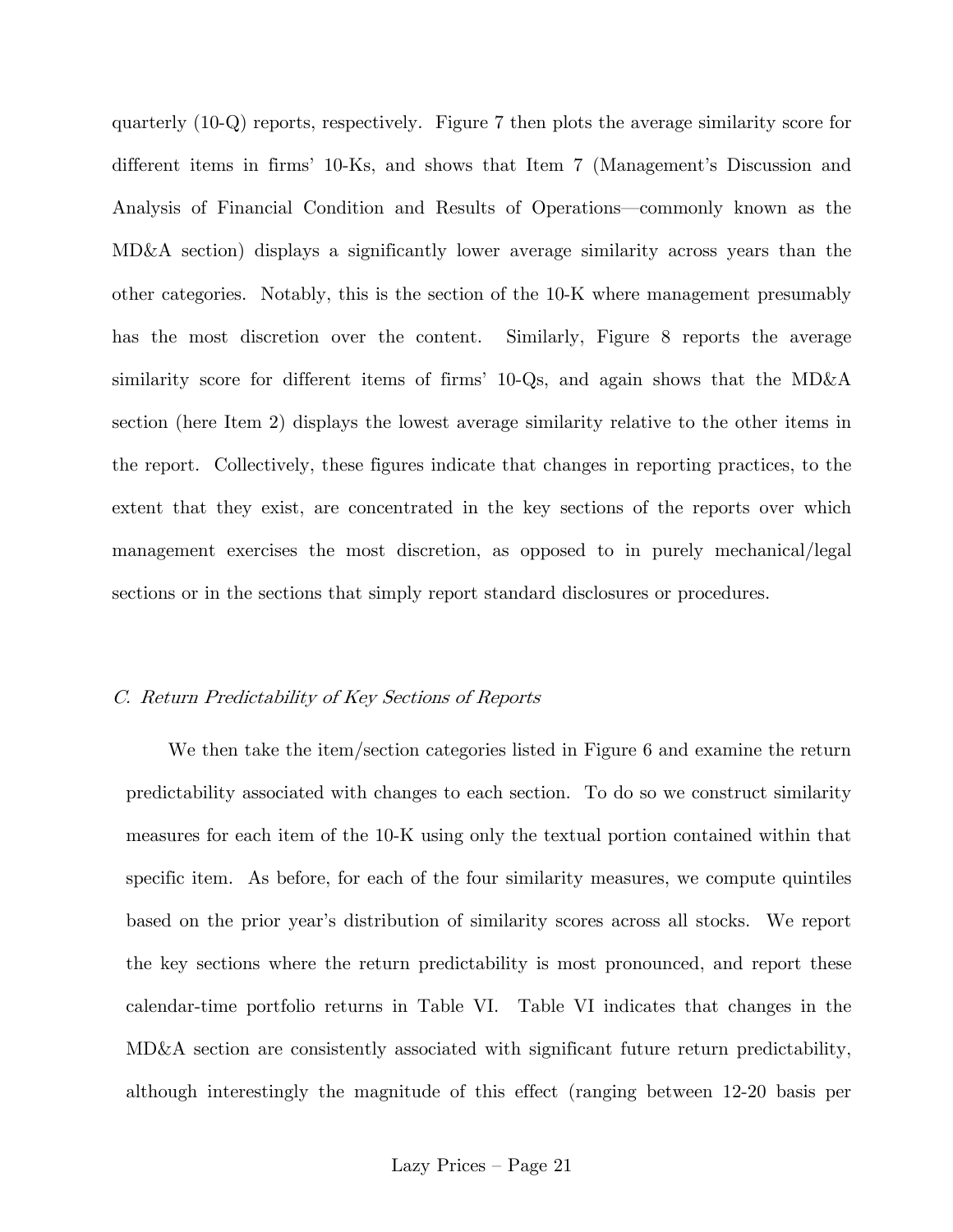quarterly (10-Q) reports, respectively. Figure 7 then plots the average similarity score for different items in firms' 10-Ks, and shows that Item 7 (Management's Discussion and Analysis of Financial Condition and Results of Operations–commonly known as the MD&A section) displays a significantly lower average similarity across years than the other categories. Notably, this is the section of the 10-K where management presumably has the most discretion over the content. Similarly, Figure 8 reports the average similarity score for different items of firms' 10-Qs, and again shows that the MD&A section (here Item 2) displays the lowest average similarity relative to the other items in the report. Collectively, these figures indicate that changes in reporting practices, to the extent that they exist, are concentrated in the key sections of the reports over which management exercises the most discretion, as opposed to in purely mechanical/legal sections or in the sections that simply report standard disclosures or procedures.

### C. Return Predictability of Key Sections of Reports

We then take the item/section categories listed in Figure 6 and examine the return predictability associated with changes to each section. To do so we construct similarity measures for each item of the 10-K using only the textual portion contained within that specific item. As before, for each of the four similarity measures, we compute quintiles based on the prior year's distribution of similarity scores across all stocks. We report the key sections where the return predictability is most pronounced, and report these calendar-time portfolio returns in Table VI. Table VI indicates that changes in the MD&A section are consistently associated with significant future return predictability, although interestingly the magnitude of this effect (ranging between 12-20 basis per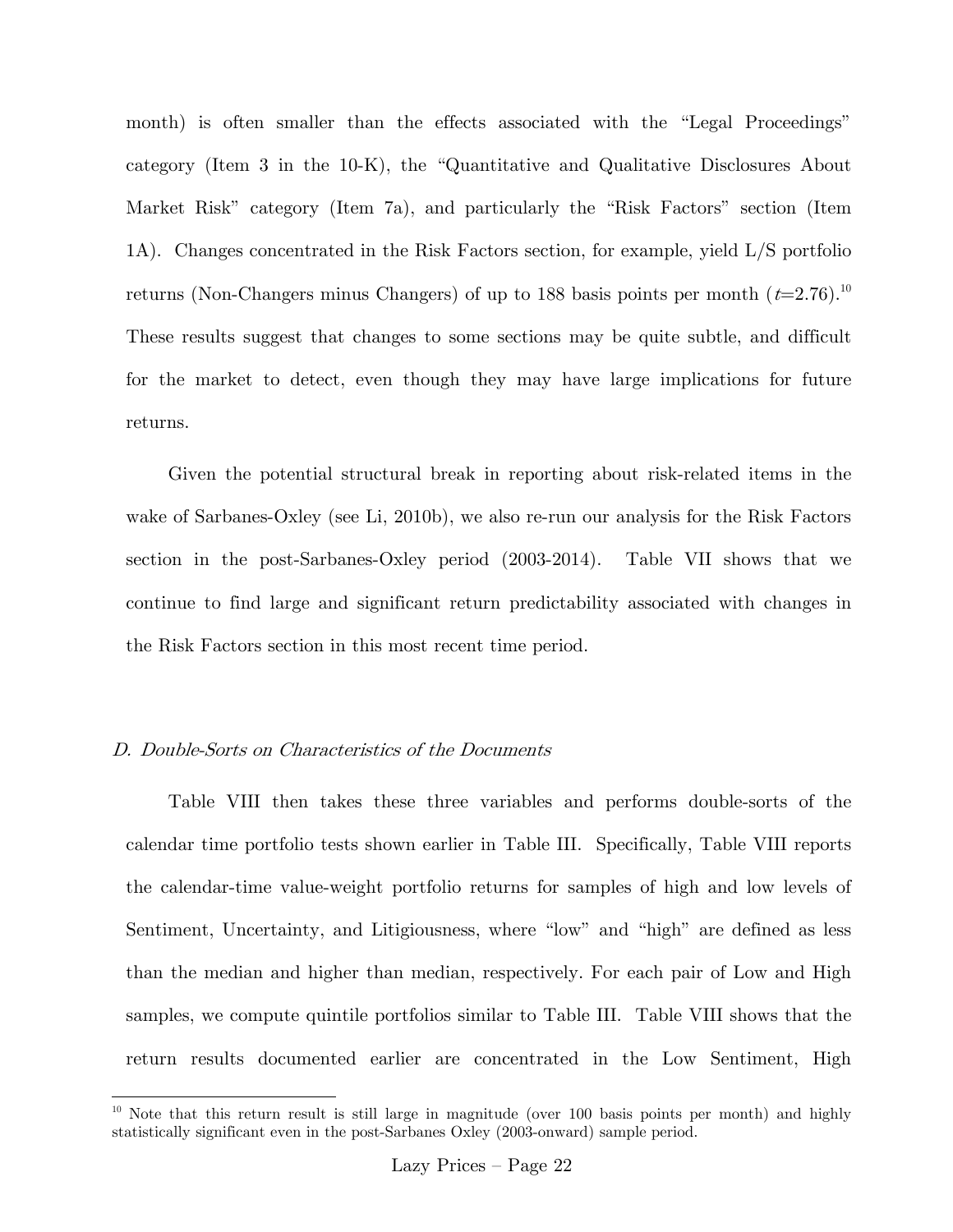month) is often smaller than the effects associated with the "Legal Proceedings" category (Item 3 in the 10-K), the "Quantitative and Qualitative Disclosures About Market Risk" category (Item 7a), and particularly the "Risk Factors" section (Item 1A). Changes concentrated in the Risk Factors section, for example, yield L/S portfolio returns (Non-Changers minus Changers) of up to 188 basis points per month  $(t=2.76)^{10}$ These results suggest that changes to some sections may be quite subtle, and difficult for the market to detect, even though they may have large implications for future returns.

Given the potential structural break in reporting about risk-related items in the wake of Sarbanes-Oxley (see Li, 2010b), we also re-run our analysis for the Risk Factors section in the post-Sarbanes-Oxley period (2003-2014). Table VII shows that we continue to find large and significant return predictability associated with changes in the Risk Factors section in this most recent time period.

#### D. Double-Sorts on Characteristics of the Documents

 $\overline{a}$ 

Table VIII then takes these three variables and performs double-sorts of the calendar time portfolio tests shown earlier in Table III. Specifically, Table VIII reports the calendar-time value-weight portfolio returns for samples of high and low levels of Sentiment, Uncertainty, and Litigiousness, where "low" and "high" are defined as less than the median and higher than median, respectively. For each pair of Low and High samples, we compute quintile portfolios similar to Table III. Table VIII shows that the return results documented earlier are concentrated in the Low Sentiment, High

<sup>&</sup>lt;sup>10</sup> Note that this return result is still large in magnitude (over  $100$  basis points per month) and highly statistically significant even in the post-Sarbanes Oxley (2003-onward) sample period.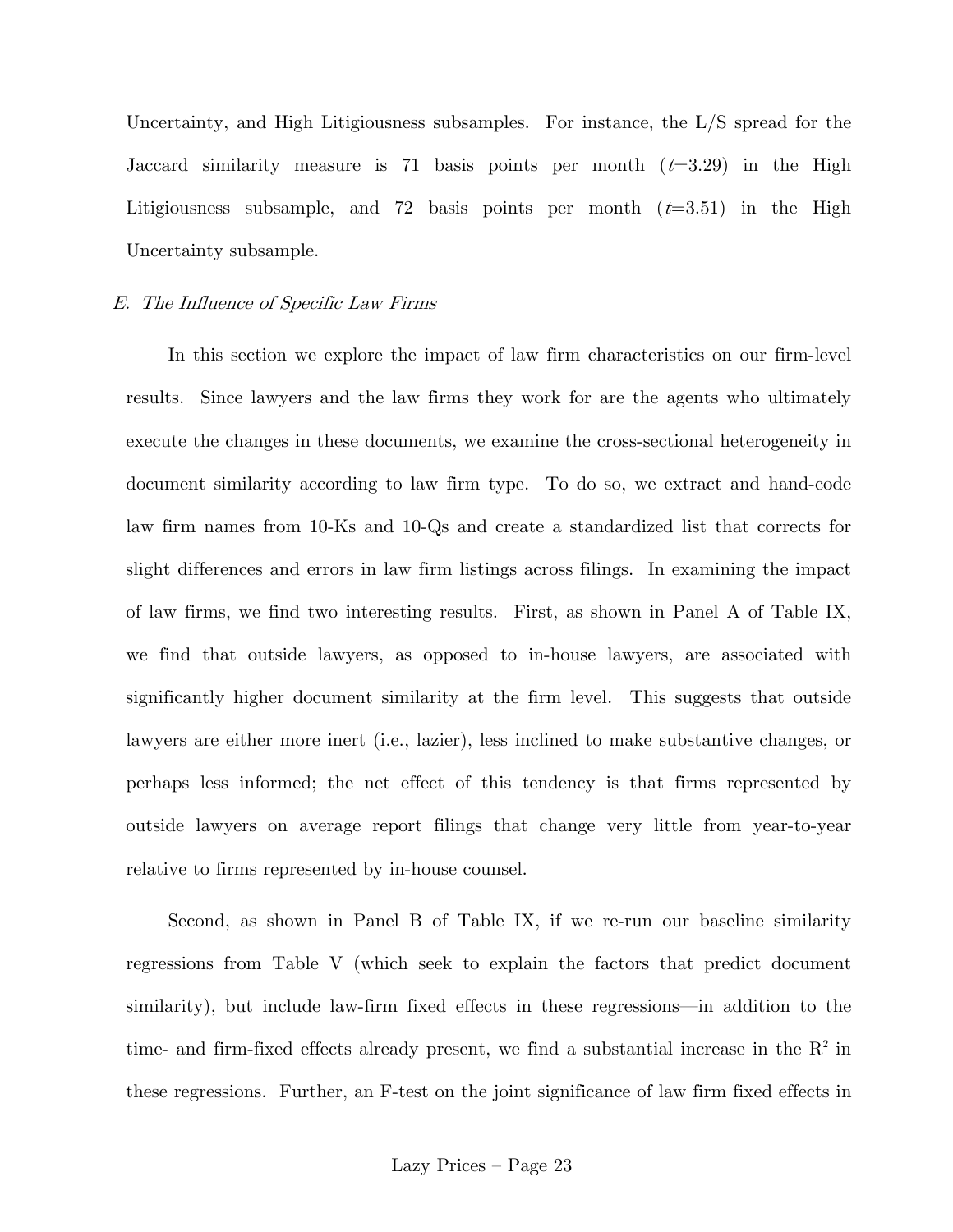Uncertainty, and High Litigiousness subsamples. For instance, the L/S spread for the Jaccard similarity measure is 71 basis points per month  $(t=3.29)$  in the High Litigiousness subsample, and 72 basis points per month  $(t=3.51)$  in the High Uncertainty subsample.

### E. The Influence of Specific Law Firms

In this section we explore the impact of law firm characteristics on our firm-level results. Since lawyers and the law firms they work for are the agents who ultimately execute the changes in these documents, we examine the cross-sectional heterogeneity in document similarity according to law firm type. To do so, we extract and hand-code law firm names from 10-Ks and 10-Qs and create a standardized list that corrects for slight differences and errors in law firm listings across filings. In examining the impact of law firms, we find two interesting results. First, as shown in Panel A of Table IX, we find that outside lawyers, as opposed to in-house lawyers, are associated with significantly higher document similarity at the firm level. This suggests that outside lawyers are either more inert (i.e., lazier), less inclined to make substantive changes, or perhaps less informed; the net effect of this tendency is that firms represented by outside lawyers on average report filings that change very little from year-to-year relative to firms represented by in-house counsel.

Second, as shown in Panel B of Table IX, if we re-run our baseline similarity regressions from Table V (which seek to explain the factors that predict document similarity), but include law-firm fixed effects in these regressions–in addition to the time- and firm-fixed effects already present, we find a substantial increase in the  $R^2$  in these regressions. Further, an F-test on the joint significance of law firm fixed effects in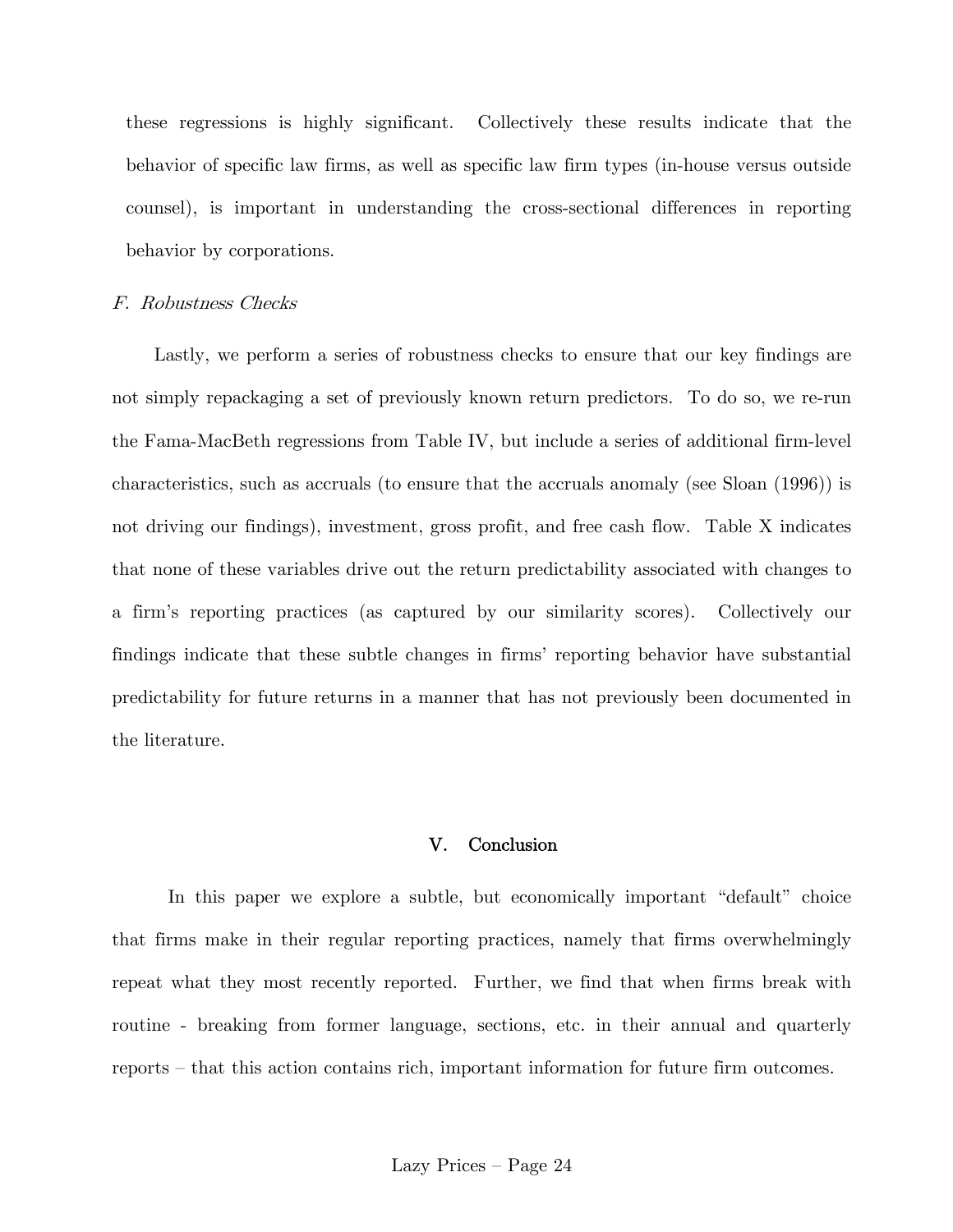these regressions is highly significant. Collectively these results indicate that the behavior of specific law firms, as well as specific law firm types (in-house versus outside counsel), is important in understanding the cross-sectional differences in reporting behavior by corporations.

#### F. Robustness Checks

Lastly, we perform a series of robustness checks to ensure that our key findings are not simply repackaging a set of previously known return predictors. To do so, we re-run the Fama-MacBeth regressions from Table IV, but include a series of additional firm-level characteristics, such as accruals (to ensure that the accruals anomaly (see Sloan (1996)) is not driving our findings), investment, gross profit, and free cash flow. Table X indicates that none of these variables drive out the return predictability associated with changes to a firm's reporting practices (as captured by our similarity scores). Collectively our findings indicate that these subtle changes in firms' reporting behavior have substantial predictability for future returns in a manner that has not previously been documented in the literature.

#### V. Conclusion

In this paper we explore a subtle, but economically important "default" choice that firms make in their regular reporting practices, namely that firms overwhelmingly repeat what they most recently reported. Further, we find that when firms break with routine - breaking from former language, sections, etc. in their annual and quarterly reports — that this action contains rich, important information for future firm outcomes.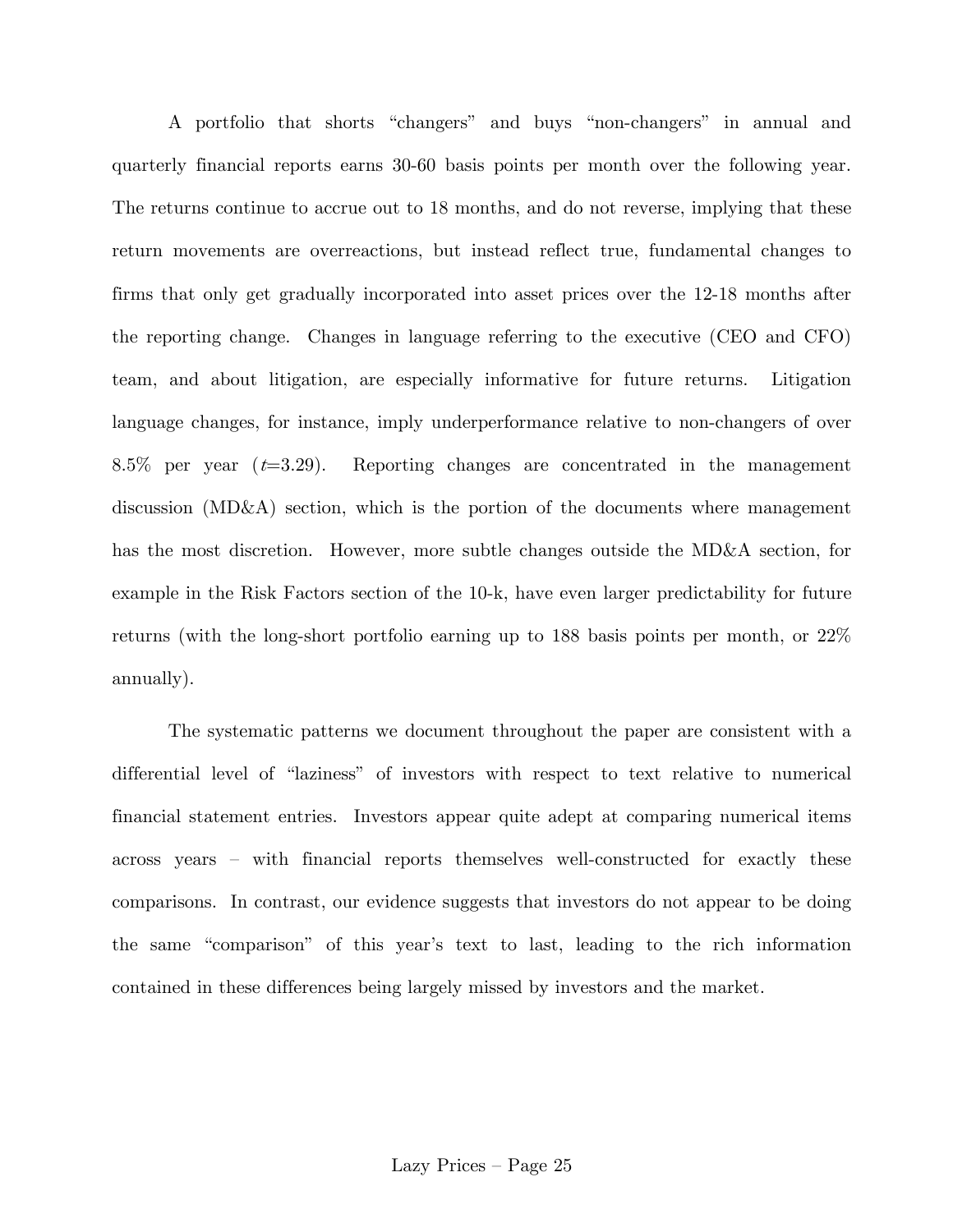A portfolio that shorts "changers" and buys "non-changers" in annual and quarterly financial reports earns 30-60 basis points per month over the following year. The returns continue to accrue out to 18 months, and do not reverse, implying that these return movements are overreactions, but instead reflect true, fundamental changes to firms that only get gradually incorporated into asset prices over the 12-18 months after the reporting change. Changes in language referring to the executive (CEO and CFO) team, and about litigation, are especially informative for future returns. Litigation language changes, for instance, imply underperformance relative to non-changers of over 8.5% per year  $(t=3.29)$ . Reporting changes are concentrated in the management discussion (MD&A) section, which is the portion of the documents where management has the most discretion. However, more subtle changes outside the MD&A section, for example in the Risk Factors section of the 10-k, have even larger predictability for future returns (with the long-short portfolio earning up to 188 basis points per month, or 22% annually).

The systematic patterns we document throughout the paper are consistent with a differential level of "laziness" of investors with respect to text relative to numerical financial statement entries. Investors appear quite adept at comparing numerical items across years — with financial reports themselves well-constructed for exactly these comparisons. In contrast, our evidence suggests that investors do not appear to be doing the same "comparison" of this year's text to last, leading to the rich information contained in these differences being largely missed by investors and the market.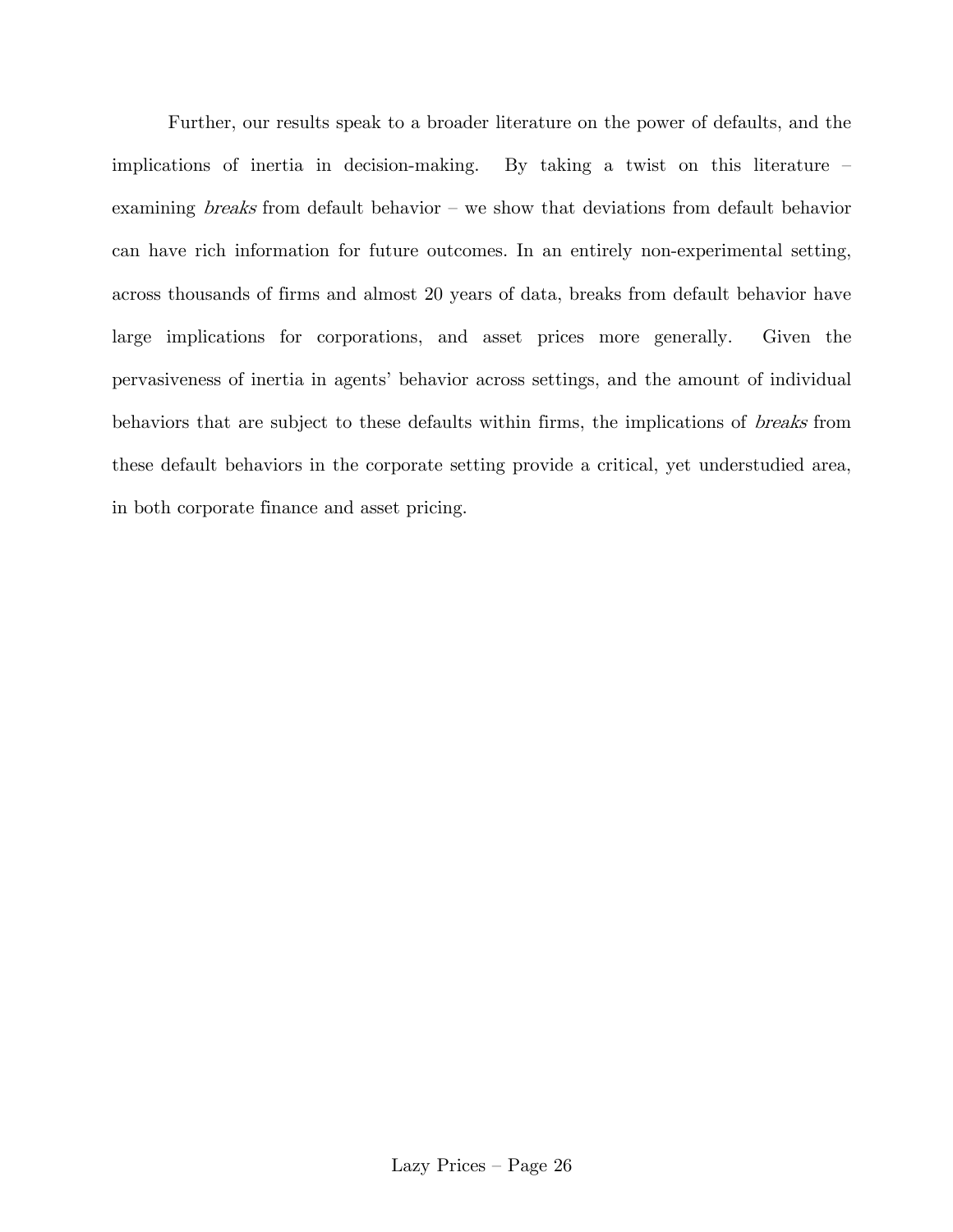Further, our results speak to a broader literature on the power of defaults, and the implications of inertia in decision-making. By taking a twist on this literature examining breaks from default behavior – we show that deviations from default behavior can have rich information for future outcomes. In an entirely non-experimental setting, across thousands of firms and almost 20 years of data, breaks from default behavior have large implications for corporations, and asset prices more generally. Given the pervasiveness of inertia in agents' behavior across settings, and the amount of individual behaviors that are subject to these defaults within firms, the implications of breaks from these default behaviors in the corporate setting provide a critical, yet understudied area, in both corporate finance and asset pricing.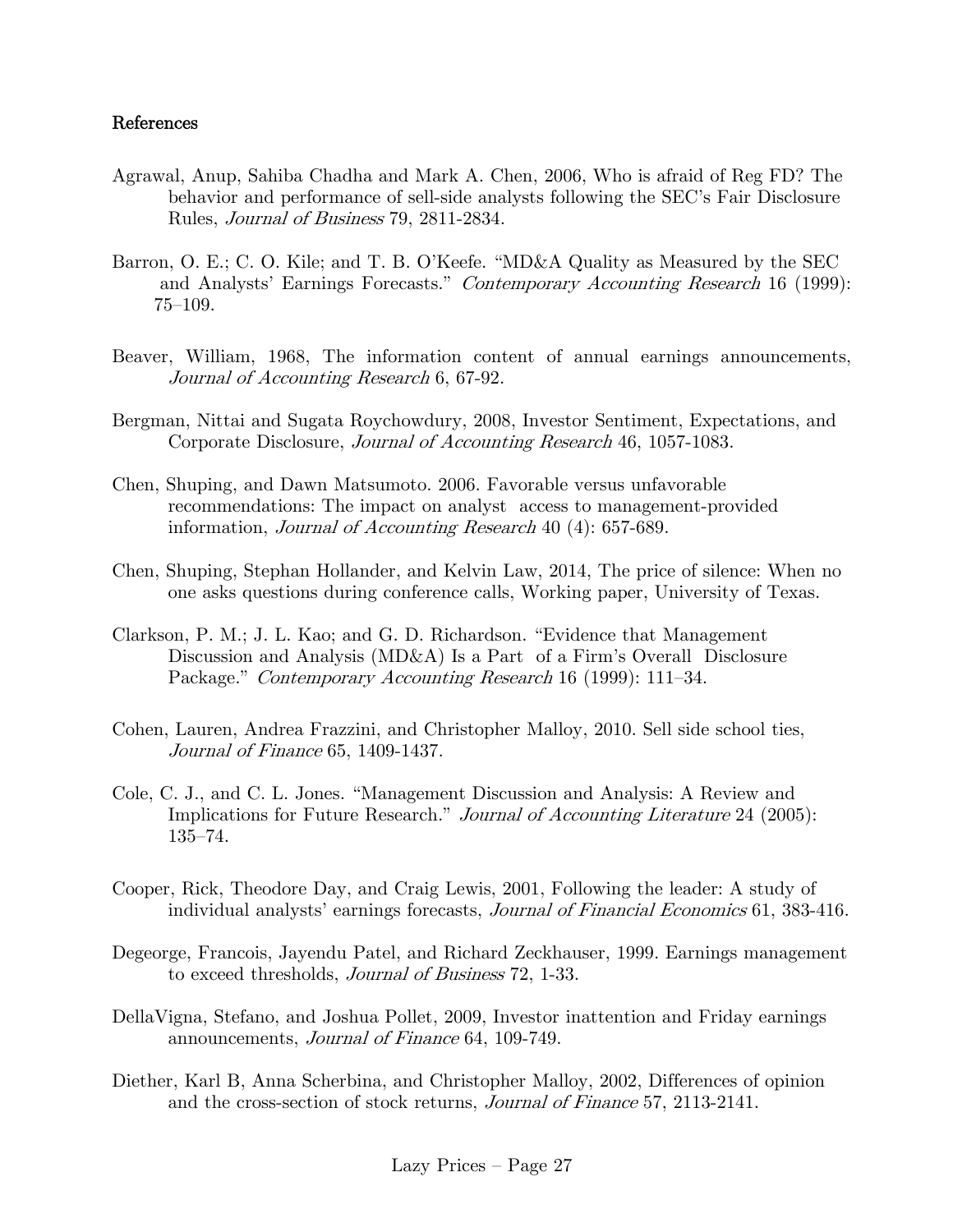## References

- Agrawal, Anup, Sahiba Chadha and Mark A. Chen, 2006, Who is afraid of Reg FD? The behavior and performance of sell-side analysts following the SEC's Fair Disclosure Rules, Journal of Business 79, 2811-2834.
- Barron, O. E.; C. O. Kile; and T. B. O'Keefe. "MD&A Quality as Measured by the SEC and Analysts' Earnings Forecasts." Contemporary Accounting Research 16 (1999): 75—109.
- Beaver, William, 1968, The information content of annual earnings announcements, Journal of Accounting Research 6, 67-92.
- Bergman, Nittai and Sugata Roychowdury, 2008, Investor Sentiment, Expectations, and Corporate Disclosure, Journal of Accounting Research 46, 1057-1083.
- Chen, Shuping, and Dawn Matsumoto. 2006. Favorable versus unfavorable recommendations: The impact on analyst' access to management-provided information, Journal of Accounting Research 40 (4): 657-689.
- Chen, Shuping, Stephan Hollander, and Kelvin Law, 2014, The price of silence: When no one asks questions during conference calls, Working paper, University of Texas.
- Clarkson, P. M.; J. L. Kao; and G. D. Richardson. "Evidence that Management Discussion and Analysis (MD&A) Is a Part of a Firm's Overall Disclosure Package." Contemporary Accounting Research 16 (1999): 111–34.
- Cohen, Lauren, Andrea Frazzini, and Christopher Malloy, 2010. Sell side school ties, Journal of Finance 65, 1409-1437.
- Cole, C. J., and C. L. Jones. "Management Discussion and Analysis: A Review and Implications for Future Research." Journal of Accounting Literature 24 (2005): 135—74.
- Cooper, Rick, Theodore Day, and Craig Lewis, 2001, Following the leader: A study of individual analysts' earnings forecasts, Journal of Financial Economics 61, 383-416.
- Degeorge, Francois, Jayendu Patel, and Richard Zeckhauser, 1999. Earnings management to exceed thresholds, Journal of Business 72, 1-33.
- DellaVigna, Stefano, and Joshua Pollet, 2009, Investor inattention and Friday earnings announcements, Journal of Finance 64, 109-749.
- Diether, Karl B, Anna Scherbina, and Christopher Malloy, 2002, Differences of opinion and the cross-section of stock returns, Journal of Finance 57, 2113-2141.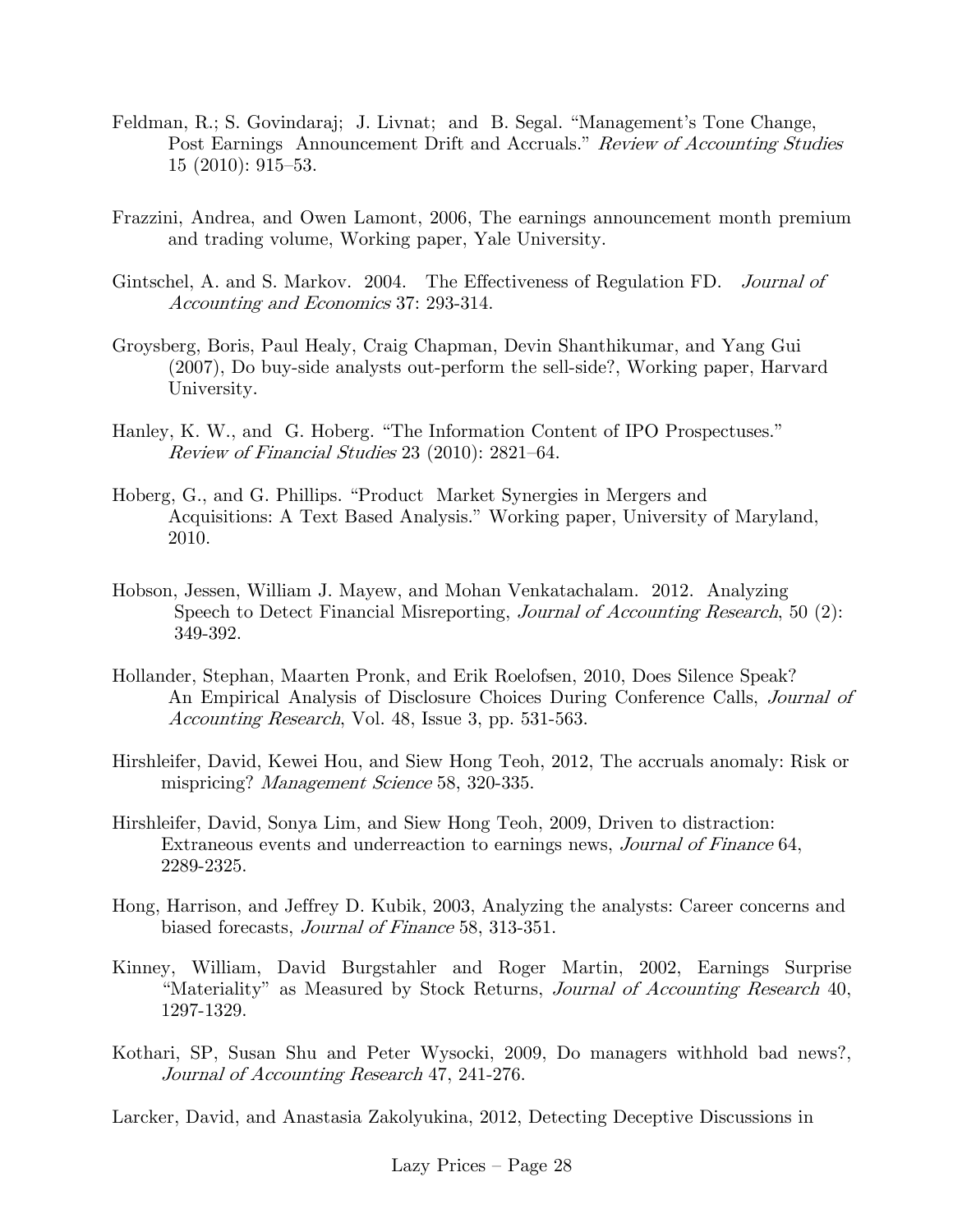- Feldman, R.; S. Govindaraj; J. Livnat; and B. Segal. "Management's Tone Change, Post Earnings Announcement Drift and Accruals." Review of Accounting Studies 15 (2010): 915—53.
- Frazzini, Andrea, and Owen Lamont, 2006, The earnings announcement month premium and trading volume, Working paper, Yale University.
- Gintschel, A. and S. Markov. 2004. The Effectiveness of Regulation FD. *Journal of* Accounting and Economics 37: 293-314.
- Groysberg, Boris, Paul Healy, Craig Chapman, Devin Shanthikumar, and Yang Gui (2007), Do buy-side analysts out-perform the sell-side?, Working paper, Harvard University.
- Hanley, K. W., and G. Hoberg. "The Information Content of IPO Prospectuses." Review of Financial Studies 23 (2010): 2821—64.
- Hoberg, G., and G. Phillips. "Product Market Synergies in Mergers and Acquisitions: A Text Based Analysis." Working paper, University of Maryland, 2010.
- Hobson, Jessen, William J. Mayew, and Mohan Venkatachalam. 2012. Analyzing Speech to Detect Financial Misreporting, *Journal of Accounting Research*, 50 (2): 349-392.
- Hollander, Stephan, Maarten Pronk, and Erik Roelofsen, 2010, Does Silence Speak? An Empirical Analysis of Disclosure Choices During Conference Calls, Journal of Accounting Research, Vol. 48, Issue 3, pp. 531-563.
- Hirshleifer, David, Kewei Hou, and Siew Hong Teoh, 2012, The accruals anomaly: Risk or mispricing? *Management Science* 58, 320-335.
- Hirshleifer, David, Sonya Lim, and Siew Hong Teoh, 2009, Driven to distraction: Extraneous events and underreaction to earnings news, Journal of Finance 64, 2289-2325.
- Hong, Harrison, and Jeffrey D. Kubik, 2003, Analyzing the analysts: Career concerns and biased forecasts, Journal of Finance 58, 313-351.
- Kinney, William, David Burgstahler and Roger Martin, 2002, Earnings Surprise "Materiality" as Measured by Stock Returns, Journal of Accounting Research 40, 1297-1329.
- Kothari, SP, Susan Shu and Peter Wysocki, 2009, Do managers withhold bad news?, Journal of Accounting Research 47, 241-276.

Larcker, David, and Anastasia Zakolyukina, 2012, Detecting Deceptive Discussions in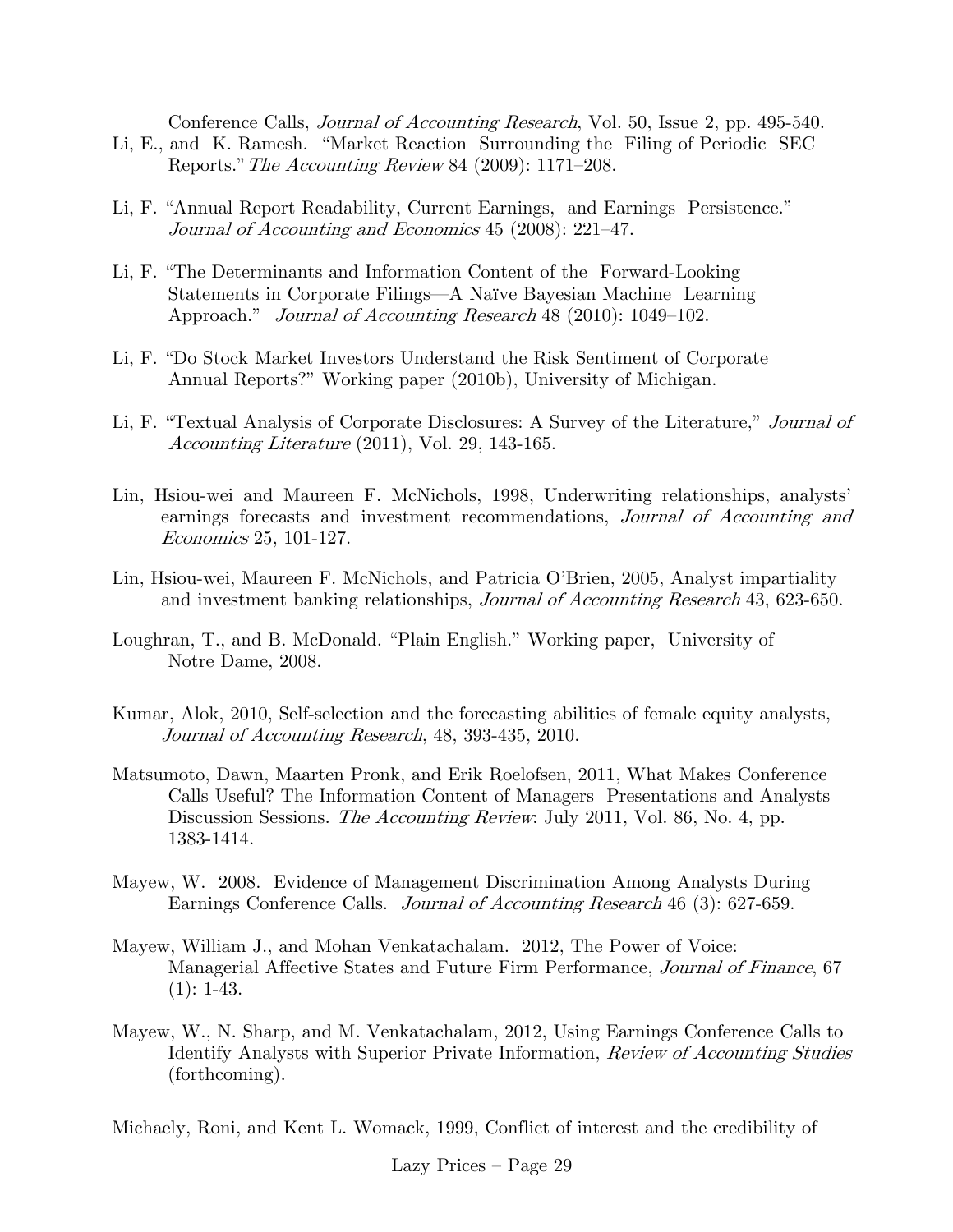Conference Calls, Journal of Accounting Research, Vol. 50, Issue 2, pp. 495-540.

- Li, E., and K. Ramesh. "Market Reaction Surrounding the Filing of Periodic SEC Reports."The Accounting Review 84 (2009): 1171—208.
- Li, F. "Annual Report Readability, Current Earnings, and Earnings Persistence." Journal of Accounting and Economics 45 (2008): 221—47.
- Li, F. "The Determinants and Information Content of the Forward-Looking Statements in Corporate Filings–A Naïve Bayesian Machine Learning Approach." *Journal of Accounting Research* 48 (2010): 1049–102.
- Li, F. "Do Stock Market Investors Understand the Risk Sentiment of Corporate Annual Reports?" Working paper (2010b), University of Michigan.
- Li, F. "Textual Analysis of Corporate Disclosures: A Survey of the Literature," Journal of Accounting Literature (2011), Vol. 29, 143-165.
- Lin, Hsiou-wei and Maureen F. McNichols, 1998, Underwriting relationships, analysts' earnings forecasts and investment recommendations, Journal of Accounting and Economics 25, 101-127.
- Lin, Hsiou-wei, Maureen F. McNichols, and Patricia O'Brien, 2005, Analyst impartiality and investment banking relationships, *Journal of Accounting Research* 43, 623-650.
- Loughran, T., and B. McDonald. "Plain English." Working paper, University of Notre Dame, 2008.
- Kumar, Alok, 2010, Self-selection and the forecasting abilities of female equity analysts, Journal of Accounting Research, 48, 393-435, 2010.
- Matsumoto, Dawn, Maarten Pronk, and Erik Roelofsen, 2011, What Makes Conference Calls Useful? The Information Content of Managers' Presentations and Analysts Discussion Sessions. *The Accounting Review*: July 2011, Vol. 86, No. 4, pp. 1383-1414.
- Mayew, W. 2008. Evidence of Management Discrimination Among Analysts During Earnings Conference Calls. Journal of Accounting Research 46 (3): 627-659.
- Mayew, William J., and Mohan Venkatachalam. 2012, The Power of Voice: Managerial Affective States and Future Firm Performance, Journal of Finance, 67  $(1): 1-43.$
- Mayew, W., N. Sharp, and M. Venkatachalam, 2012, Using Earnings Conference Calls to Identify Analysts with Superior Private Information, *Review of Accounting Studies* (forthcoming).

Michaely, Roni, and Kent L. Womack, 1999, Conflict of interest and the credibility of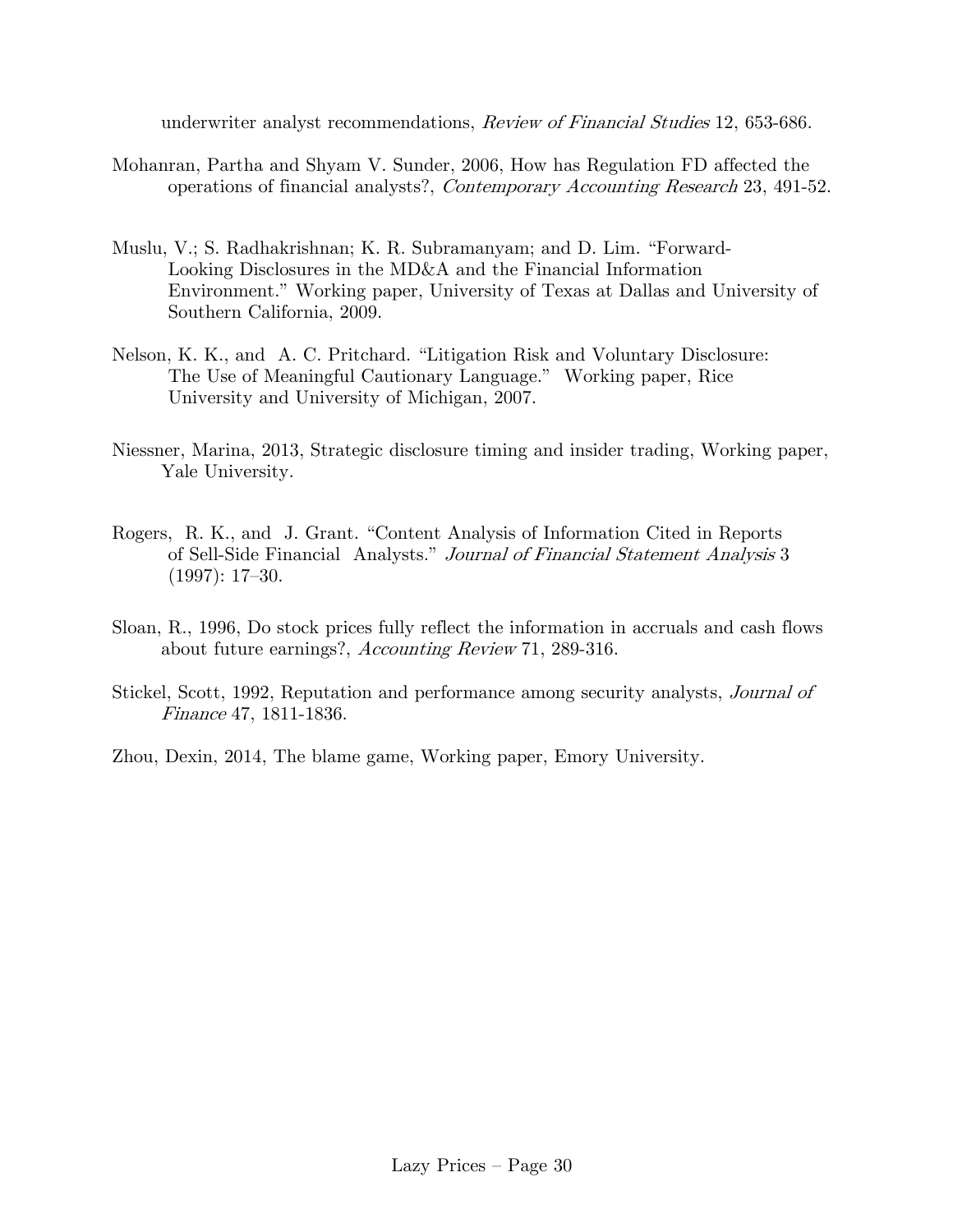underwriter analyst recommendations, *Review of Financial Studies* 12, 653-686.

- Mohanran, Partha and Shyam V. Sunder, 2006, How has Regulation FD affected the operations of financial analysts?, Contemporary Accounting Research 23, 491-52.
- Muslu, V.; S. Radhakrishnan; K. R. Subramanyam; and D. Lim. "Forward- Looking Disclosures in the MD&A and the Financial Information Environment." Working paper, University of Texas at Dallas and University of Southern California, 2009.
- Nelson, K. K., and A. C. Pritchard. "Litigation Risk and Voluntary Disclosure: The Use of Meaningful Cautionary Language." Working paper, Rice University and University of Michigan, 2007.
- Niessner, Marina, 2013, Strategic disclosure timing and insider trading, Working paper, Yale University.
- Rogers, R. K., and J. Grant. "Content Analysis of Information Cited in Reports of Sell-Side Financial Analysts." Journal of Financial Statement Analysis 3 (1997): 17—30.
- Sloan, R., 1996, Do stock prices fully reflect the information in accruals and cash flows about future earnings?, Accounting Review 71, 289-316.
- Stickel, Scott, 1992, Reputation and performance among security analysts, Journal of Finance 47, 1811-1836.

Zhou, Dexin, 2014, The blame game, Working paper, Emory University.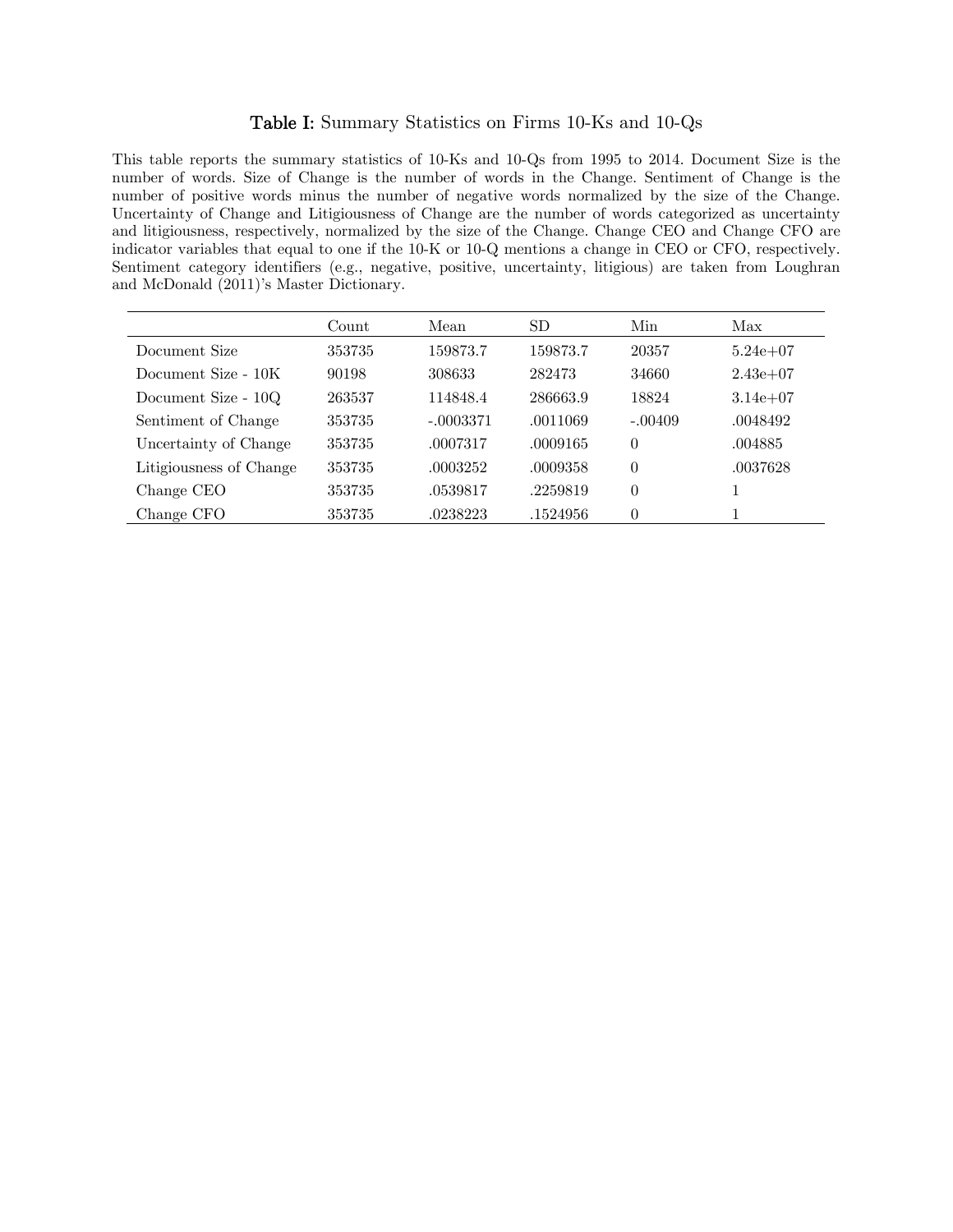#### Table I: Summary Statistics on Firms 10-Ks and 10-Qs

This table reports the summary statistics of 10-Ks and 10-Qs from 1995 to 2014. Document Size is the number of words. Size of Change is the number of words in the Change. Sentiment of Change is the number of positive words minus the number of negative words normalized by the size of the Change. Uncertainty of Change and Litigiousness of Change are the number of words categorized as uncertainty and litigiousness, respectively, normalized by the size of the Change. Change CEO and Change CFO are indicator variables that equal to one if the 10-K or 10-Q mentions a change in CEO or CFO, respectively. Sentiment category identifiers (e.g., negative, positive, uncertainty, litigious) are taken from Loughran and McDonald (2011)'s Master Dictionary.

|                         | Count  | Mean        | SD       | Min            | Max          |
|-------------------------|--------|-------------|----------|----------------|--------------|
| Document Size           | 353735 | 159873.7    | 159873.7 | 20357          | $5.24e+07$   |
| Document Size - 10K     | 90198  | 308633      | 282473   | 34660          | $2.43e+07$   |
| Document Size - 10Q     | 263537 | 114848.4    | 286663.9 | 18824          | $3.14e + 07$ |
| Sentiment of Change     | 353735 | $-.0003371$ | .0011069 | $-.00409$      | .0048492     |
| Uncertainty of Change   | 353735 | .0007317    | .0009165 | $\theta$       | .004885      |
| Litigiousness of Change | 353735 | .0003252    | .0009358 | $\theta$       | .0037628     |
| Change CEO              | 353735 | .0539817    | .2259819 | $\overline{0}$ |              |
| Change CFO              | 353735 | .0238223    | .1524956 | $\theta$       |              |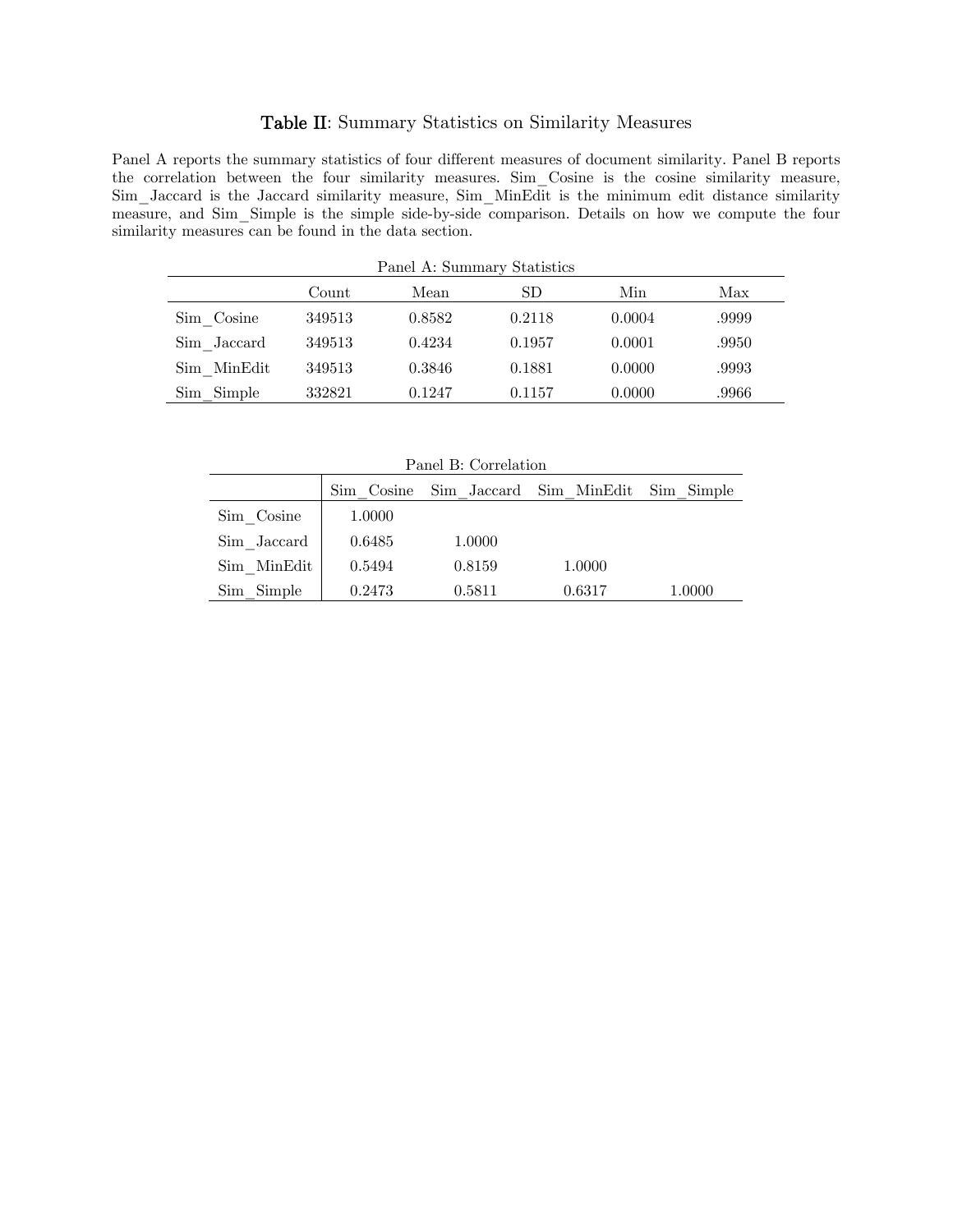### Table II: Summary Statistics on Similarity Measures

Panel A reports the summary statistics of four different measures of document similarity. Panel B reports the correlation between the four similarity measures. Sim\_Cosine is the cosine similarity measure, Sim\_Jaccard is the Jaccard similarity measure, Sim\_MinEdit is the minimum edit distance similarity measure, and Sim Simple is the simple side-by-side comparison. Details on how we compute the four similarity measures can be found in the data section.

| Panel A: Summary Statistics |        |        |        |        |       |  |  |  |  |  |  |
|-----------------------------|--------|--------|--------|--------|-------|--|--|--|--|--|--|
|                             | Count  | Mean   | SD     | Min    | Max   |  |  |  |  |  |  |
| Sim Cosine                  | 349513 | 0.8582 | 0.2118 | 0.0004 | .9999 |  |  |  |  |  |  |
| Sim Jaccard                 | 349513 | 0.4234 | 0.1957 | 0.0001 | .9950 |  |  |  |  |  |  |
| Sim MinEdit                 | 349513 | 0.3846 | 0.1881 | 0.0000 | .9993 |  |  |  |  |  |  |
| Sim Simple                  | 332821 | 0.1247 | 0.1157 | 0.0000 | .9966 |  |  |  |  |  |  |

| Panel B: Correlation |                                                  |        |        |        |  |  |  |  |  |  |  |  |
|----------------------|--------------------------------------------------|--------|--------|--------|--|--|--|--|--|--|--|--|
|                      | Sim Cosine<br>Sim Jaccard Sim MinEdit Sim Simple |        |        |        |  |  |  |  |  |  |  |  |
| Sim Cosine           | 1.0000                                           |        |        |        |  |  |  |  |  |  |  |  |
| Sim Jaccard          | 0.6485                                           | 1.0000 |        |        |  |  |  |  |  |  |  |  |
| Sim MinEdit          | 0.5494                                           | 0.8159 | 1.0000 |        |  |  |  |  |  |  |  |  |
| Sim Simple           | 0.2473                                           | 0.5811 | 0.6317 | 1.0000 |  |  |  |  |  |  |  |  |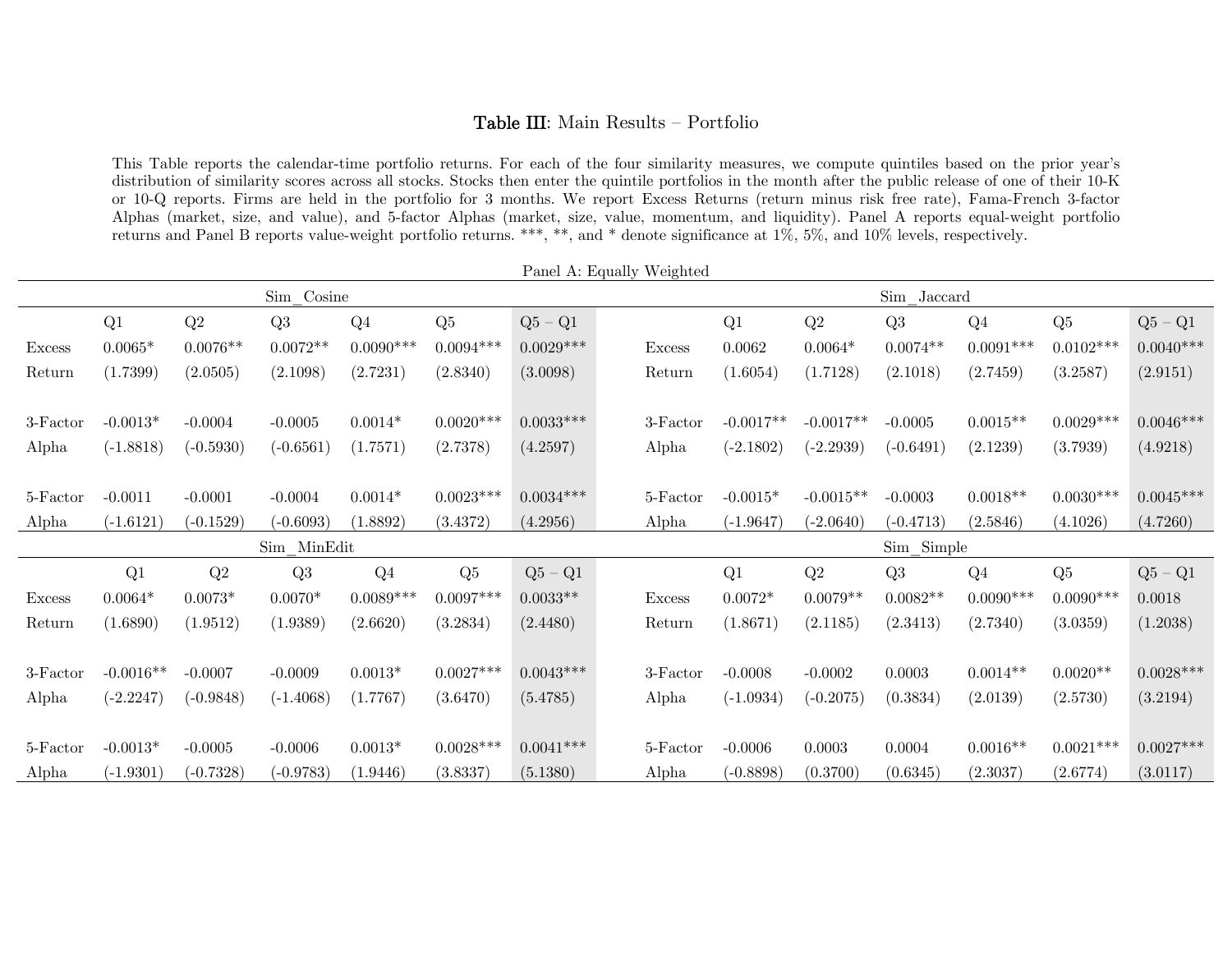### Table III: Main Results — Portfolio

This Table reports the calendar-time portfolio returns. For each of the four similarity measures, we compute quintiles based on the prior year's distribution of similarity scores across all stocks. Stocks then enter the quintile portfolios in the month after the public release of one of their 10-K or 10-Q reports. Firms are held in the portfolio for 3 months. We report Excess Returns (return minus risk free rate), Fama-French 3-factor Alphas (market, size, and value), and 5-factor Alphas (market, size, value, momentum, and liquidity). Panel A reports equal-weight portfolio returns and Panel B reports value-weight portfolio returns. \*\*\*, \*\*, and \* denote significance at 1%, 5%, and 10% levels, respectively.

| r aller A. Equally <i>weighted</i> |             |             |                |                |             |                               |  |               |             |             |             |                |             |             |
|------------------------------------|-------------|-------------|----------------|----------------|-------------|-------------------------------|--|---------------|-------------|-------------|-------------|----------------|-------------|-------------|
|                                    |             |             | Sim Cosine     |                |             |                               |  |               |             |             | Sim Jaccard |                |             |             |
|                                    | Q1          | Q2          | Q <sub>3</sub> | Q <sub>4</sub> | Q5          | $Q5 - Q1$                     |  |               | Q1          | Q2          | Q3          | Q <sub>4</sub> | Q5          | $Q5 - Q1$   |
| <b>Excess</b>                      | $0.0065*$   | $0.0076**$  | $0.0072**$     | $0.0090***$    | $0.0094***$ | $0.0029***$                   |  | <b>Excess</b> | 0.0062      | $0.0064*$   | $0.0074**$  | $0.0091***$    | $0.0102***$ | $0.0040***$ |
| Return                             | (1.7399)    | (2.0505)    | (2.1098)       | (2.7231)       | (2.8340)    | (3.0098)                      |  | Return        | (1.6054)    | (1.7128)    | (2.1018)    | (2.7459)       | (3.2587)    | (2.9151)    |
|                                    |             |             |                |                |             |                               |  |               |             |             |             |                |             |             |
| 3-Factor                           | $-0.0013*$  | $-0.0004$   | $-0.0005$      | $0.0014*$      | $0.0020***$ | $0.0033***$                   |  | 3-Factor      | $-0.0017**$ | $-0.0017**$ | $-0.0005$   | $0.0015**$     | $0.0029***$ | $0.0046***$ |
| Alpha                              | $(-1.8818)$ | $(-0.5930)$ | $(-0.6561)$    | (1.7571)       | (2.7378)    | (4.2597)                      |  | Alpha         | $(-2.1802)$ | $(-2.2939)$ | $(-0.6491)$ | (2.1239)       | (3.7939)    | (4.9218)    |
|                                    |             |             |                |                |             |                               |  |               |             |             |             |                |             |             |
| 5-Factor                           | $-0.0011$   | $-0.0001$   | $-0.0004$      | $0.0014*$      | $0.0023***$ | $0.0034***$                   |  | 5-Factor      | $-0.0015*$  | $-0.0015**$ | $-0.0003$   | $0.0018**$     | $0.0030***$ | $0.0045***$ |
| Alpha                              | $(-1.6121)$ | $(-0.1529)$ | $(-0.6093)$    | (1.8892)       | (3.4372)    | (4.2956)                      |  | Alpha         | $(-1.9647)$ | $(-2.0640)$ | $(-0.4713)$ | (2.5846)       | (4.1026)    | (4.7260)    |
|                                    |             |             | Sim MinEdit    |                |             |                               |  |               |             |             | Sim Simple  |                |             |             |
|                                    | Q1          | Q2          | Q3             | Q <sub>4</sub> | Q5          | $\mathrm{Q5}$ – $\mathrm{Q1}$ |  |               | Q1          | Q2          | Q3          | Q <sub>4</sub> | Q5          | $Q5 - Q1$   |
| <b>Excess</b>                      | $0.0064*$   | $0.0073*$   | $0.0070*$      | $0.0089***$    | $0.0097***$ | $0.0033**$                    |  | <b>Excess</b> | $0.0072*$   | $0.0079**$  | $0.0082**$  | $0.0090***$    | $0.0090***$ | 0.0018      |
| Return                             | (1.6890)    | (1.9512)    | (1.9389)       | (2.6620)       | (3.2834)    | (2.4480)                      |  | Return        | (1.8671)    | (2.1185)    | (2.3413)    | (2.7340)       | (3.0359)    | (1.2038)    |
|                                    |             |             |                |                |             |                               |  |               |             |             |             |                |             |             |
| $3-Factor$                         | $-0.0016**$ | $-0.0007$   | $-0.0009$      | $0.0013*$      | $0.0027***$ | $0.0043***$                   |  | 3-Factor      | $-0.0008$   | $-0.0002$   | 0.0003      | $0.0014**$     | $0.0020**$  | $0.0028***$ |
| Alpha                              | $(-2.2247)$ | $(-0.9848)$ | $(-1.4068)$    | (1.7767)       | (3.6470)    | (5.4785)                      |  | Alpha         | $(-1.0934)$ | $(-0.2075)$ | (0.3834)    | (2.0139)       | (2.5730)    | (3.2194)    |
|                                    |             |             |                |                |             |                               |  |               |             |             |             |                |             |             |
| 5-Factor                           | $-0.0013*$  | $-0.0005$   | $-0.0006$      | $0.0013*$      | $0.0028***$ | $0.0041***$                   |  | 5-Factor      | $-0.0006$   | 0.0003      | 0.0004      | $0.0016**$     | $0.0021***$ | $0.0027***$ |
| Alpha                              | $(-1.9301)$ | $(-0.7328)$ | $(-0.9783)$    | (1.9446)       | (3.8337)    | (5.1380)                      |  | Alpha         | $(-0.8898)$ | (0.3700)    | (0.6345)    | (2.3037)       | (2.6774)    | (3.0117)    |

Panel A: Equally Weighted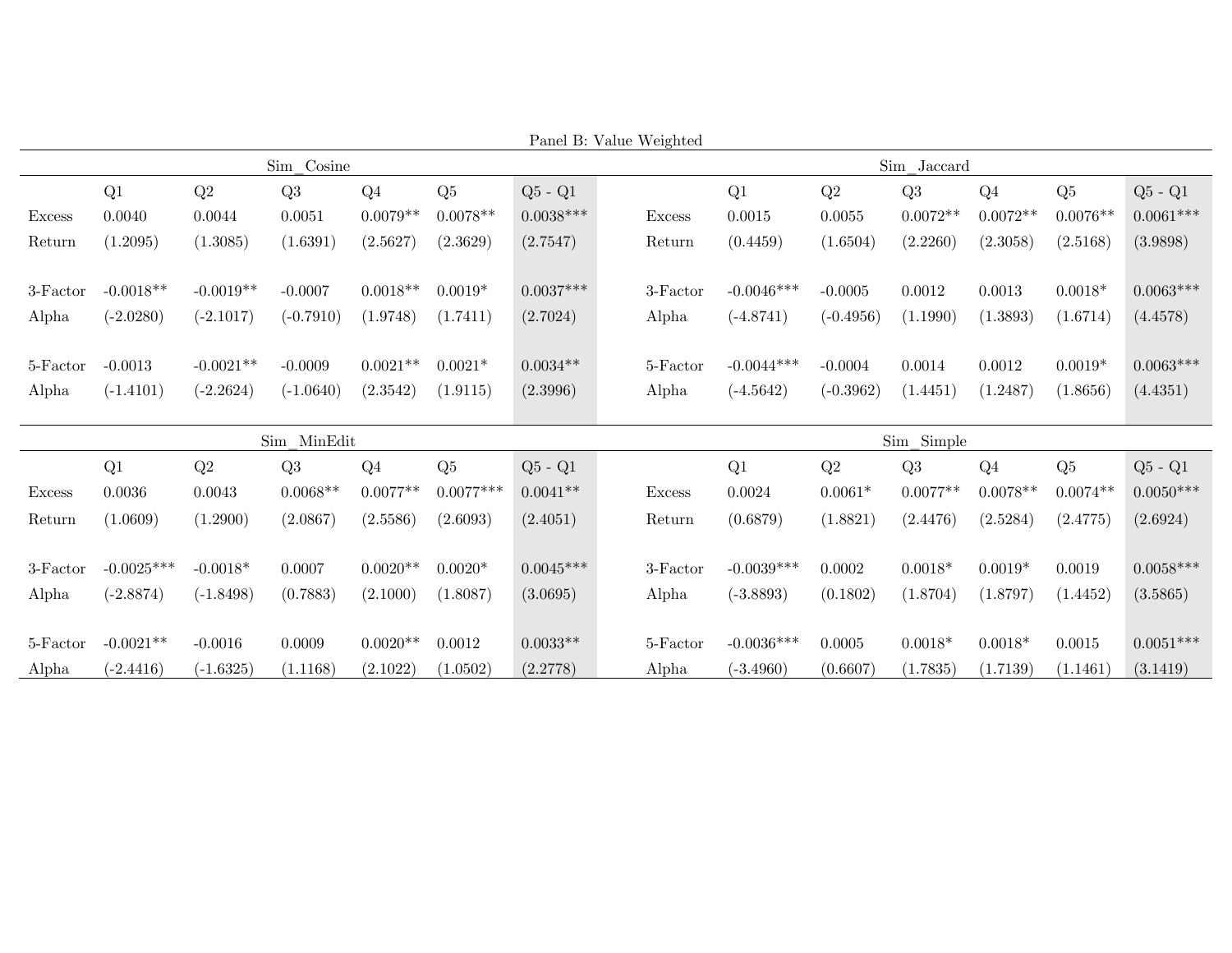|               |              |             |             |                |             | Panel B: Value Weighted |               |              |             |             |                |            |             |
|---------------|--------------|-------------|-------------|----------------|-------------|-------------------------|---------------|--------------|-------------|-------------|----------------|------------|-------------|
|               |              |             | Sim Cosine  |                |             |                         |               |              |             | Sim Jaccard |                |            |             |
|               | Q1           | Q2          | Q3          | Q <sub>4</sub> | Q5          | $Q5 - Q1$               |               | Q1           | Q2          | Q3          | Q <sub>4</sub> | Q5         | $Q5 - Q1$   |
| <b>Excess</b> | 0.0040       | 0.0044      | 0.0051      | $0.0079**$     | $0.0078**$  | $0.0038***$             | <b>Excess</b> | 0.0015       | 0.0055      | $0.0072**$  | $0.0072**$     | $0.0076**$ | $0.0061***$ |
| Return        | (1.2095)     | (1.3085)    | (1.6391)    | (2.5627)       | (2.3629)    | (2.7547)                | Return        | (0.4459)     | (1.6504)    | (2.2260)    | (2.3058)       | (2.5168)   | (3.9898)    |
|               |              |             |             |                |             |                         |               |              |             |             |                |            |             |
| 3-Factor      | $-0.0018**$  | $-0.0019**$ | $-0.0007$   | $0.0018**$     | $0.0019*$   | $0.0037***$             | 3-Factor      | $-0.0046***$ | $-0.0005$   | 0.0012      | 0.0013         | $0.0018*$  | $0.0063***$ |
| Alpha         | $(-2.0280)$  | $(-2.1017)$ | $(-0.7910)$ | (1.9748)       | (1.7411)    | (2.7024)                | Alpha         | $(-4.8741)$  | $(-0.4956)$ | (1.1990)    | (1.3893)       | (1.6714)   | (4.4578)    |
|               |              |             |             |                |             |                         |               |              |             |             |                |            |             |
| 5-Factor      | $-0.0013$    | $-0.0021**$ | $-0.0009$   | $0.0021**$     | $0.0021*$   | $0.0034**$              | 5-Factor      | $-0.0044***$ | $-0.0004$   | 0.0014      | 0.0012         | $0.0019*$  | $0.0063***$ |
| Alpha         | $(-1.4101)$  | $(-2.2624)$ | $(-1.0640)$ | (2.3542)       | (1.9115)    | (2.3996)                | Alpha         | $(-4.5642)$  | $(-0.3962)$ | (1.4451)    | (1.2487)       | (1.8656)   | (4.4351)    |
|               |              |             |             |                |             |                         |               |              |             |             |                |            |             |
|               |              |             | Sim MinEdit |                |             |                         |               |              |             | Sim Simple  |                |            |             |
|               | Q1           | Q2          | Q3          | Q <sub>4</sub> | Q5          | $Q5 - Q1$               |               | Q1           | Q2          | Q3          | Q <sub>4</sub> | Q5         | $Q5 - Q1$   |
| Excess        | 0.0036       | 0.0043      | $0.0068**$  | $0.0077**$     | $0.0077***$ | $0.0041**$              | <b>Excess</b> | 0.0024       | $0.0061*$   | $0.0077**$  | $0.0078**$     | $0.0074**$ | $0.0050***$ |
| Return        | (1.0609)     | (1.2900)    | (2.0867)    | (2.5586)       | (2.6093)    | (2.4051)                | Return        | (0.6879)     | (1.8821)    | (2.4476)    | (2.5284)       | (2.4775)   | (2.6924)    |
|               |              |             |             |                |             |                         |               |              |             |             |                |            |             |
| $3-Factor$    | $-0.0025***$ | $-0.0018*$  | 0.0007      | $0.0020**$     | $0.0020*$   | $0.0045***$             | 3-Factor      | $-0.0039***$ | 0.0002      | $0.0018*$   | $0.0019*$      | 0.0019     | $0.0058***$ |
| Alpha         | $(-2.8874)$  | $(-1.8498)$ | (0.7883)    | (2.1000)       | (1.8087)    | (3.0695)                | Alpha         | $(-3.8893)$  | (0.1802)    | (1.8704)    | (1.8797)       | (1.4452)   | (3.5865)    |
|               |              |             |             |                |             |                         |               |              |             |             |                |            |             |
| 5-Factor      | $-0.0021**$  | $-0.0016$   | 0.0009      | $0.0020**$     | 0.0012      | $0.0033**$              | 5-Factor      | $-0.0036***$ | 0.0005      | $0.0018*$   | $0.0018*$      | 0.0015     | $0.0051***$ |
| Alpha         | $(-2.4416)$  | $(-1.6325)$ | (1.1168)    | (2.1022)       | (1.0502)    | (2.2778)                | Alpha         | $(-3.4960)$  | (0.6607)    | (1.7835)    | (1.7139)       | (1.1461)   | (3.1419)    |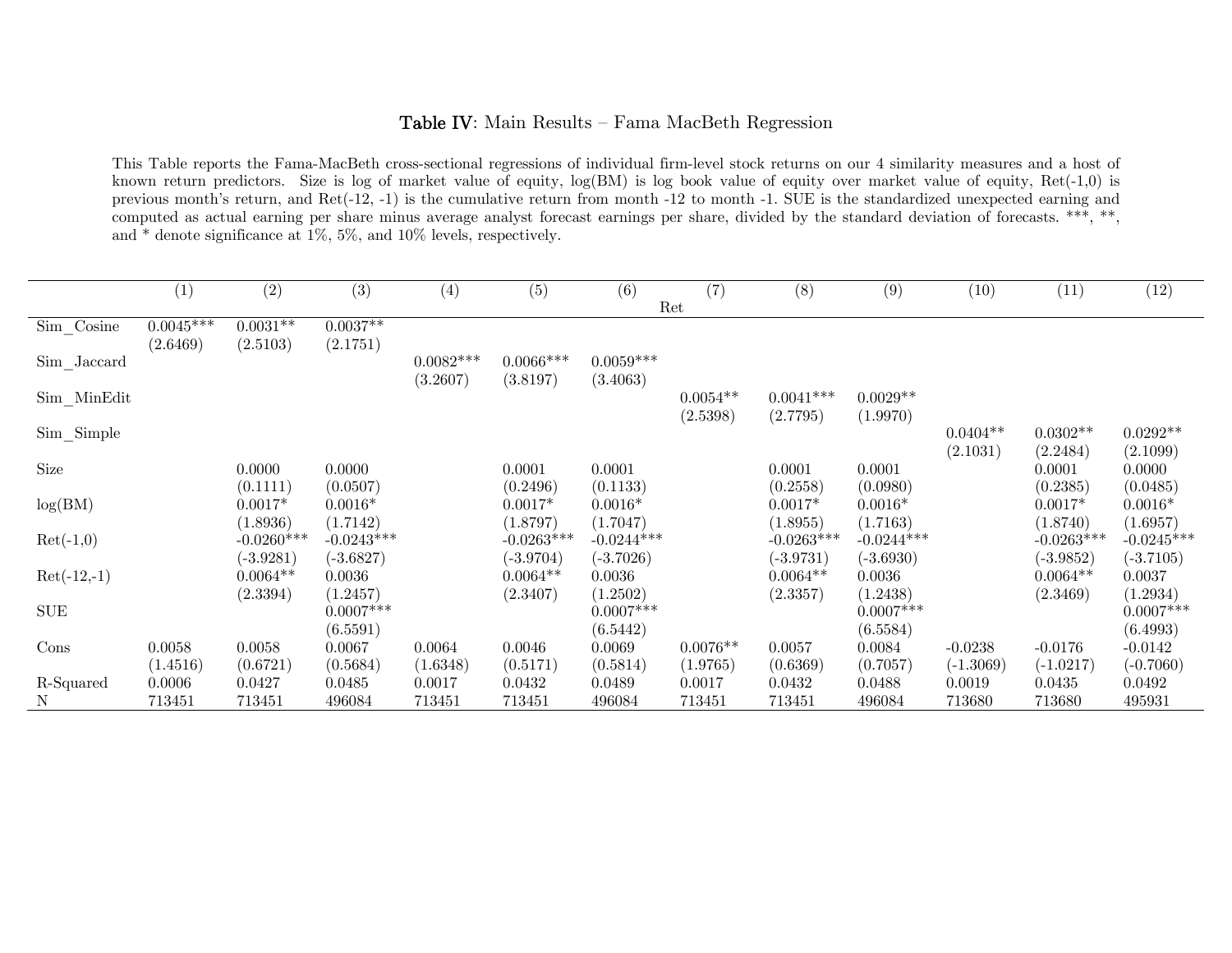### Table IV: Main Results — Fama MacBeth Regression

This Table reports the Fama-MacBeth cross-sectional regressions of individual firm-level stock returns on our 4 similarity measures and a host of known return predictors. Size is log of market value of equity, log(BM) is log book value of equity over market value of equity, Ret(-1,0) is previous month's return, and Ret(-12, -1) is the cumulative return from month -12 to month -1. SUE is the standardized unexpected earning and computed as actual earning per share minus average analyst forecast earnings per share, divided by the standard deviation of forecasts. \*\*\*, \*\*, and \* denote significance at 1%, 5%, and 10% levels, respectively.

|                | (1)         | (2)          | (3)          | (4)         | (5)          | (6)          | (7)        | (8)          | (9)          | (10)        | (11)         | (12)         |
|----------------|-------------|--------------|--------------|-------------|--------------|--------------|------------|--------------|--------------|-------------|--------------|--------------|
|                |             |              |              |             |              |              | Ret        |              |              |             |              |              |
| $Sim\_Cosine$  | $0.0045***$ | $0.0031**$   | $0.0037**$   |             |              |              |            |              |              |             |              |              |
|                | (2.6469)    | (2.5103)     | (2.1751)     |             |              |              |            |              |              |             |              |              |
| $Sim\_Jaccard$ |             |              |              | $0.0082***$ | $0.0066***$  | $0.0059***$  |            |              |              |             |              |              |
|                |             |              |              | (3.2607)    | (3.8197)     | (3.4063)     |            |              |              |             |              |              |
| $Sim$ _MinEdit |             |              |              |             |              |              | $0.0054**$ | $0.0041***$  | $0.0029**$   |             |              |              |
|                |             |              |              |             |              |              | (2.5398)   | (2.7795)     | (1.9970)     |             |              |              |
| $Sim\_Simple$  |             |              |              |             |              |              |            |              |              | $0.0404**$  | $0.0302**$   | $0.0292**$   |
|                |             |              |              |             |              |              |            |              |              | (2.1031)    | (2.2484)     | (2.1099)     |
| Size           |             | 0.0000       | 0.0000       |             | 0.0001       | 0.0001       |            | 0.0001       | 0.0001       |             | 0.0001       | 0.0000       |
|                |             | (0.1111)     | (0.0507)     |             | (0.2496)     | (0.1133)     |            | (0.2558)     | (0.0980)     |             | (0.2385)     | (0.0485)     |
| log(BM)        |             | $0.0017*$    | $0.0016*$    |             | $0.0017*$    | $0.0016*$    |            | $0.0017*$    | $0.0016*$    |             | $0.0017*$    | $0.0016*$    |
|                |             | (1.8936)     | (1.7142)     |             | (1.8797)     | (1.7047)     |            | (1.8955)     | (1.7163)     |             | (1.8740)     | (1.6957)     |
| $Ret(-1,0)$    |             | $-0.0260***$ | $-0.0243***$ |             | $-0.0263***$ | $-0.0244***$ |            | $-0.0263***$ | $-0.0244***$ |             | $-0.0263***$ | $-0.0245***$ |
|                |             | $(-3.9281)$  | $(-3.6827)$  |             | $(-3.9704)$  | $(-3.7026)$  |            | $(-3.9731)$  | $(-3.6930)$  |             | $(-3.9852)$  | $(-3.7105)$  |
| $Ret(-12,-1)$  |             | $0.0064**$   | 0.0036       |             | $0.0064**$   | 0.0036       |            | $0.0064**$   | 0.0036       |             | $0.0064**$   | 0.0037       |
|                |             | (2.3394)     | (1.2457)     |             | (2.3407)     | (1.2502)     |            | (2.3357)     | (1.2438)     |             | (2.3469)     | (1.2934)     |
| <b>SUE</b>     |             |              | $0.0007***$  |             |              | $0.0007***$  |            |              | $0.0007***$  |             |              | $0.0007***$  |
|                |             |              | (6.5591)     |             |              | (6.5442)     |            |              | (6.5584)     |             |              | (6.4993)     |
| Cons           | 0.0058      | 0.0058       | 0.0067       | 0.0064      | 0.0046       | 0.0069       | $0.0076**$ | 0.0057       | 0.0084       | $-0.0238$   | $-0.0176$    | $-0.0142$    |
|                | (1.4516)    | (0.6721)     | (0.5684)     | (1.6348)    | (0.5171)     | (0.5814)     | (1.9765)   | (0.6369)     | (0.7057)     | $(-1.3069)$ | $(-1.0217)$  | $(-0.7060)$  |
| R-Squared      | 0.0006      | 0.0427       | 0.0485       | 0.0017      | 0.0432       | 0.0489       | 0.0017     | 0.0432       | 0.0488       | 0.0019      | 0.0435       | 0.0492       |
| $\mathbf N$    | 713451      | 713451       | 496084       | 713451      | 713451       | 496084       | 713451     | 713451       | 496084       | 713680      | 713680       | 495931       |
|                |             |              |              |             |              |              |            |              |              |             |              |              |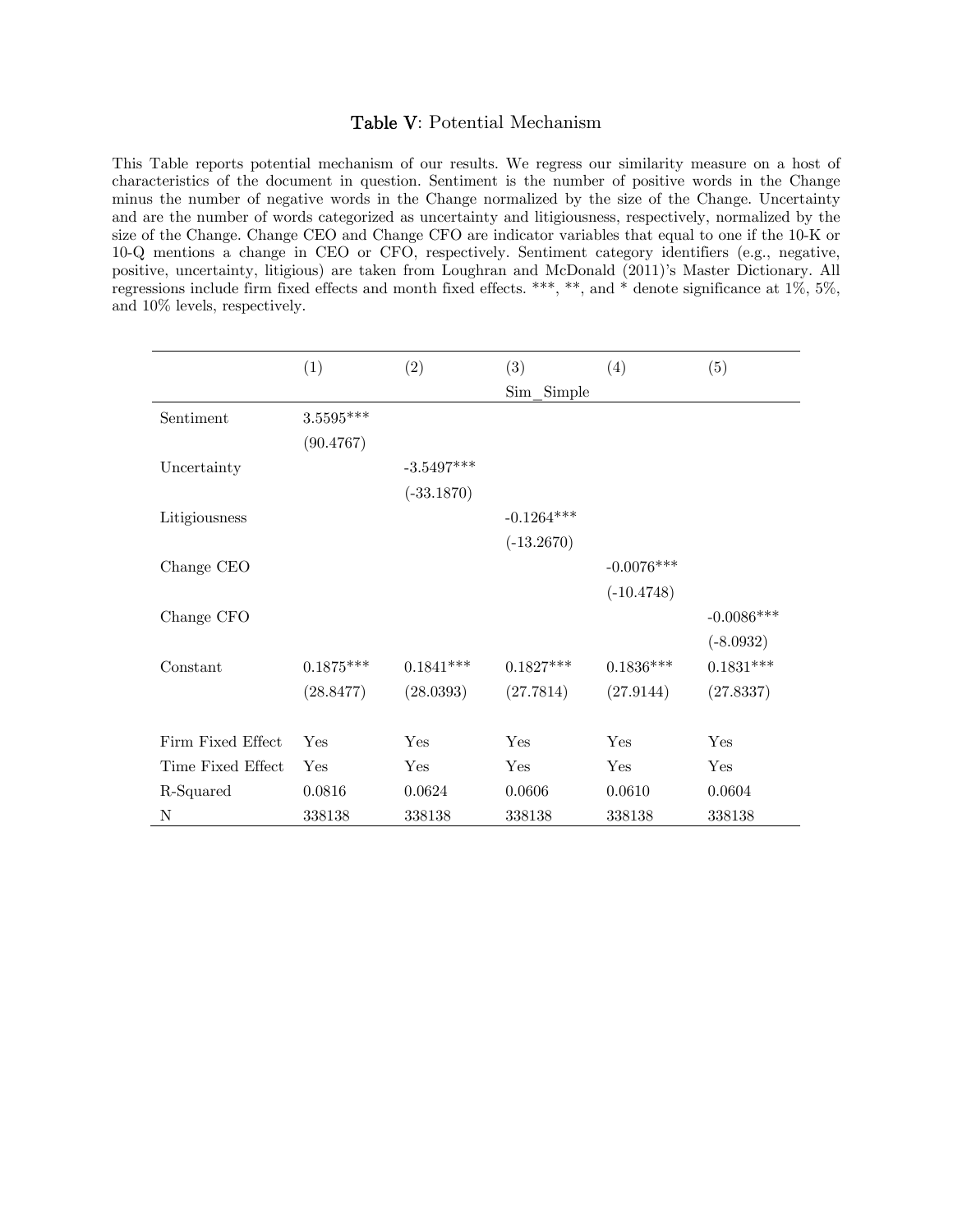#### Table V: Potential Mechanism

This Table reports potential mechanism of our results. We regress our similarity measure on a host of characteristics of the document in question. Sentiment is the number of positive words in the Change minus the number of negative words in the Change normalized by the size of the Change. Uncertainty and are the number of words categorized as uncertainty and litigiousness, respectively, normalized by the size of the Change. Change CEO and Change CFO are indicator variables that equal to one if the 10-K or 10-Q mentions a change in CEO or CFO, respectively. Sentiment category identifiers (e.g., negative, positive, uncertainty, litigious) are taken from Loughran and McDonald (2011)'s Master Dictionary. All regressions include firm fixed effects and month fixed effects. \*\*\*, \*\*, and \* denote significance at 1%, 5%, and 10% levels, respectively.

|                   | (1)         | (2)          | (3)           | (4)          | (5)          |
|-------------------|-------------|--------------|---------------|--------------|--------------|
|                   |             |              | Sim<br>Simple |              |              |
| Sentiment         | $3.5595***$ |              |               |              |              |
|                   | (90.4767)   |              |               |              |              |
| Uncertainty       |             | $-3.5497***$ |               |              |              |
|                   |             | $(-33.1870)$ |               |              |              |
| Litigiousness     |             |              | $-0.1264***$  |              |              |
|                   |             |              | $(-13.2670)$  |              |              |
| Change CEO        |             |              |               | $-0.0076***$ |              |
|                   |             |              |               | $(-10.4748)$ |              |
| Change CFO        |             |              |               |              | $-0.0086***$ |
|                   |             |              |               |              | $(-8.0932)$  |
| Constant          | $0.1875***$ | $0.1841***$  | $0.1827***$   | $0.1836***$  | $0.1831***$  |
|                   | (28.8477)   | (28.0393)    | (27.7814)     | (27.9144)    | (27.8337)    |
|                   |             |              |               |              |              |
| Firm Fixed Effect | Yes         | Yes          | Yes           | Yes          | Yes          |
| Time Fixed Effect | Yes         | Yes          | Yes           | Yes          | Yes          |
| R-Squared         | 0.0816      | 0.0624       | 0.0606        | 0.0610       | 0.0604       |
| N                 | 338138      | 338138       | 338138        | 338138       | 338138       |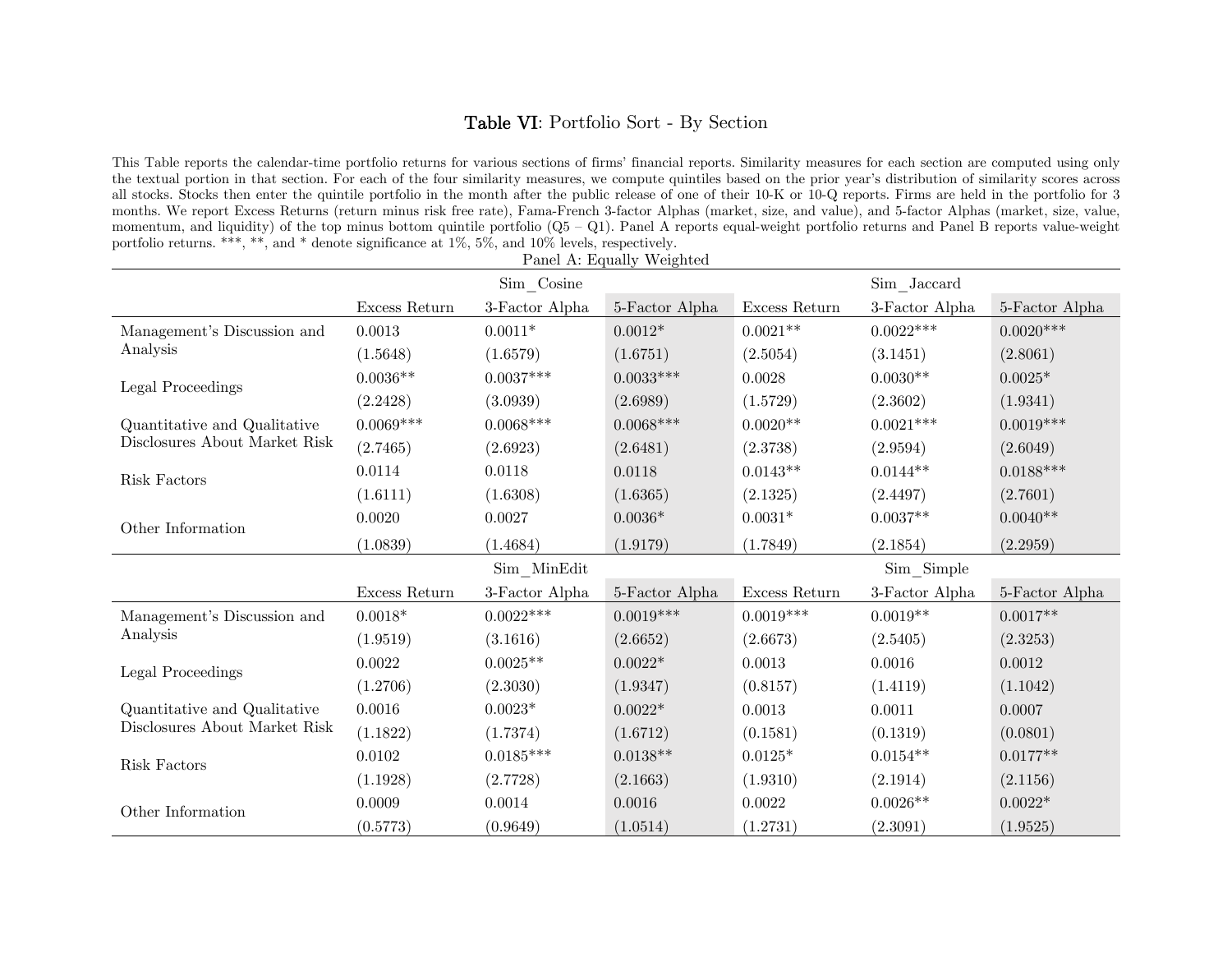# Table VI: Portfolio Sort - By Section

This Table reports the calendar-time portfolio returns for various sections of firms' financial reports. Similarity measures for each section are computed using only the textual portion in that section. For each of the four similarity measures, we compute quintiles based on the prior year's distribution of similarity scores across all stocks. Stocks then enter the quintile portfolio in the month after the public release of one of their 10-K or 10-Q reports. Firms are held in the portfolio for 3 months. We report Excess Returns (return minus risk free rate), Fama-French 3-factor Alphas (market, size, and value), and 5-factor Alphas (market, size, value, momentum, and liquidity) of the top minus bottom quintile portfolio (Q5 – Q1). Panel A reports equal-weight portfolio returns and Panel B reports value-weight portfolio returns. \*\*\*, \*\*, and \* denote significance at  $1\%$ ,  $5\%$ , and  $10\%$  levels, respectively.

|                               |               |                | Panel A: Equally Weighted |               |                |                |  |  |  |
|-------------------------------|---------------|----------------|---------------------------|---------------|----------------|----------------|--|--|--|
|                               |               | Sim Cosine     |                           |               | Sim Jaccard    |                |  |  |  |
|                               | Excess Return | 3-Factor Alpha | 5-Factor Alpha            | Excess Return | 3-Factor Alpha | 5-Factor Alpha |  |  |  |
| Management's Discussion and   | 0.0013        | $0.0011*$      | $0.0012*$                 | $0.0021**$    | $0.0022***$    | $0.0020***$    |  |  |  |
| Analysis                      | (1.5648)      | (1.6579)       | (1.6751)                  | (2.5054)      | (3.1451)       | (2.8061)       |  |  |  |
| Legal Proceedings             | $0.0036**$    | $0.0037***$    | $0.0033***$               | 0.0028        | $0.0030**$     | $0.0025*$      |  |  |  |
|                               | (2.2428)      | (3.0939)       | (2.6989)                  | (1.5729)      | (2.3602)       | (1.9341)       |  |  |  |
| Quantitative and Qualitative  | $0.0069***$   | $0.0068***$    | $0.0068***$               | $0.0020**$    | $0.0021***$    | $0.0019***$    |  |  |  |
| Disclosures About Market Risk | (2.7465)      | (2.6923)       | (2.6481)                  | (2.3738)      | (2.9594)       | (2.6049)       |  |  |  |
| Risk Factors                  | 0.0114        | 0.0118         | 0.0118                    | $0.0143**$    | $0.0144**$     | $0.0188***$    |  |  |  |
|                               | (1.6111)      | (1.6308)       | (1.6365)                  | (2.1325)      | (2.4497)       | (2.7601)       |  |  |  |
| Other Information             | 0.0020        | 0.0027         | $0.0036*$                 | $0.0031*$     | $0.0037**$     | $0.0040**$     |  |  |  |
|                               | (1.0839)      | (1.4684)       | (1.9179)                  | (1.7849)      | (2.1854)       | (2.2959)       |  |  |  |
|                               |               | Sim MinEdit    |                           | Sim Simple    |                |                |  |  |  |
|                               | Excess Return | 3-Factor Alpha | 5-Factor Alpha            | Excess Return | 3-Factor Alpha | 5-Factor Alpha |  |  |  |
| Management's Discussion and   | $0.0018*$     | $0.0022***$    | $0.0019***$               | $0.0019***$   | $0.0019**$     | $0.0017**$     |  |  |  |
| Analysis                      | (1.9519)      | (3.1616)       | (2.6652)                  | (2.6673)      | (2.5405)       | (2.3253)       |  |  |  |
| Legal Proceedings             | 0.0022        | $0.0025**$     | $0.0022*$                 | 0.0013        | 0.0016         | 0.0012         |  |  |  |
|                               | (1.2706)      | (2.3030)       | (1.9347)                  | (0.8157)      | (1.4119)       | (1.1042)       |  |  |  |
| Quantitative and Qualitative  | 0.0016        | $0.0023*$      | $0.0022*$                 | 0.0013        | 0.0011         | 0.0007         |  |  |  |
| Disclosures About Market Risk | (1.1822)      | (1.7374)       | (1.6712)                  | (0.1581)      | (0.1319)       | (0.0801)       |  |  |  |
| Risk Factors                  | 0.0102        | $0.0185***$    | $0.0138**$                | $0.0125*$     | $0.0154**$     | $0.0177**$     |  |  |  |
|                               | (1.1928)      | (2.7728)       | (2.1663)                  | (1.9310)      | (2.1914)       | (2.1156)       |  |  |  |
| Other Information             | 0.0009        | 0.0014         | 0.0016                    | 0.0022        | $0.0026**$     | $0.0022*$      |  |  |  |
|                               | (0.5773)      | (0.9649)       | (1.0514)                  | (1.2731)      | (2.3091)       | (1.9525)       |  |  |  |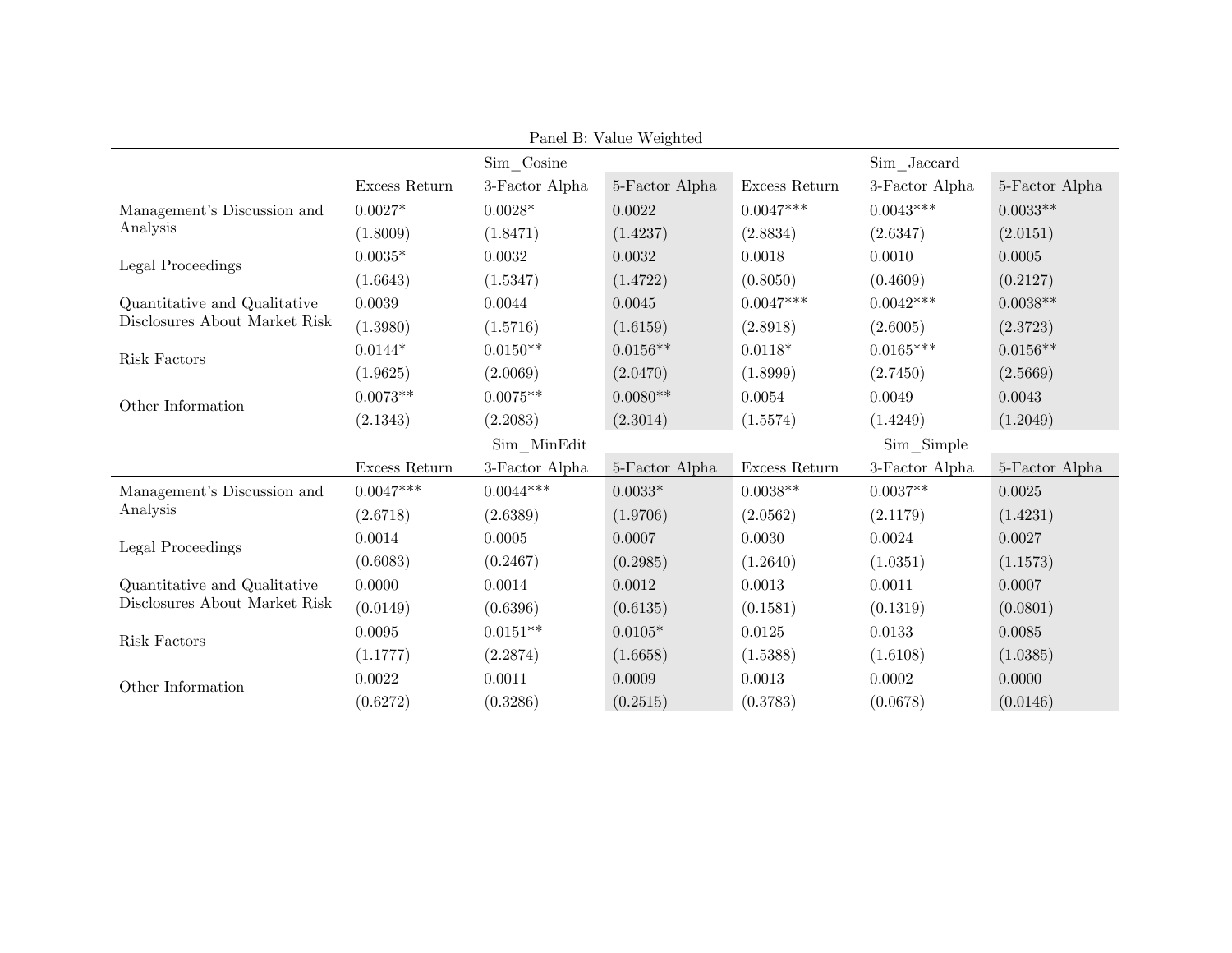|                               |               |                | Panel B: Value Weighted |               |                |                |
|-------------------------------|---------------|----------------|-------------------------|---------------|----------------|----------------|
|                               |               | $Sim\_Cosine$  |                         |               | Sim Jaccard    |                |
|                               | Excess Return | 3-Factor Alpha | 5-Factor Alpha          | Excess Return | 3-Factor Alpha | 5-Factor Alpha |
| Management's Discussion and   | $0.0027*$     | $0.0028*$      | 0.0022                  | $0.0047***$   | $0.0043***$    | $0.0033**$     |
| Analysis                      | (1.8009)      | (1.8471)       | (1.4237)                | (2.8834)      | (2.6347)       | (2.0151)       |
| Legal Proceedings             | $0.0035*$     | 0.0032         | 0.0032                  | 0.0018        | 0.0010         | 0.0005         |
|                               | (1.6643)      | (1.5347)       | (1.4722)                | (0.8050)      | (0.4609)       | (0.2127)       |
| Quantitative and Qualitative  | 0.0039        | 0.0044         | 0.0045                  | $0.0047***$   | $0.0042***$    | $0.0038**$     |
| Disclosures About Market Risk | (1.3980)      | (1.5716)       | (1.6159)                | (2.8918)      | (2.6005)       | (2.3723)       |
| Risk Factors                  | $0.0144*$     | $0.0150**$     | $0.0156**$              | $0.0118*$     | $0.0165***$    | $0.0156**$     |
|                               | (1.9625)      | (2.0069)       | (2.0470)                | (1.8999)      | (2.7450)       | (2.5669)       |
| Other Information             | $0.0073**$    | $0.0075**$     | $0.0080**$              | 0.0054        | 0.0049         | 0.0043         |
|                               | (2.1343)      | (2.2083)       | (2.3014)                | (1.5574)      | (1.4249)       | (1.2049)       |
|                               |               | $Sim$ _MinEdit |                         |               | Sim Simple     |                |
|                               | Excess Return | 3-Factor Alpha | 5-Factor Alpha          | Excess Return | 3-Factor Alpha | 5-Factor Alpha |
| Management's Discussion and   | $0.0047***$   | $0.0044***$    | $0.0033*$               | $0.0038**$    | $0.0037**$     | 0.0025         |
| Analysis                      | (2.6718)      | (2.6389)       | (1.9706)                | (2.0562)      | (2.1179)       | (1.4231)       |
| Legal Proceedings             | 0.0014        | 0.0005         | 0.0007                  | 0.0030        | 0.0024         | 0.0027         |
|                               | (0.6083)      | (0.2467)       | (0.2985)                | (1.2640)      | (1.0351)       | (1.1573)       |
| Quantitative and Qualitative  | 0.0000        | 0.0014         | 0.0012                  | 0.0013        | 0.0011         | 0.0007         |
| Disclosures About Market Risk | (0.0149)      | (0.6396)       | (0.6135)                | (0.1581)      | (0.1319)       | (0.0801)       |
| Risk Factors                  | 0.0095        | $0.0151**$     | $0.0105*$               | 0.0125        | 0.0133         | 0.0085         |
|                               | (1.1777)      | (2.2874)       | (1.6658)                | (1.5388)      | (1.6108)       | (1.0385)       |
| Other Information             | 0.0022        | 0.0011         | 0.0009                  | 0.0013        | 0.0002         | 0.0000         |
|                               | (0.6272)      | (0.3286)       | (0.2515)                | (0.3783)      | (0.0678)       | (0.0146)       |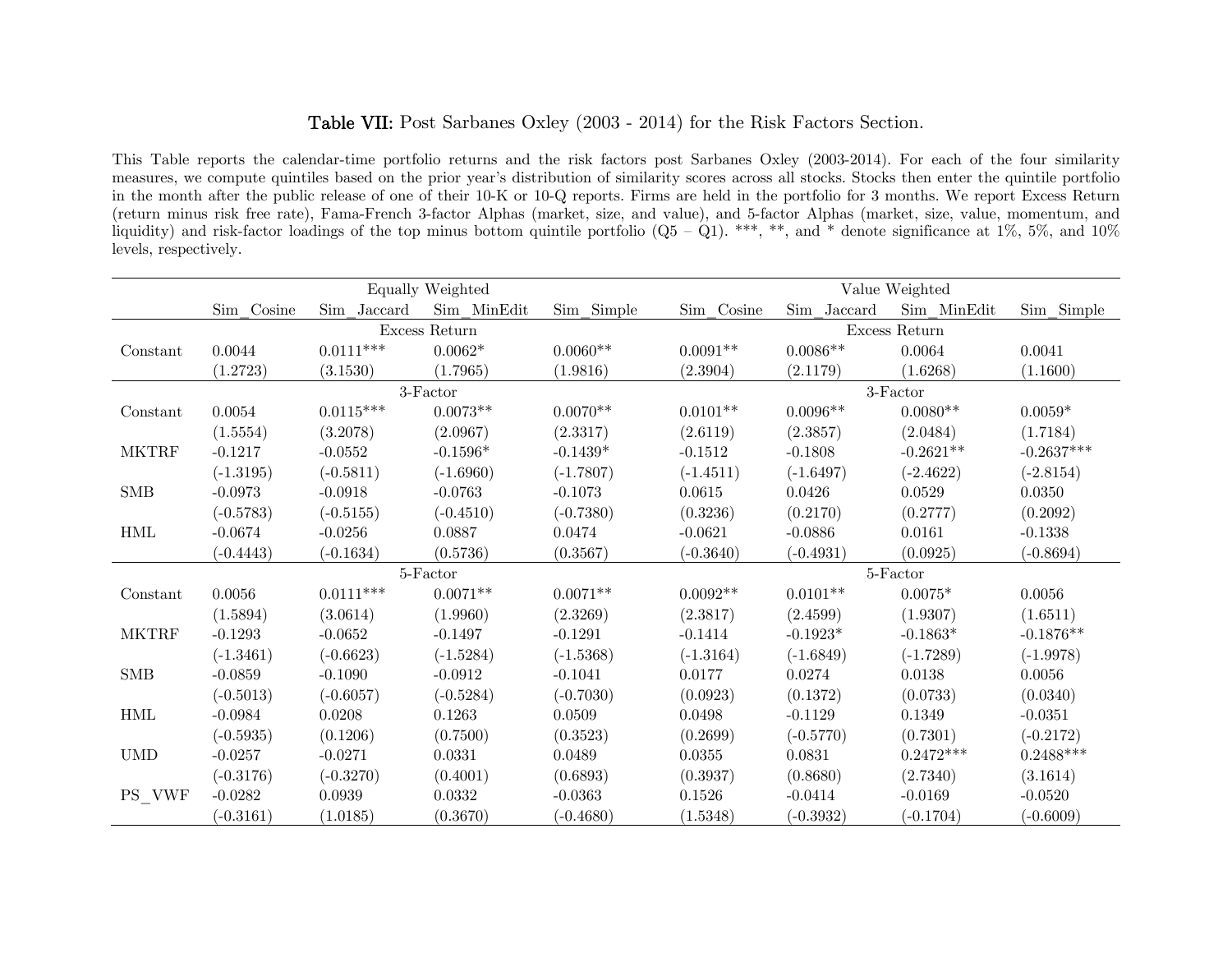# Table VII: Post Sarbanes Oxley (2003 - 2014) for the Risk Factors Section.

This Table reports the calendar-time portfolio returns and the risk factors post Sarbanes Oxley (2003-2014). For each of the four similarity measures, we compute quintiles based on the prior year's distribution of similarity scores across all stocks. Stocks then enter the quintile portfolio in the month after the public release of one of their 10-K or 10-Q reports. Firms are held in the portfolio for 3 months. We report Excess Return (return minus risk free rate), Fama-French 3-factor Alphas (market, size, and value), and 5-factor Alphas (market, size, value, momentum, and liquidity) and risk-factor loadings of the top minus bottom quintile portfolio  $(Q5 - Q1)$ . \*\*\*, \*\*, and \* denote significance at 1%, 5%, and 10% levels, respectively.

|                      |             |             | Equally Weighted |             |             |             | Value Weighted |              |
|----------------------|-------------|-------------|------------------|-------------|-------------|-------------|----------------|--------------|
|                      | Sim Cosine  | Sim Jaccard | Sim MinEdit      | Sim Simple  | Sim Cosine  | Sim Jaccard | Sim MinEdit    | Sim Simple   |
|                      |             |             | Excess Return    |             |             |             | Excess Return  |              |
| Constant             | 0.0044      | $0.0111***$ | $0.0062*$        | $0.0060**$  | $0.0091**$  | $0.0086**$  | 0.0064         | 0.0041       |
|                      | (1.2723)    | (3.1530)    | (1.7965)         | (1.9816)    | (2.3904)    | (2.1179)    | (1.6268)       | (1.1600)     |
|                      |             |             | 3-Factor         |             |             |             | 3-Factor       |              |
| Constant             | 0.0054      | $0.0115***$ | $0.0073**$       | $0.0070**$  | $0.0101**$  | $0.0096**$  | $0.0080**$     | $0.0059*$    |
|                      | (1.5554)    | (3.2078)    | (2.0967)         | (2.3317)    | (2.6119)    | (2.3857)    | (2.0484)       | (1.7184)     |
| <b>MKTRF</b>         | $-0.1217$   | $-0.0552$   | $-0.1596*$       | $-0.1439*$  | $-0.1512$   | $-0.1808$   | $-0.2621**$    | $-0.2637***$ |
|                      | $(-1.3195)$ | $(-0.5811)$ | $(-1.6960)$      | $(-1.7807)$ | $(-1.4511)$ | $(-1.6497)$ | $(-2.4622)$    | $(-2.8154)$  |
| ${\rm SMB}$          | $-0.0973$   | $-0.0918$   | $-0.0763$        | $-0.1073$   | 0.0615      | 0.0426      | 0.0529         | 0.0350       |
|                      | $(-0.5783)$ | $(-0.5155)$ | $(-0.4510)$      | $(-0.7380)$ | (0.3236)    | (0.2170)    | (0.2777)       | (0.2092)     |
| $\operatorname{HML}$ | $-0.0674$   | $-0.0256$   | 0.0887           | 0.0474      | $-0.0621$   | $-0.0886$   | 0.0161         | $-0.1338$    |
|                      | $(-0.4443)$ | $(-0.1634)$ | (0.5736)         | (0.3567)    | $(-0.3640)$ | $(-0.4931)$ | (0.0925)       | $(-0.8694)$  |
|                      |             |             | 5-Factor         |             |             |             | 5-Factor       |              |
| Constant             | 0.0056      | $0.0111***$ | $0.0071**$       | $0.0071**$  | $0.0092**$  | $0.0101**$  | $0.0075*$      | 0.0056       |
|                      | (1.5894)    | (3.0614)    | (1.9960)         | (2.3269)    | (2.3817)    | (2.4599)    | (1.9307)       | (1.6511)     |
| <b>MKTRF</b>         | $-0.1293$   | $-0.0652$   | $-0.1497$        | $-0.1291$   | $-0.1414$   | $-0.1923*$  | $-0.1863*$     | $-0.1876**$  |
|                      | $(-1.3461)$ | $(-0.6623)$ | $(-1.5284)$      | $(-1.5368)$ | $(-1.3164)$ | $(-1.6849)$ | $(-1.7289)$    | $(-1.9978)$  |
| ${\rm SMB}$          | $-0.0859$   | $-0.1090$   | $-0.0912$        | $-0.1041$   | 0.0177      | 0.0274      | 0.0138         | 0.0056       |
|                      | $(-0.5013)$ | $(-0.6057)$ | $(-0.5284)$      | $(-0.7030)$ | (0.0923)    | (0.1372)    | (0.0733)       | (0.0340)     |
| $\operatorname{HML}$ | $-0.0984$   | 0.0208      | 0.1263           | 0.0509      | 0.0498      | $-0.1129$   | 0.1349         | $-0.0351$    |
|                      | $(-0.5935)$ | (0.1206)    | (0.7500)         | (0.3523)    | (0.2699)    | $(-0.5770)$ | (0.7301)       | $(-0.2172)$  |
| <b>UMD</b>           | $-0.0257$   | $-0.0271$   | 0.0331           | 0.0489      | 0.0355      | 0.0831      | $0.2472***$    | $0.2488***$  |
|                      | $(-0.3176)$ | $(-0.3270)$ | (0.4001)         | (0.6893)    | (0.3937)    | (0.8680)    | (2.7340)       | (3.1614)     |
| PS VWF               | $-0.0282$   | 0.0939      | 0.0332           | $-0.0363$   | 0.1526      | $-0.0414$   | $-0.0169$      | $-0.0520$    |
|                      | $(-0.3161)$ | (1.0185)    | (0.3670)         | $(-0.4680)$ | (1.5348)    | $(-0.3932)$ | $(-0.1704)$    | $(-0.6009)$  |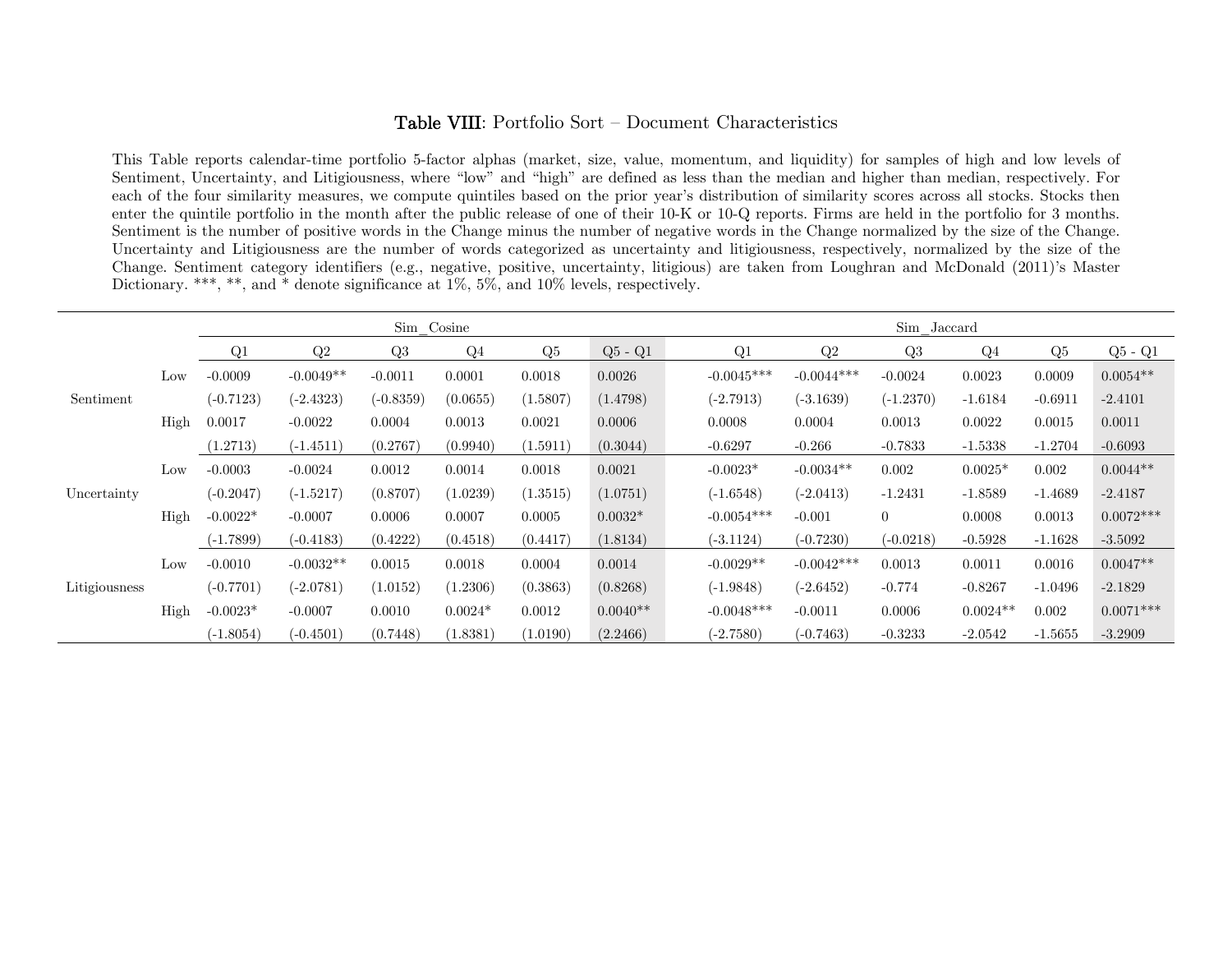### Table VIII: Portfolio Sort — Document Characteristics

This Table reports calendar-time portfolio 5-factor alphas (market, size, value, momentum, and liquidity) for samples of high and low levels of Sentiment, Uncertainty, and Litigiousness, where "low" and "high" are defined as less than the median and higher than median, respectively. For each of the four similarity measures, we compute quintiles based on the prior year's distribution of similarity scores across all stocks. Stocks then enter the quintile portfolio in the month after the public release of one of their 10-K or 10-Q reports. Firms are held in the portfolio for 3 months. Sentiment is the number of positive words in the Change minus the number of negative words in the Change normalized by the size of the Change. Uncertainty and Litigiousness are the number of words categorized as uncertainty and litigiousness, respectively, normalized by the size of the Change. Sentiment category identifiers (e.g., negative, positive, uncertainty, litigious) are taken from Loughran and McDonald (2011)'s Master Dictionary. \*\*\*, \*\*, and \* denote significance at 1\%, 5\%, and 10\% levels, respectively.

|               |      |             |             | Sim Cosine     |                |          |            | Sim Jaccard |              |              |                |                |           |             |
|---------------|------|-------------|-------------|----------------|----------------|----------|------------|-------------|--------------|--------------|----------------|----------------|-----------|-------------|
|               |      | Q1          | Q2          | Q <sub>3</sub> | Q <sub>4</sub> | Q5       | $Q5 - Q1$  |             | Q1           | Q2           | Q <sub>3</sub> | Q <sub>4</sub> | $Q_{5}$   | $Q5 - Q1$   |
|               | Low  | $-0.0009$   | $-0.0049**$ | $-0.0011$      | 0.0001         | 0.0018   | 0.0026     |             | $-0.0045***$ | $-0.0044***$ | $-0.0024$      | 0.0023         | 0.0009    | $0.0054**$  |
| Sentiment     |      | $(-0.7123)$ | $(-2.4323)$ | $(-0.8359)$    | (0.0655)       | (1.5807) | (1.4798)   |             | $(-2.7913)$  | $(-3.1639)$  | $(-1.2370)$    | $-1.6184$      | $-0.6911$ | $-2.4101$   |
|               | High | 0.0017      | $-0.0022$   | 0.0004         | 0.0013         | 0.0021   | 0.0006     |             | 0.0008       | 0.0004       | 0.0013         | 0.0022         | 0.0015    | 0.0011      |
|               |      | (1.2713)    | $(-1.4511)$ | (0.2767)       | (0.9940)       | (1.5911) | (0.3044)   |             | $-0.6297$    | $-0.266$     | $-0.7833$      | $-1.5338$      | $-1.2704$ | $-0.6093$   |
|               | Low  | $-0.0003$   | $-0.0024$   | 0.0012         | 0.0014         | 0.0018   | 0.0021     |             | $-0.0023*$   | $-0.0034**$  | 0.002          | $0.0025*$      | 0.002     | $0.0044**$  |
| Uncertainty   |      | $(-0.2047)$ | $(-1.5217)$ | (0.8707)       | (1.0239)       | (1.3515) | (1.0751)   |             | $(-1.6548)$  | $(-2.0413)$  | $-1.2431$      | $-1.8589$      | $-1.4689$ | $-2.4187$   |
|               | High | $-0.0022*$  | $-0.0007$   | 0.0006         | 0.0007         | 0.0005   | $0.0032*$  |             | $-0.0054***$ | $-0.001$     | $\overline{0}$ | 0.0008         | 0.0013    | $0.0072***$ |
|               |      | $(-1.7899)$ | $(-0.4183)$ | (0.4222)       | (0.4518)       | (0.4417) | (1.8134)   |             | (-3.1124)    | $(-0.7230)$  | $(-0.0218)$    | $-0.5928$      | $-1.1628$ | $-3.5092$   |
|               | Low  | $-0.0010$   | $-0.0032**$ | 0.0015         | 0.0018         | 0.0004   | 0.0014     |             | $-0.0029**$  | $-0.0042***$ | 0.0013         | 0.0011         | 0.0016    | $0.0047**$  |
| Litigiousness |      | $(-0.7701)$ | $(-2.0781)$ | (1.0152)       | (1.2306)       | (0.3863) | (0.8268)   |             | $(-1.9848)$  | $(-2.6452)$  | $-0.774$       | $-0.8267$      | $-1.0496$ | $-2.1829$   |
|               | High | $-0.0023*$  | $-0.0007$   | 0.0010         | $0.0024*$      | 0.0012   | $0.0040**$ |             | $-0.0048***$ | $-0.0011$    | 0.0006         | $0.0024**$     | 0.002     | $0.0071***$ |
|               |      | $(-1.8054)$ | $(-0.4501)$ | (0.7448)       | (1.8381)       | (1.0190) | (2.2466)   |             | $(-2.7580)$  | $(-0.7463)$  | $-0.3233$      | $-2.0542$      | $-1.5655$ | $-3.2909$   |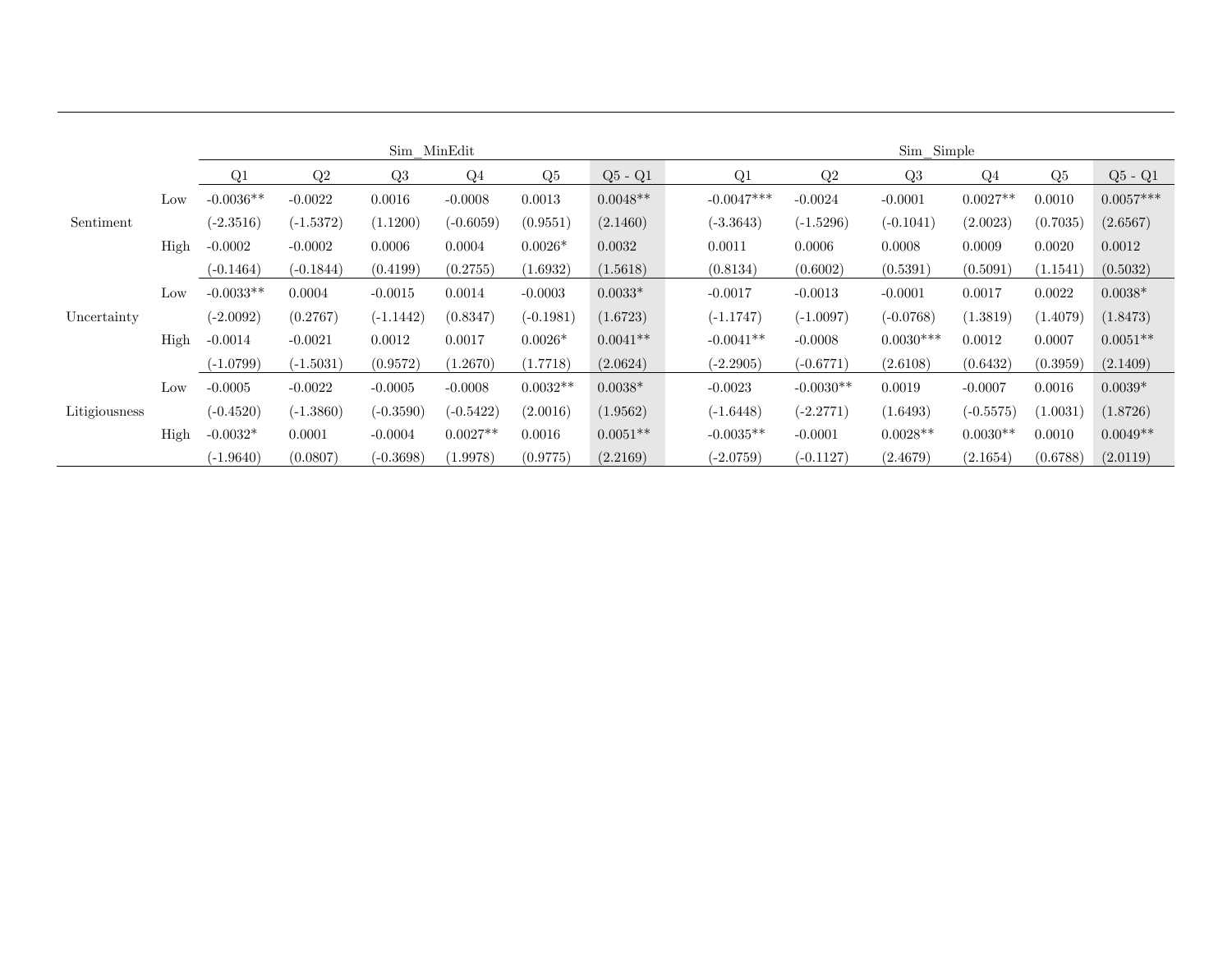|               |      |             |             | Sim MinEdit    |             |             |            |              |             | Sim Simple     |                |          |             |
|---------------|------|-------------|-------------|----------------|-------------|-------------|------------|--------------|-------------|----------------|----------------|----------|-------------|
|               |      | Q1          | Q2          | Q <sub>3</sub> | $Q_4$       | Q5          | $Q5 - Q1$  | Q1           | Q2          | Q <sub>3</sub> | Q <sub>4</sub> | Q5       | $Q5 - Q1$   |
|               | Low  | $-0.0036**$ | $-0.0022$   | 0.0016         | $-0.0008$   | 0.0013      | $0.0048**$ | $-0.0047***$ | $-0.0024$   | $-0.0001$      | $0.0027**$     | 0.0010   | $0.0057***$ |
| Sentiment     |      | $(-2.3516)$ | $(-1.5372)$ | (1.1200)       | $(-0.6059)$ | (0.9551)    | (2.1460)   | $(-3.3643)$  | $(-1.5296)$ | $(-0.1041)$    | (2.0023)       | (0.7035) | (2.6567)    |
|               | High | $-0.0002$   | $-0.0002$   | 0.0006         | 0.0004      | $0.0026*$   | 0.0032     | 0.0011       | 0.0006      | 0.0008         | 0.0009         | 0.0020   | 0.0012      |
|               |      | $(-0.1464)$ | $(-0.1844)$ | (0.4199)       | (0.2755)    | (1.6932)    | (1.5618)   | (0.8134)     | (0.6002)    | (0.5391)       | (0.5091)       | (1.1541) | (0.5032)    |
|               | Low  | $-0.0033**$ | 0.0004      | $-0.0015$      | 0.0014      | $-0.0003$   | $0.0033*$  | $-0.0017$    | $-0.0013$   | $-0.0001$      | 0.0017         | 0.0022   | $0.0038*$   |
| Uncertainty   |      | $(-2.0092)$ | (0.2767)    | $(-1.1442)$    | (0.8347)    | $(-0.1981)$ | (1.6723)   | $(-1.1747)$  | $(-1.0097)$ | $(-0.0768)$    | (1.3819)       | (1.4079) | (1.8473)    |
|               | High | $-0.0014$   | $-0.0021$   | 0.0012         | 0.0017      | $0.0026*$   | $0.0041**$ | $-0.0041**$  | $-0.0008$   | $0.0030***$    | 0.0012         | 0.0007   | $0.0051**$  |
|               |      | $(-1.0799)$ | $(-1.5031)$ | (0.9572)       | (1.2670)    | (1.7718)    | (2.0624)   | $(-2.2905)$  | $(-0.6771)$ | (2.6108)       | (0.6432)       | (0.3959) | (2.1409)    |
|               | Low  | $-0.0005$   | $-0.0022$   | $-0.0005$      | $-0.0008$   | $0.0032**$  | $0.0038*$  | $-0.0023$    | $-0.0030**$ | 0.0019         | $-0.0007$      | 0.0016   | $0.0039*$   |
| Litigiousness |      | $(-0.4520)$ | $(-1.3860)$ | $(-0.3590)$    | $(-0.5422)$ | (2.0016)    | (1.9562)   | $(-1.6448)$  | $(-2.2771)$ | (1.6493)       | $(-0.5575)$    | (1.0031) | (1.8726)    |
|               | High | $-0.0032*$  | 0.0001      | $-0.0004$      | $0.0027**$  | 0.0016      | $0.0051**$ | $-0.0035**$  | $-0.0001$   | $0.0028**$     | $0.0030**$     | 0.0010   | $0.0049**$  |
|               |      | $(-1.9640)$ | (0.0807)    | $(-0.3698)$    | (1.9978)    | (0.9775)    | (2.2169)   | $(-2.0759)$  | $(-0.1127)$ | (2.4679)       | (2.1654)       | (0.6788) | (2.0119)    |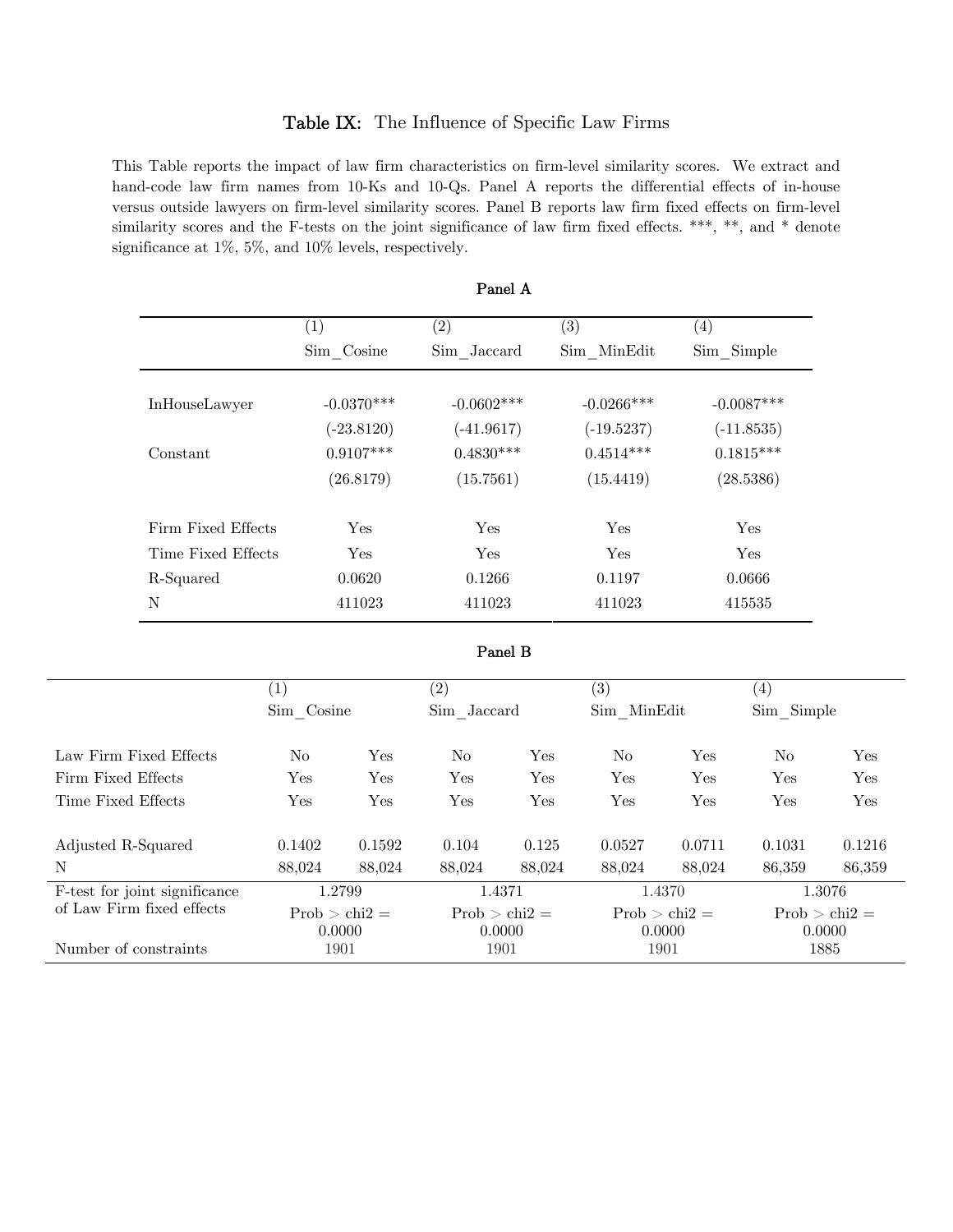### Table IX: The Influence of Specific Law Firms

This Table reports the impact of law firm characteristics on firm-level similarity scores. We extract and hand-code law firm names from 10-Ks and 10-Qs. Panel A reports the differential effects of in-house versus outside lawyers on firm-level similarity scores. Panel B reports law firm fixed effects on firm-level similarity scores and the F-tests on the joint significance of law firm fixed effects. \*\*\*, \*\*, and \* denote significance at 1%, 5%, and 10% levels, respectively.

|                    | $\left( 1\right)$ | $\left( 2\right)$ | $\left( 3\right)$ | $\left( 4\right)$ |
|--------------------|-------------------|-------------------|-------------------|-------------------|
|                    | Sim Cosine        | Sim Jaccard       | Sim MinEdit       | Sim Simple        |
|                    |                   |                   |                   |                   |
| InHouseLawyer      | $-0.0370***$      | $-0.0602$ ***     | $-0.0266***$      | $-0.0087***$      |
|                    | $(-23.8120)$      | $(-41.9617)$      | $(-19.5237)$      | $(-11.8535)$      |
| Constant           | $0.9107***$       | $0.4830***$       | $0.4514***$       | $0.1815***$       |
|                    | (26.8179)         | (15.7561)         | (15.4419)         | (28.5386)         |
| Firm Fixed Effects | <b>Yes</b>        | Yes               | Yes               | <b>Yes</b>        |
| Time Fixed Effects | <b>Yes</b>        | Yes               | Yes               | Yes               |
| R-Squared          | 0.0620            | 0.1266            | 0.1197            | 0.0666            |
| N                  | 411023            | 411023            | 411023            | 415535            |

#### Panel A

#### Panel B

|                               | $\left( 1\right)$         |        | $\left( 2\right)$           |        | $\left( 3\right)$         |            | (4)                       |        |
|-------------------------------|---------------------------|--------|-----------------------------|--------|---------------------------|------------|---------------------------|--------|
|                               | Sim Cosine                |        | Sim Jaccard                 |        | Sim MinEdit               |            | Sim Simple                |        |
| Law Firm Fixed Effects        | No.                       | Yes    | N <sub>0</sub>              | Yes    | N <sub>0</sub>            | <b>Yes</b> | No                        | Yes    |
| Firm Fixed Effects            | Yes                       | Yes    | Yes                         | Yes    | Yes                       | Yes        | Yes                       | Yes    |
| Time Fixed Effects            | Yes                       | Yes    | Yes                         | Yes    | Yes                       | <b>Yes</b> | Yes                       | Yes    |
| Adjusted R-Squared            | 0.1402                    | 0.1592 | 0.104                       | 0.125  | 0.0527                    | 0.0711     | 0.1031                    | 0.1216 |
| N                             | 88.024                    | 88,024 | 88.024                      | 88.024 | 88.024                    | 88.024     | 86.359                    | 86,359 |
| F-test for joint significance | 1.2799                    |        | 1.4371                      |        | 1.4370                    |            | 1.3076                    |        |
| of Law Firm fixed effects     | $Prob > chi2 =$<br>0.0000 |        | Prob $>$ chi2 $=$<br>0.0000 |        | $Prob > chi2 =$<br>0.0000 |            | $Prob > chi2 =$<br>0.0000 |        |
| Number of constraints         | 1901                      |        | 1901                        |        | 1901                      |            | 1885                      |        |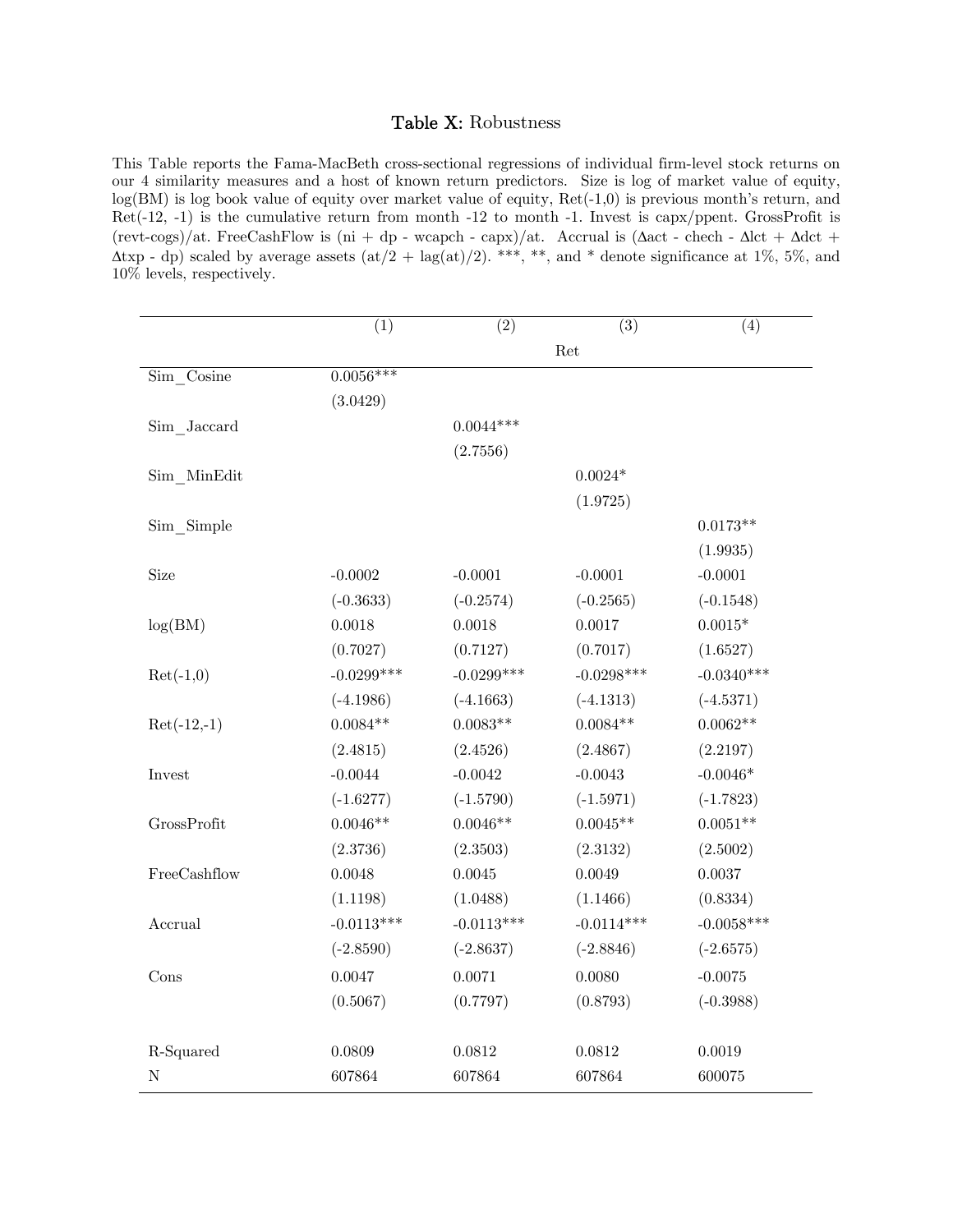## Table X: Robustness

This Table reports the Fama-MacBeth cross-sectional regressions of individual firm-level stock returns on our 4 similarity measures and a host of known return predictors. Size is log of market value of equity, log(BM) is log book value of equity over market value of equity, Ret(-1,0) is previous month's return, and Ret(-12, -1) is the cumulative return from month -12 to month -1. Invest is capx/ppent. GrossProfit is (revt-cogs)/at. FreeCashFlow is (ni + dp - wcapch - capx)/at. Accrual is ( $\Delta$ act - chech -  $\Delta$ lct +  $\Delta$ dct +  $(\text{Atxp - dp})$  scaled by average assets  $(\text{at}/2 + \text{lag}(\text{at})/2)$ . \*\*\*, \*\*, and \* denote significance at 1%, 5%, and 10% levels, respectively.

|               | $\overline{(1)}$ | $\overline{(2)}$ | $\overline{(3)}$ | (4)          |
|---------------|------------------|------------------|------------------|--------------|
|               |                  |                  | Ret              |              |
| Sim Cosine    | $0.0056***$      |                  |                  |              |
|               | (3.0429)         |                  |                  |              |
| Sim Jaccard   |                  | $0.0044***$      |                  |              |
|               |                  | (2.7556)         |                  |              |
| Sim MinEdit   |                  |                  | $0.0024*$        |              |
|               |                  |                  | (1.9725)         |              |
| Sim Simple    |                  |                  |                  | $0.0173**$   |
|               |                  |                  |                  | (1.9935)     |
| Size          | $-0.0002$        | $-0.0001$        | $-0.0001$        | $-0.0001$    |
|               | $(-0.3633)$      | $(-0.2574)$      | $(-0.2565)$      | $(-0.1548)$  |
| log(BM)       | 0.0018           | 0.0018           | 0.0017           | $0.0015*$    |
|               | (0.7027)         | (0.7127)         | (0.7017)         | (1.6527)     |
| $Ret(-1,0)$   | $-0.0299***$     | $-0.0299***$     | $-0.0298***$     | $-0.0340***$ |
|               | $(-4.1986)$      | $(-4.1663)$      | $(-4.1313)$      | $(-4.5371)$  |
| $Ret(-12,-1)$ | $0.0084**$       | $0.0083**$       | $0.0084**$       | $0.0062**$   |
|               | (2.4815)         | (2.4526)         | (2.4867)         | (2.2197)     |
| Invest        | $-0.0044$        | $-0.0042$        | $-0.0043$        | $-0.0046*$   |
|               | $(-1.6277)$      | $(-1.5790)$      | $(-1.5971)$      | $(-1.7823)$  |
| GrossProfit   | $0.0046**$       | $0.0046**$       | $0.0045**$       | $0.0051**$   |
|               | (2.3736)         | (2.3503)         | (2.3132)         | (2.5002)     |
| FreeCashflow  | 0.0048           | 0.0045           | 0.0049           | 0.0037       |
|               | (1.1198)         | (1.0488)         | (1.1466)         | (0.8334)     |
| Accrual       | $-0.0113***$     | $-0.0113***$     | $-0.0114***$     | $-0.0058***$ |
|               | $(-2.8590)$      | $(-2.8637)$      | $(-2.8846)$      | $(-2.6575)$  |
| Cons          | 0.0047           | 0.0071           | 0.0080           | $-0.0075$    |
|               | (0.5067)         | (0.7797)         | (0.8793)         | $(-0.3988)$  |
|               |                  |                  |                  |              |
| R-Squared     | 0.0809           | 0.0812           | 0.0812           | 0.0019       |
| ${\bf N}$     | 607864           | 607864           | 607864           | 600075       |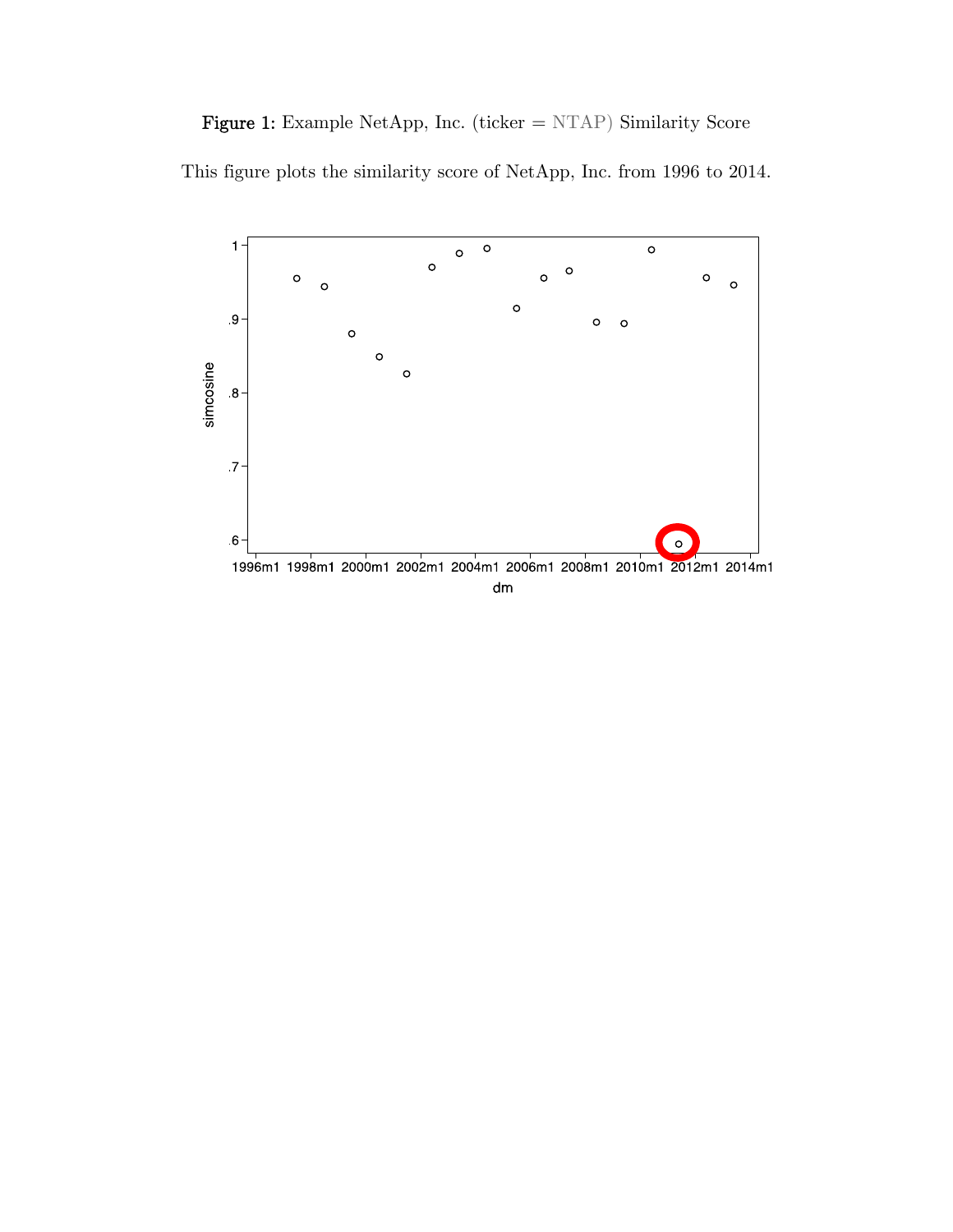Figure 1: Example NetApp, Inc. (ticker = NTAP) Similarity Score

This figure plots the similarity score of NetApp, Inc. from 1996 to 2014.

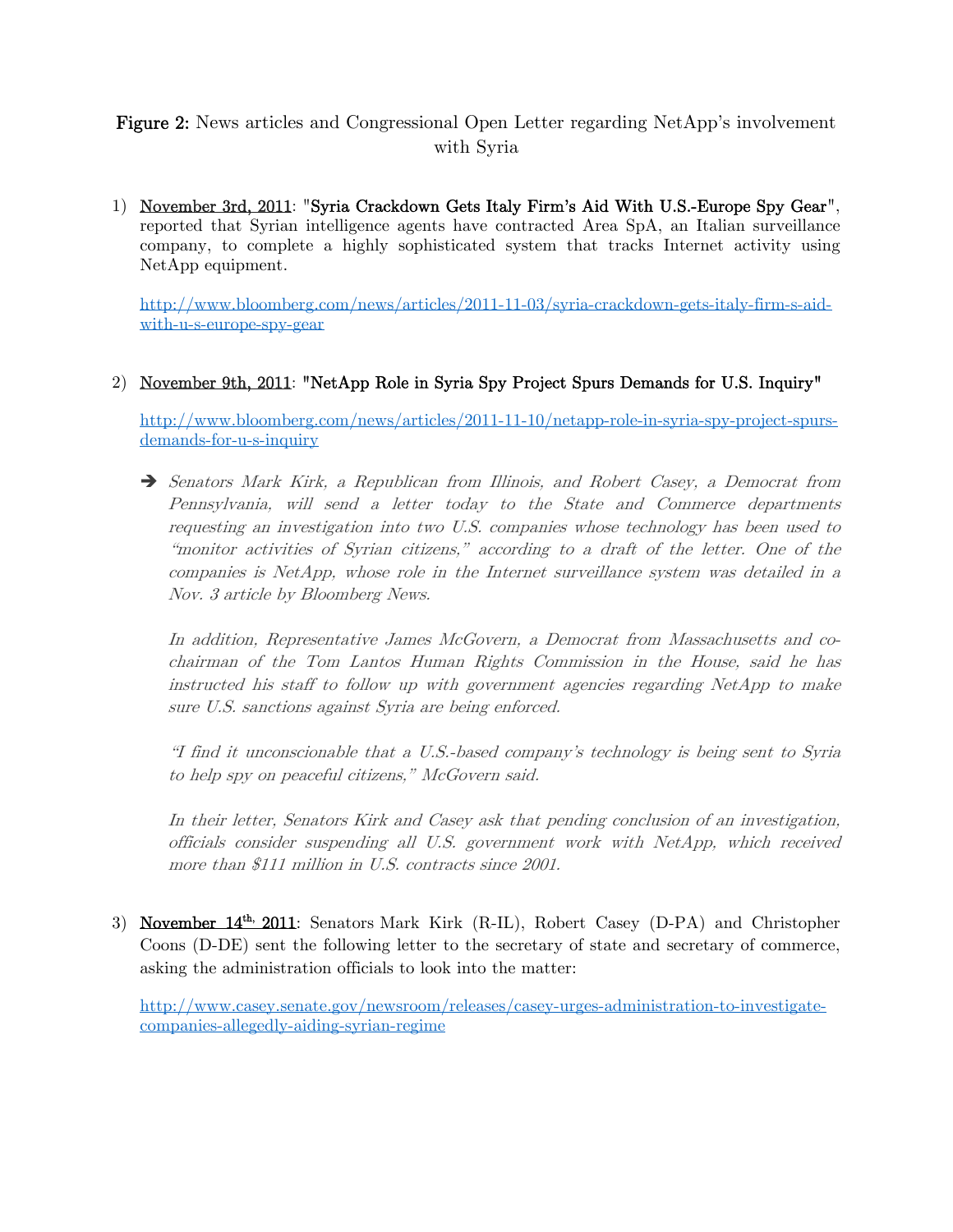# Figure 2: News articles and Congressional Open Letter regarding NetApp's involvement with Syria

1) November 3rd, 2011: "Syria Crackdown Gets Italy Firm's Aid With U.S.-Europe Spy Gear", reported that Syrian intelligence agents have contracted Area SpA, an Italian surveillance company, to complete a highly sophisticated system that tracks Internet activity using NetApp equipment.

http://www.bloomberg.com/news/articles/2011-11-03/syria-crackdown-gets-italy-firm-s-aidwith-u-s-europe-spy-gear

# 2) November 9th, 2011: "NetApp Role in Syria Spy Project Spurs Demands for U.S. Inquiry"

http://www.bloomberg.com/news/articles/2011-11-10/netapp-role-in-syria-spy-project-spursdemands-for-u-s-inquiry

 Senators Mark Kirk, a Republican from Illinois, and Robert Casey, a Democrat from Pennsylvania, will send a letter today to the State and Commerce departments requesting an investigation into two U.S. companies whose technology has been used to "monitor activities of Syrian citizens," according to a draft of the letter. One of the companies is NetApp, whose role in the Internet surveillance system was detailed in a Nov. 3 article by Bloomberg News.

In addition, Representative James McGovern, a Democrat from Massachusetts and cochairman of the Tom Lantos Human Rights Commission in the House, said he has instructed his staff to follow up with government agencies regarding NetApp to make sure U.S. sanctions against Syria are being enforced.

"I find it unconscionable that a U.S.-based company's technology is being sent to Syria to help spy on peaceful citizens," McGovern said.

In their letter, Senators Kirk and Casey ask that pending conclusion of an investigation, officials consider suspending all U.S. government work with NetApp, which received more than \$111 million in U.S. contracts since 2001.

3) November 14<sup>th,</sup> 2011: Senators Mark Kirk (R-IL), Robert Casey (D-PA) and Christopher Coons (D-DE) sent the following letter to the secretary of state and secretary of commerce, asking the administration officials to look into the matter:

http://www.casey.senate.gov/newsroom/releases/casey-urges-administration-to-investigatecompanies-allegedly-aiding-syrian-regime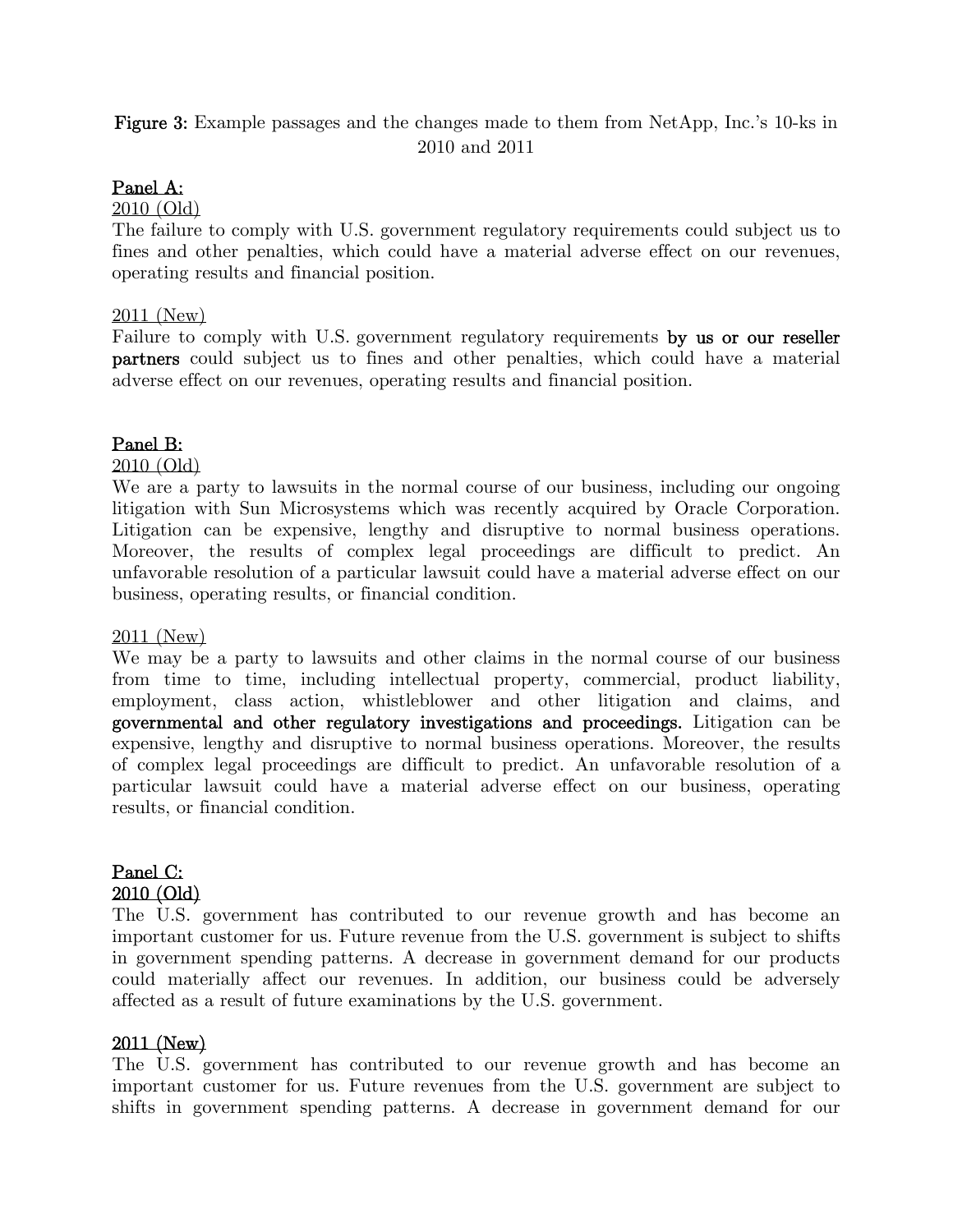# Figure 3: Example passages and the changes made to them from NetApp, Inc.'s 10-ks in 2010 and 2011

# Panel A:

### 2010 (Old)

The failure to comply with U.S. government regulatory requirements could subject us to fines and other penalties, which could have a material adverse effect on our revenues, operating results and financial position.

### 2011 (New)

Failure to comply with U.S. government regulatory requirements by us or our reseller partners could subject us to fines and other penalties, which could have a material adverse effect on our revenues, operating results and financial position.

### Panel B:

2010 (Old)

We are a party to lawsuits in the normal course of our business, including our ongoing litigation with Sun Microsystems which was recently acquired by Oracle Corporation. Litigation can be expensive, lengthy and disruptive to normal business operations. Moreover, the results of complex legal proceedings are difficult to predict. An unfavorable resolution of a particular lawsuit could have a material adverse effect on our business, operating results, or financial condition.

### 2011 (New)

We may be a party to lawsuits and other claims in the normal course of our business from time to time, including intellectual property, commercial, product liability, employment, class action, whistleblower and other litigation and claims, and governmental and other regulatory investigations and proceedings. Litigation can be expensive, lengthy and disruptive to normal business operations. Moreover, the results of complex legal proceedings are difficult to predict. An unfavorable resolution of a particular lawsuit could have a material adverse effect on our business, operating results, or financial condition.

# Panel C: 2010 (Old)

The U.S. government has contributed to our revenue growth and has become an important customer for us. Future revenue from the U.S. government is subject to shifts in government spending patterns. A decrease in government demand for our products could materially affect our revenues. In addition, our business could be adversely affected as a result of future examinations by the U.S. government.

# 2011 (New)

The U.S. government has contributed to our revenue growth and has become an important customer for us. Future revenues from the U.S. government are subject to shifts in government spending patterns. A decrease in government demand for our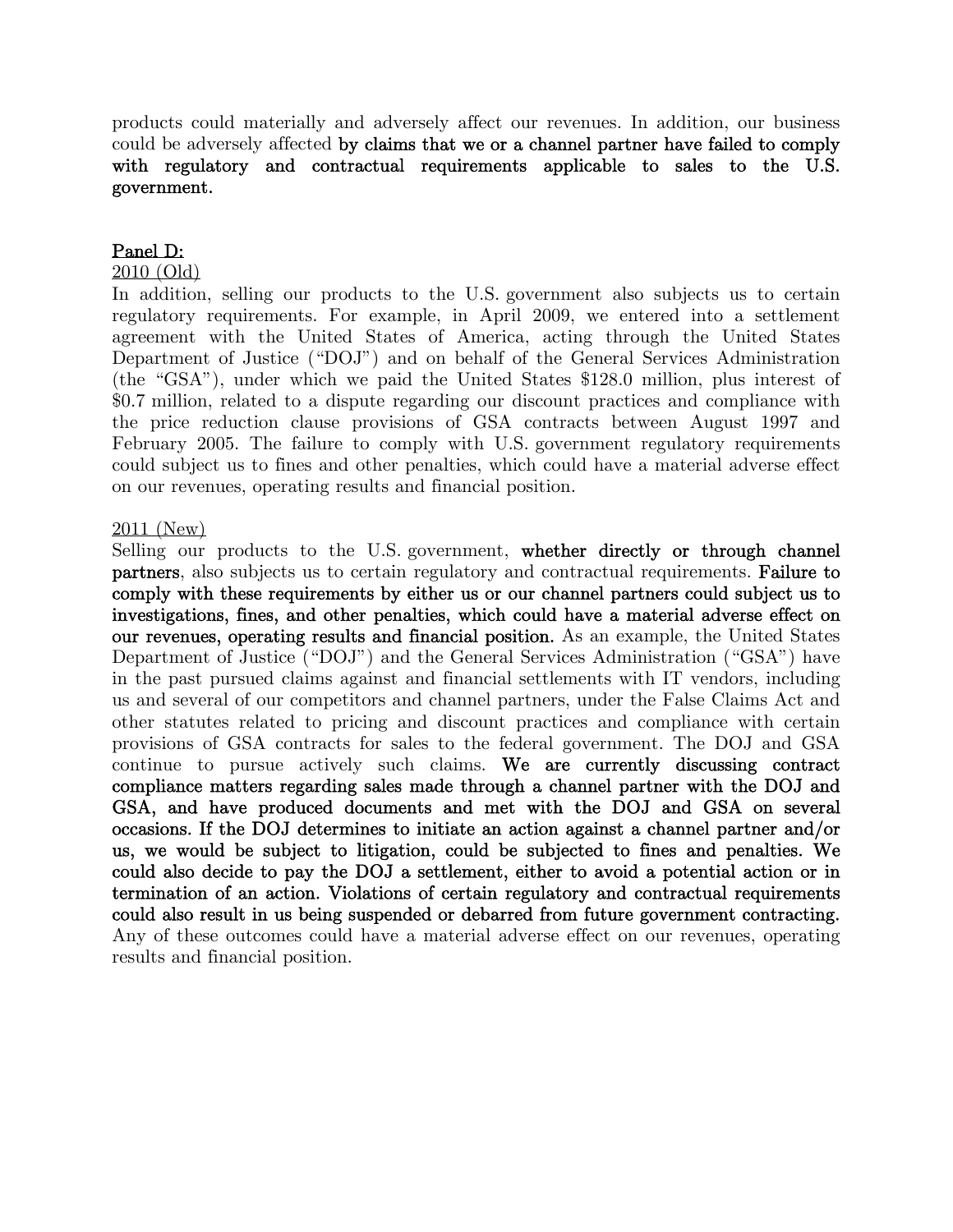products could materially and adversely affect our revenues. In addition, our business could be adversely affected by claims that we or a channel partner have failed to comply with regulatory and contractual requirements applicable to sales to the U.S. government.

## Panel D:

### 2010 (Old)

In addition, selling our products to the U.S. government also subjects us to certain regulatory requirements. For example, in April 2009, we entered into a settlement agreement with the United States of America, acting through the United States Department of Justice ("DOJ") and on behalf of the General Services Administration (the "GSA"), under which we paid the United States \$128.0 million, plus interest of \$0.7 million, related to a dispute regarding our discount practices and compliance with the price reduction clause provisions of GSA contracts between August 1997 and February 2005. The failure to comply with U.S. government regulatory requirements could subject us to fines and other penalties, which could have a material adverse effect on our revenues, operating results and financial position.

### 2011 (New)

Selling our products to the U.S. government, whether directly or through channel partners, also subjects us to certain regulatory and contractual requirements. Failure to comply with these requirements by either us or our channel partners could subject us to investigations, fines, and other penalties, which could have a material adverse effect on our revenues, operating results and financial position. As an example, the United States Department of Justice ("DOJ") and the General Services Administration ("GSA") have in the past pursued claims against and financial settlements with IT vendors, including us and several of our competitors and channel partners, under the False Claims Act and other statutes related to pricing and discount practices and compliance with certain provisions of GSA contracts for sales to the federal government. The DOJ and GSA continue to pursue actively such claims. We are currently discussing contract compliance matters regarding sales made through a channel partner with the DOJ and GSA, and have produced documents and met with the DOJ and GSA on several occasions. If the DOJ determines to initiate an action against a channel partner and/or us, we would be subject to litigation, could be subjected to fines and penalties. We could also decide to pay the DOJ a settlement, either to avoid a potential action or in termination of an action. Violations of certain regulatory and contractual requirements could also result in us being suspended or debarred from future government contracting. Any of these outcomes could have a material adverse effect on our revenues, operating results and financial position.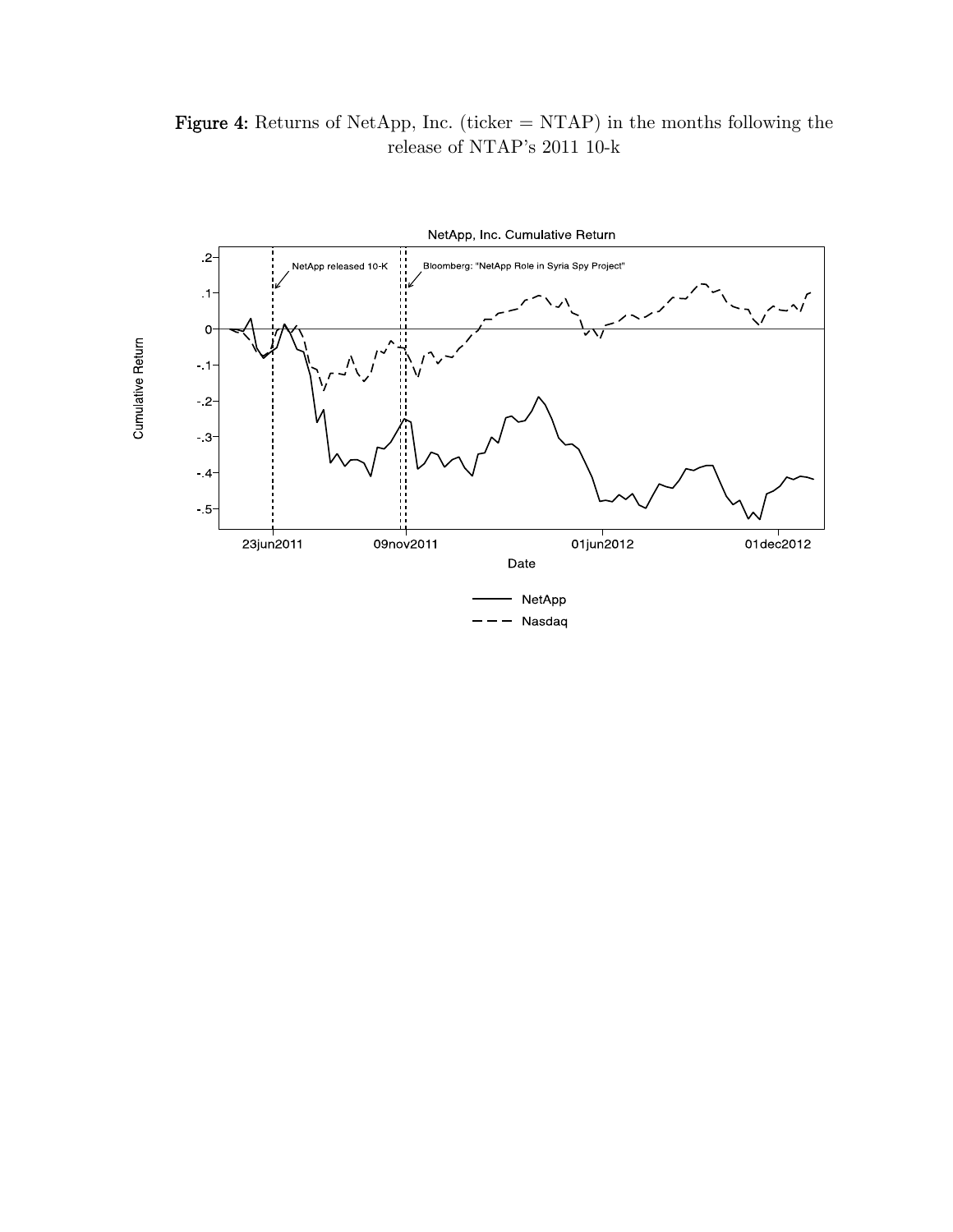Figure 4: Returns of NetApp, Inc. (ticker  $= \text{NTAP}$ ) in the months following the release of NTAP's 2011 10-k

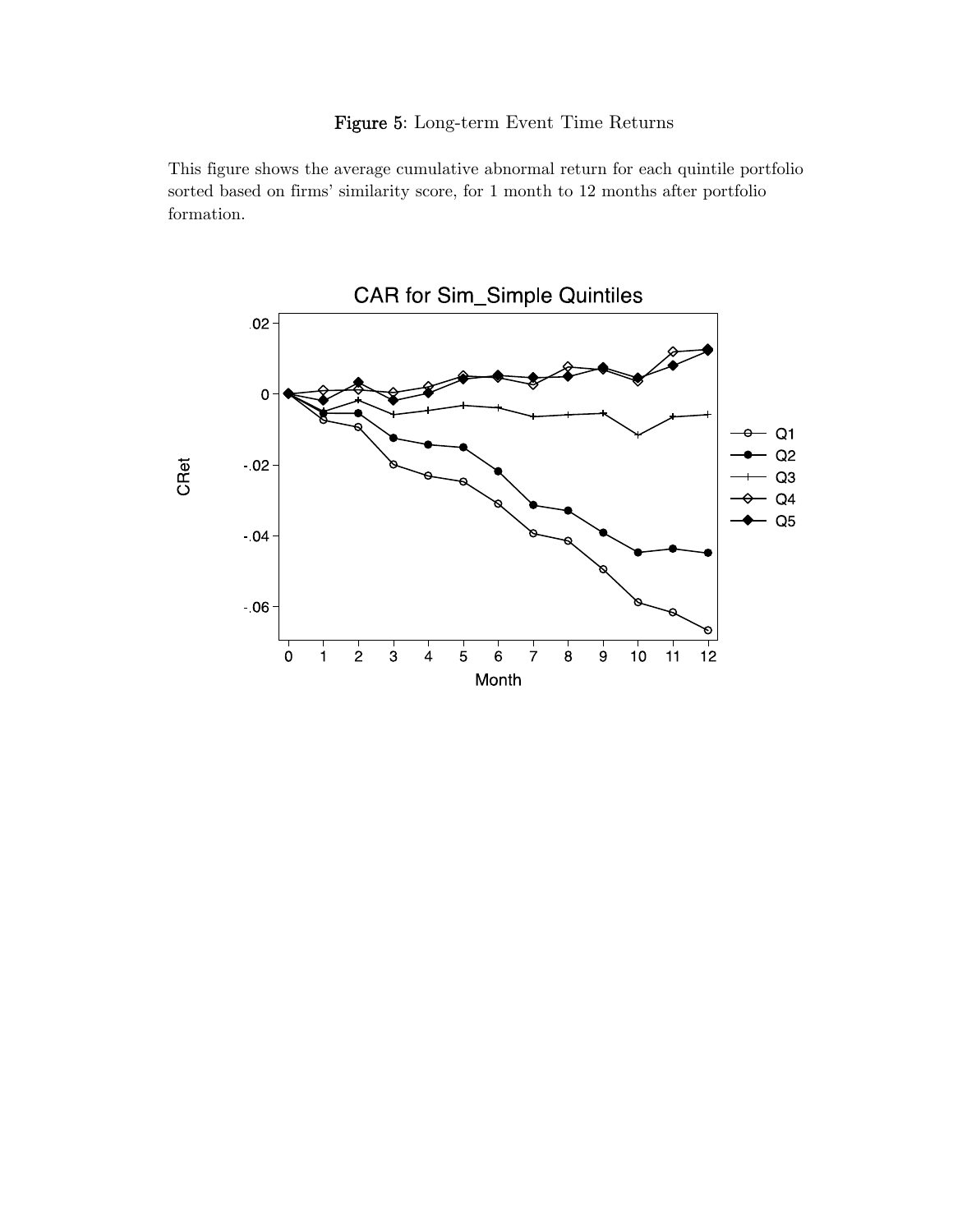# Figure 5: Long-term Event Time Returns

This figure shows the average cumulative abnormal return for each quintile portfolio sorted based on firms' similarity score, for 1 month to 12 months after portfolio formation.

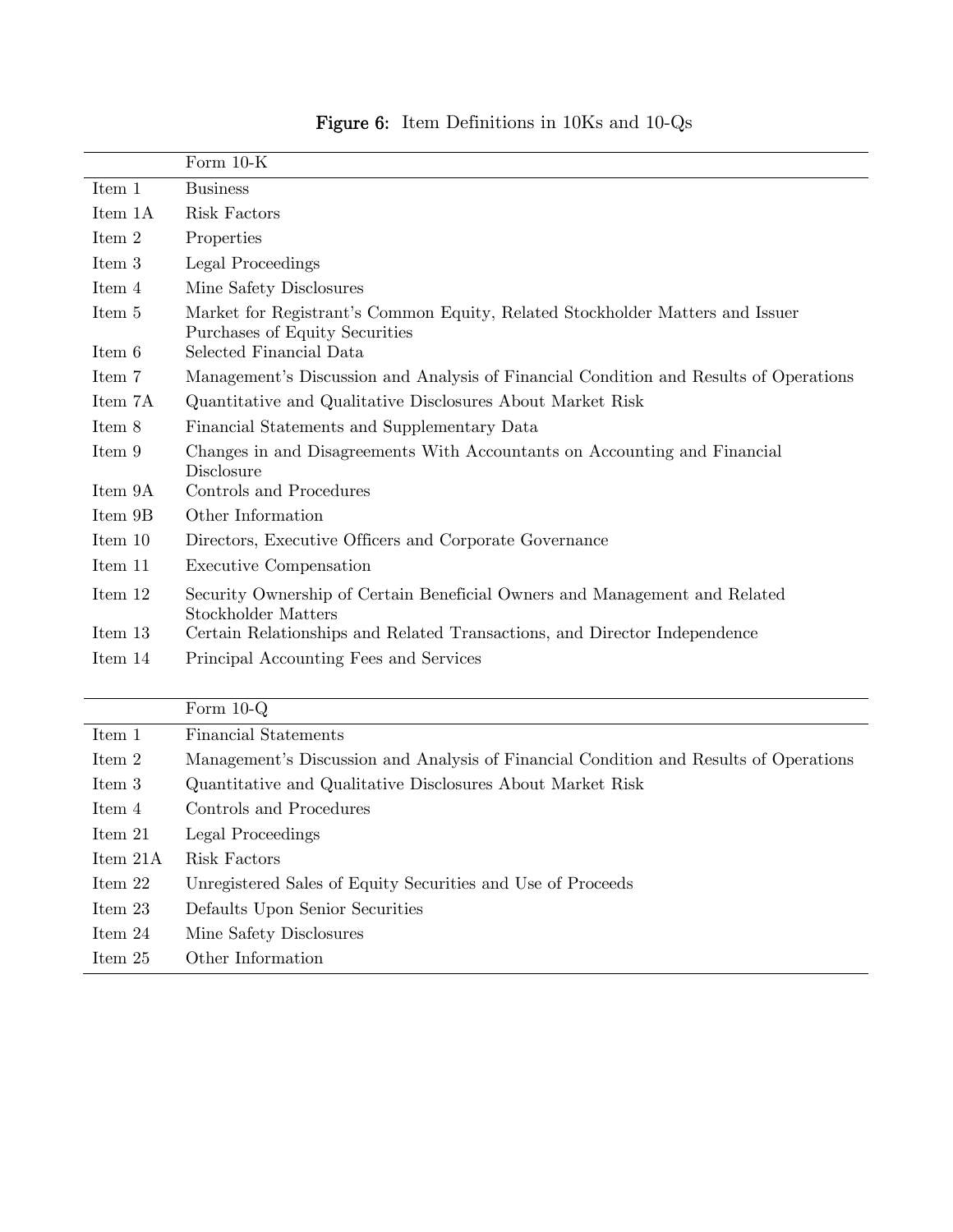|         | Form $10-K$                                                                                                     |
|---------|-----------------------------------------------------------------------------------------------------------------|
| Item 1  | <b>Business</b>                                                                                                 |
| Item 1A | Risk Factors                                                                                                    |
| Item 2  | Properties                                                                                                      |
| Item 3  | Legal Proceedings                                                                                               |
| Item 4  | Mine Safety Disclosures                                                                                         |
| Item 5  | Market for Registrant's Common Equity, Related Stockholder Matters and Issuer<br>Purchases of Equity Securities |
| Item 6  | Selected Financial Data                                                                                         |
| Item 7  | Management's Discussion and Analysis of Financial Condition and Results of Operations                           |
| Item 7A | Quantitative and Qualitative Disclosures About Market Risk                                                      |
| Item 8  | Financial Statements and Supplementary Data                                                                     |
| Item 9  | Changes in and Disagreements With Accountants on Accounting and Financial<br>Disclosure                         |
| Item 9A | Controls and Procedures                                                                                         |
| Item 9B | Other Information                                                                                               |
| Item 10 | Directors, Executive Officers and Corporate Governance                                                          |
| Item 11 | <b>Executive Compensation</b>                                                                                   |
| Item 12 | Security Ownership of Certain Beneficial Owners and Management and Related<br>Stockholder Matters               |
| Item 13 | Certain Relationships and Related Transactions, and Director Independence                                       |
| Item 14 | Principal Accounting Fees and Services                                                                          |

|           | Form $10-Q$                                                                           |
|-----------|---------------------------------------------------------------------------------------|
| Item 1    | <b>Financial Statements</b>                                                           |
| Item 2    | Management's Discussion and Analysis of Financial Condition and Results of Operations |
| Item 3    | Quantitative and Qualitative Disclosures About Market Risk                            |
| Item 4    | Controls and Procedures                                                               |
| Item 21   | Legal Proceedings                                                                     |
| Item 21A  | Risk Factors                                                                          |
| Item $22$ | Unregistered Sales of Equity Securities and Use of Proceeds                           |
| Item 23   | Defaults Upon Senior Securities                                                       |
| Item $24$ | Mine Safety Disclosures                                                               |
| Item 25   | Other Information                                                                     |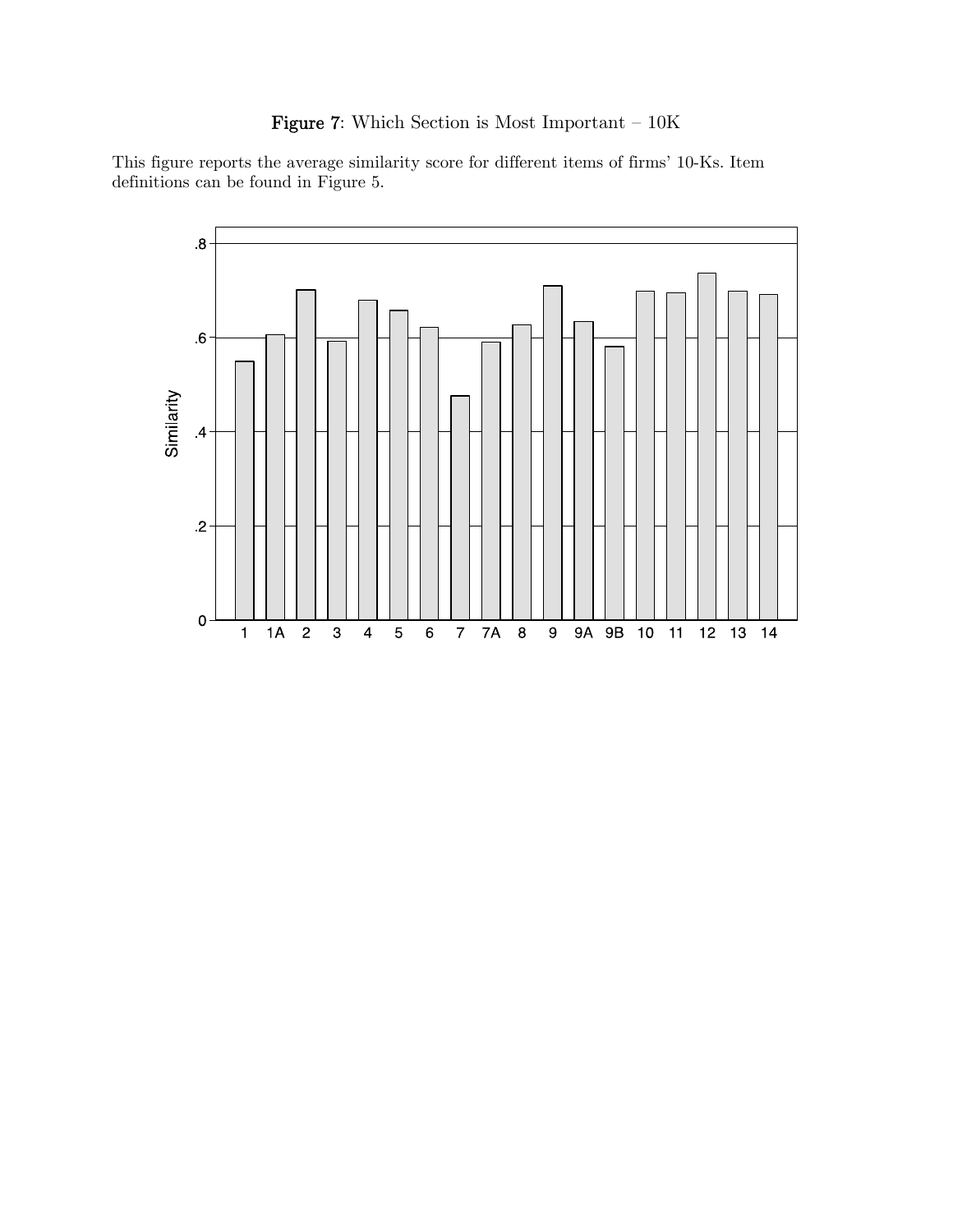# Figure 7: Which Section is Most Important — 10K

This figure reports the average similarity score for different items of firms' 10-Ks. Item definitions can be found in Figure 5.